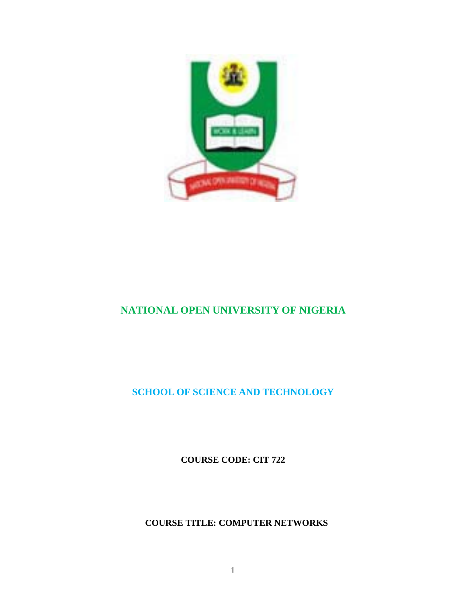

# **NATIONAL OPEN UNIVERSITY OF NIGERIA**

# **SCHOOL OF SCIENCE AND TECHNOLOGY**

**COURSE CODE: CIT 722**

**COURSE TITLE: COMPUTER NETWORKS**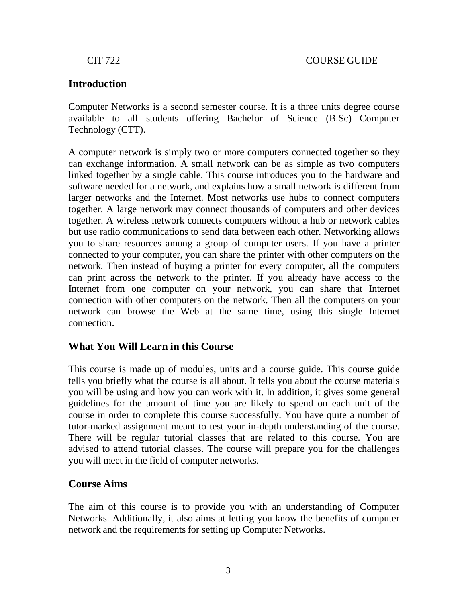#### CIT 722 COURSE GUIDE

#### **Introduction**

Computer Networks is a second semester course. It is a three units degree course available to all students offering Bachelor of Science (B.Sc) Computer Technology (CTT).

A computer network is simply two or more computers connected together so they can exchange information. A small network can be as simple as two computers linked together by a single cable. This course introduces you to the hardware and software needed for a network, and explains how a small network is different from larger networks and the Internet. Most networks use hubs to connect computers together. A large network may connect thousands of computers and other devices together. A wireless network connects computers without a hub or network cables but use radio communications to send data between each other. Networking allows you to share resources among a group of computer users. If you have a printer connected to your computer, you can share the printer with other computers on the network. Then instead of buying a printer for every computer, all the computers can print across the network to the printer. If you already have access to the Internet from one computer on your network, you can share that Internet connection with other computers on the network. Then all the computers on your network can browse the Web at the same time, using this single Internet connection.

# **What You Will Learn in this Course**

This course is made up of modules, units and a course guide. This course guide tells you briefly what the course is all about. It tells you about the course materials you will be using and how you can work with it. In addition, it gives some general guidelines for the amount of time you are likely to spend on each unit of the course in order to complete this course successfully. You have quite a number of tutor-marked assignment meant to test your in-depth understanding of the course. There will be regular tutorial classes that are related to this course. You are advised to attend tutorial classes. The course will prepare you for the challenges you will meet in the field of computer networks.

### **Course Aims**

The aim of this course is to provide you with an understanding of Computer Networks. Additionally, it also aims at letting you know the benefits of computer network and the requirements for setting up Computer Networks.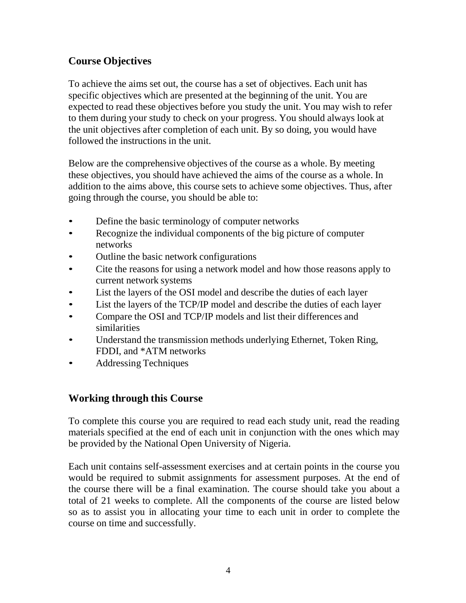# **Course Objectives**

To achieve the aims set out, the course has a set of objectives. Each unit has specific objectives which are presented at the beginning of the unit. You are expected to read these objectives before you study the unit. You may wish to refer to them during your study to check on your progress. You should always look at the unit objectives after completion of each unit. By so doing, you would have followed the instructions in the unit.

Below are the comprehensive objectives of the course as a whole. By meeting these objectives, you should have achieved the aims of the course as a whole. In addition to the aims above, this course sets to achieve some objectives. Thus, after going through the course, you should be able to:

- Define the basic terminology of computer networks
- Recognize the individual components of the big picture of computer networks
- Outline the basic network configurations
- Cite the reasons for using a network model and how those reasons apply to current network systems
- List the layers of the OSI model and describe the duties of each layer
- List the layers of the TCP/IP model and describe the duties of each layer
- Compare the OSI and TCP/IP models and list their differences and similarities
- Understand the transmission methods underlying Ethernet, Token Ring, FDDI, and \*ATM networks
- Addressing Techniques

# **Working through this Course**

To complete this course you are required to read each study unit, read the reading materials specified at the end of each unit in conjunction with the ones which may be provided by the National Open University of Nigeria.

Each unit contains self-assessment exercises and at certain points in the course you would be required to submit assignments for assessment purposes. At the end of the course there will be a final examination. The course should take you about a total of 21 weeks to complete. All the components of the course are listed below so as to assist you in allocating your time to each unit in order to complete the course on time and successfully.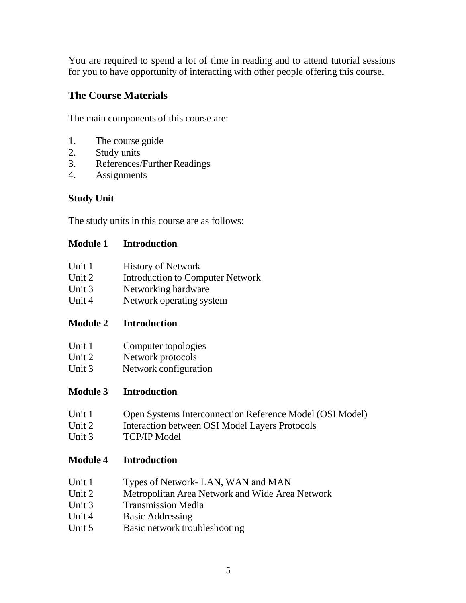You are required to spend a lot of time in reading and to attend tutorial sessions for you to have opportunity of interacting with other people offering this course.

# **The Course Materials**

The main components of this course are:

- 1. The course guide
- 2. Study units
- 3. References/Further Readings
- 4. Assignments

# **Study Unit**

The study units in this course are as follows:

### **Module 1 Introduction**

| Unit 1                                           | <b>History of Network</b>               |
|--------------------------------------------------|-----------------------------------------|
| Unit 2                                           | <b>Introduction to Computer Network</b> |
| Unit 3                                           | Networking hardware                     |
| $I\left[\right]$ $\left[\right]$ $\left[\right]$ | Motwork operating gyptam                |

Unit 4 Network operating system

# **Module 2 Introduction**

- Unit 2 Network protocols
- Unit 3 Network configuration

# **Module 3 Introduction**

- Unit 1 Open Systems Interconnection Reference Model (OSI Model)
- Unit 2 Interaction between OSI Model Layers Protocols
- Unit 3 TCP/IP Model

# **Module 4 Introduction**

- Unit 1 Types of Network- LAN, WAN and MAN
- Unit 2 Metropolitan Area Network and Wide Area Network
- Unit 3 Transmission Media
- Unit 4 Basic Addressing
- Unit 5 Basic network troubleshooting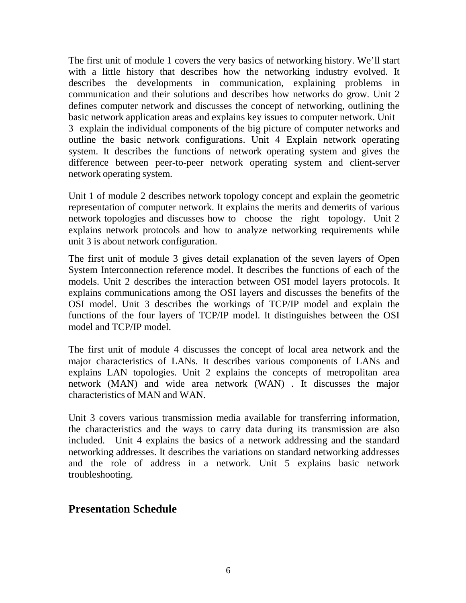The first unit of module 1 covers the very basics of networking history. We'll start with a little history that describes how the networking industry evolved. It describes the developments in communication, explaining problems in communication and their solutions and describes how networks do grow. Unit 2 defines computer network and discusses the concept of networking, outlining the basic network application areas and explains key issues to computer network. Unit 3 explain the individual components of the big picture of computer networks and outline the basic network configurations. Unit 4 Explain network operating system. It describes the functions of network operating system and gives the difference between peer-to-peer network operating system and client-server network operating system.

Unit 1 of module 2 describes network topology concept and explain the geometric representation of computer network. It explains the merits and demerits of various network topologies and discusses how to choose the right topology. Unit 2 explains network protocols and how to analyze networking requirements while unit 3 is about network configuration.

The first unit of module 3 gives detail explanation of the seven layers of Open System Interconnection reference model. It describes the functions of each of the models. Unit 2 describes the interaction between OSI model layers protocols. It explains communications among the OSI layers and discusses the benefits of the OSI model. Unit 3 describes the workings of TCP/IP model and explain the functions of the four layers of TCP/IP model. It distinguishes between the OSI model and TCP/IP model.

The first unit of module 4 discusses the concept of local area network and the major characteristics of LANs. It describes various components of LANs and explains LAN topologies. Unit 2 explains the concepts of metropolitan area network (MAN) and wide area network (WAN) . It discusses the major characteristics of MAN and WAN.

Unit 3 covers various transmission media available for transferring information, the characteristics and the ways to carry data during its transmission are also included. Unit 4 explains the basics of a network addressing and the standard networking addresses. It describes the variations on standard networking addresses and the role of address in a network. Unit 5 explains basic network troubleshooting.

# **Presentation Schedule**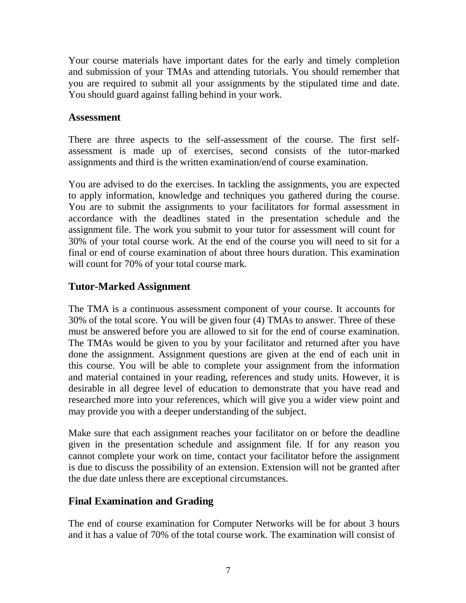Your course materials have important dates for the early and timely completion and submission of your TMAs and attending tutorials. You should remember that you are required to submit all your assignments by the stipulated time and date. You should guard against falling behind in your work.

### **Assessment**

There are three aspects to the self-assessment of the course. The first selfassessment is made up of exercises, second consists of the tutor-marked assignments and third is the written examination/end of course examination.

You are advised to do the exercises. In tackling the assignments, you are expected to apply information, knowledge and techniques you gathered during the course. You are to submit the assignments to your facilitators for formal assessment in accordance with the deadlines stated in the presentation schedule and the assignment file. The work you submit to your tutor for assessment will count for 30% of your total course work. At the end of the course you will need to sit for a final or end of course examination of about three hours duration. This examination will count for 70% of your total course mark.

# **Tutor-Marked Assignment**

The TMA is a continuous assessment component of your course. It accounts for 30% of the total score. You will be given four (4) TMAs to answer. Three of these must be answered before you are allowed to sit for the end of course examination. The TMAs would be given to you by your facilitator and returned after you have done the assignment. Assignment questions are given at the end of each unit in this course. You will be able to complete your assignment from the information and material contained in your reading, references and study units. However, it is desirable in all degree level of education to demonstrate that you have read and researched more into your references, which will give you a wider view point and may provide you with a deeper understanding of the subject.

Make sure that each assignment reaches your facilitator on or before the deadline given in the presentation schedule and assignment file. If for any reason you cannot complete your work on time, contact your facilitator before the assignment is due to discuss the possibility of an extension. Extension will not be granted after the due date unless there are exceptional circumstances.

# **Final Examination and Grading**

The end of course examination for Computer Networks will be for about 3 hours and it has a value of 70% of the total course work. The examination will consist of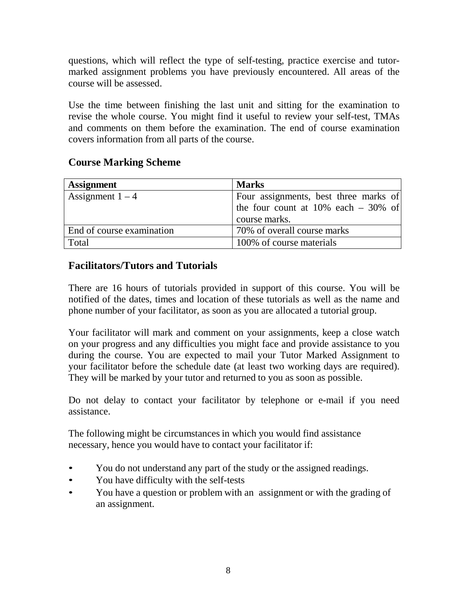questions, which will reflect the type of self-testing, practice exercise and tutormarked assignment problems you have previously encountered. All areas of the course will be assessed.

Use the time between finishing the last unit and sitting for the examination to revise the whole course. You might find it useful to review your self-test, TMAs and comments on them before the examination. The end of course examination covers information from all parts of the course.

# **Course Marking Scheme**

| <b>Assignment</b>         | <b>Marks</b>                                              |
|---------------------------|-----------------------------------------------------------|
| Assignment $1 - 4$        | Four assignments, best three marks of                     |
|                           | the four count at $10\%$ each $-30\%$ of<br>course marks. |
| End of course examination | 70% of overall course marks                               |
| Total                     | 100% of course materials                                  |

# **Facilitators/Tutors and Tutorials**

There are 16 hours of tutorials provided in support of this course. You will be notified of the dates, times and location of these tutorials as well as the name and phone number of your facilitator, as soon as you are allocated a tutorial group.

Your facilitator will mark and comment on your assignments, keep a close watch on your progress and any difficulties you might face and provide assistance to you during the course. You are expected to mail your Tutor Marked Assignment to your facilitator before the schedule date (at least two working days are required). They will be marked by your tutor and returned to you as soon as possible.

Do not delay to contact your facilitator by telephone or e-mail if you need assistance.

The following might be circumstances in which you would find assistance necessary, hence you would have to contact your facilitator if:

- You do not understand any part of the study or the assigned readings.
- You have difficulty with the self-tests
- You have a question or problem with an assignment or with the grading of an assignment.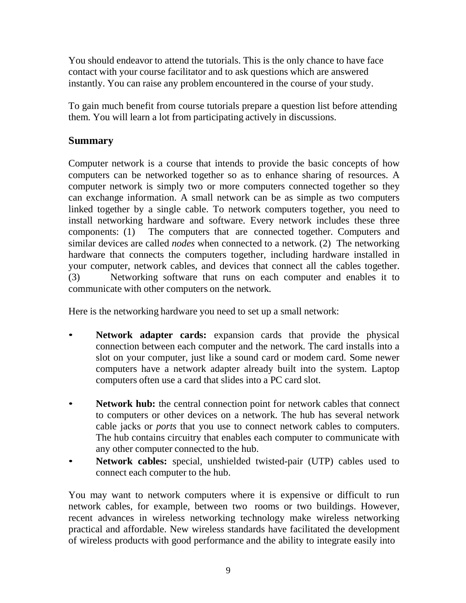You should endeavor to attend the tutorials. This is the only chance to have face contact with your course facilitator and to ask questions which are answered instantly. You can raise any problem encountered in the course of your study.

To gain much benefit from course tutorials prepare a question list before attending them. You will learn a lot from participating actively in discussions.

# **Summary**

Computer network is a course that intends to provide the basic concepts of how computers can be networked together so as to enhance sharing of resources. A computer network is simply two or more computers connected together so they can exchange information. A small network can be as simple as two computers linked together by a single cable. To network computers together, you need to install networking hardware and software. Every network includes these three components: (1) The computers that are connected together. Computers and similar devices are called *nodes* when connected to a network. (2) The networking hardware that connects the computers together, including hardware installed in your computer, network cables, and devices that connect all the cables together. (3) Networking software that runs on each computer and enables it to communicate with other computers on the network.

Here is the networking hardware you need to set up a small network:

- Network adapter cards: expansion cards that provide the physical connection between each computer and the network. The card installs into a slot on your computer, just like a sound card or modem card. Some newer computers have a network adapter already built into the system. Laptop computers often use a card that slides into a PC card slot.
- Network hub: the central connection point for network cables that connect to computers or other devices on a network. The hub has several network cable jacks or *ports* that you use to connect network cables to computers. The hub contains circuitry that enables each computer to communicate with any other computer connected to the hub.
- **Network cables:** special, unshielded twisted-pair (UTP) cables used to connect each computer to the hub.

You may want to network computers where it is expensive or difficult to run network cables, for example, between two rooms or two buildings. However, recent advances in wireless networking technology make wireless networking practical and affordable. New wireless standards have facilitated the development of wireless products with good performance and the ability to integrate easily into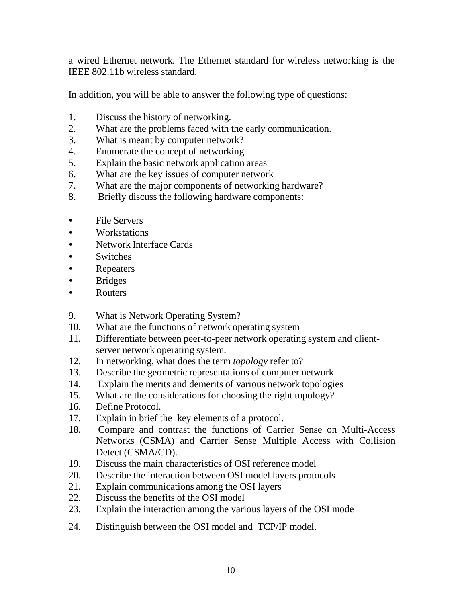a wired Ethernet network. The Ethernet standard for wireless networking is the IEEE 802.11b wireless standard.

In addition, you will be able to answer the following type of questions:

- 1. Discuss the history of networking.
- 2. What are the problems faced with the early communication.
- 3. What is meant by computer network?
- 4. Enumerate the concept of networking
- 5. Explain the basic network application areas
- 6. What are the key issues of computer network
- 7. What are the major components of networking hardware?
- 8. Briefly discuss the following hardware components:
- **File Servers**
- Workstations
- Network Interface Cards
- Switches
- Repeaters
- Bridges
- Routers
- 9. What is Network Operating System?
- 10. What are the functions of network operating system
- 11. Differentiate between peer-to-peer network operating system and clientserver network operating system.
- 12. In networking, what does the term *topology* refer to?
- 13. Describe the geometric representations of computer network
- 14. Explain the merits and demerits of various network topologies
- 15. What are the considerations for choosing the right topology?
- 16. Define Protocol.
- 17. Explain in brief the key elements of a protocol.
- 18. Compare and contrast the functions of Carrier Sense on Multi-Access Networks (CSMA) and Carrier Sense Multiple Access with Collision Detect (CSMA/CD).
- 19. Discuss the main characteristics of OSI reference model
- 20. Describe the interaction between OSI model layers protocols
- 21. Explain communications among the OSI layers
- 22. Discuss the benefits of the OSI model
- 23. Explain the interaction among the various layers of the OSI mode
- 24. Distinguish between the OSI model and TCP/IP model.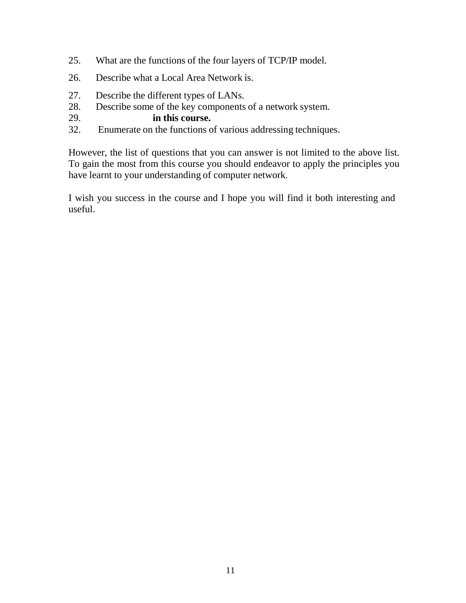- 25. What are the functions of the four layers of TCP/IP model.
- 26. Describe what a Local Area Network is.
- 27. Describe the different types of LANs.
- 28. Describe some of the key components of a network system.
- 29. **in this course.**
- 32. Enumerate on the functions of various addressing techniques.

However, the list of questions that you can answer is not limited to the above list. To gain the most from this course you should endeavor to apply the principles you have learnt to your understanding of computer network.

I wish you success in the course and I hope you will find it both interesting and useful.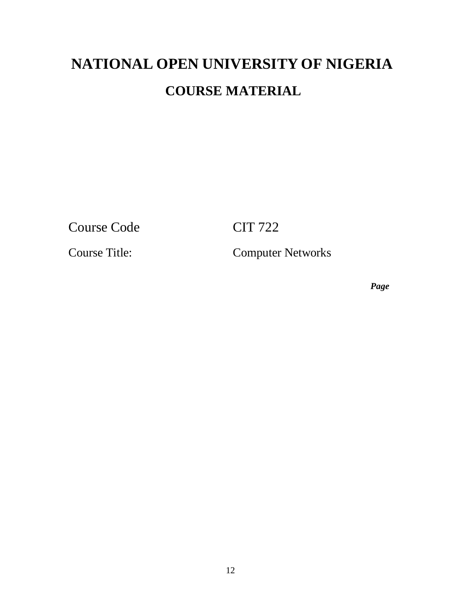# **NATIONAL OPEN UNIVERSITY OF NIGERIA COURSE MATERIAL**

Course Code CIT 722

Course Title: Computer Networks

*Page*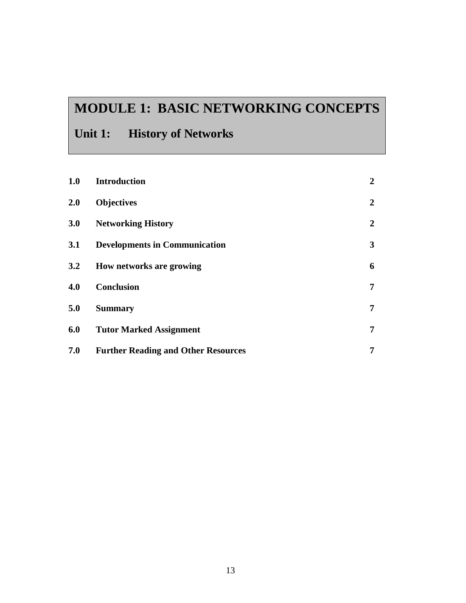# **MODULE 1: BASIC NETWORKING CONCEPTS**

# **Unit 1: History of Networks**

| 1.0 | <b>Introduction</b>                        | $\overline{2}$ |
|-----|--------------------------------------------|----------------|
| 2.0 | <b>Objectives</b>                          | 2              |
| 3.0 | <b>Networking History</b>                  | $\overline{2}$ |
| 3.1 | <b>Developments in Communication</b>       | 3              |
| 3.2 | How networks are growing                   | 6              |
| 4.0 | <b>Conclusion</b>                          | 7              |
| 5.0 | <b>Summary</b>                             | 7              |
| 6.0 | <b>Tutor Marked Assignment</b>             | 7              |
| 7.0 | <b>Further Reading and Other Resources</b> | 7              |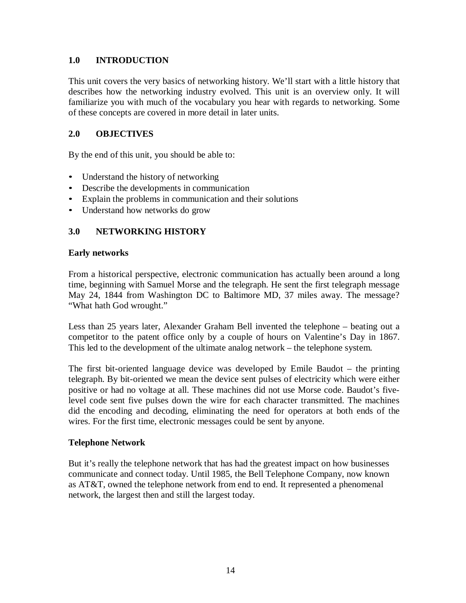#### **1.0 INTRODUCTION**

This unit covers the very basics of networking history. We'll start with a little history that describes how the networking industry evolved. This unit is an overview only. It will familiarize you with much of the vocabulary you hear with regards to networking. Some of these concepts are covered in more detail in later units.

#### **2.0 OBJECTIVES**

By the end of this unit, you should be able to:

- Understand the history of networking
- Describe the developments in communication
- Explain the problems in communication and their solutions
- Understand how networks do grow

#### **3.0 NETWORKING HISTORY**

#### **Early networks**

From a historical perspective, electronic communication has actually been around a long time, beginning with Samuel Morse and the telegraph. He sent the first telegraph message May 24, 1844 from Washington DC to Baltimore MD, 37 miles away. The message? "What hath God wrought."

Less than 25 years later, Alexander Graham Bell invented the telephone – beating out a competitor to the patent office only by a couple of hours on Valentine's Day in 1867. This led to the development of the ultimate analog network – the telephone system.

The first bit-oriented language device was developed by Emile Baudot – the printing telegraph. By bit-oriented we mean the device sent pulses of electricity which were either positive or had no voltage at all. These machines did not use Morse code. Baudot's fivelevel code sent five pulses down the wire for each character transmitted. The machines did the encoding and decoding, eliminating the need for operators at both ends of the wires. For the first time, electronic messages could be sent by anyone.

#### **Telephone Network**

But it's really the telephone network that has had the greatest impact on how businesses communicate and connect today. Until 1985, the Bell Telephone Company, now known as AT&T, owned the telephone network from end to end. It represented a phenomenal network, the largest then and still the largest today.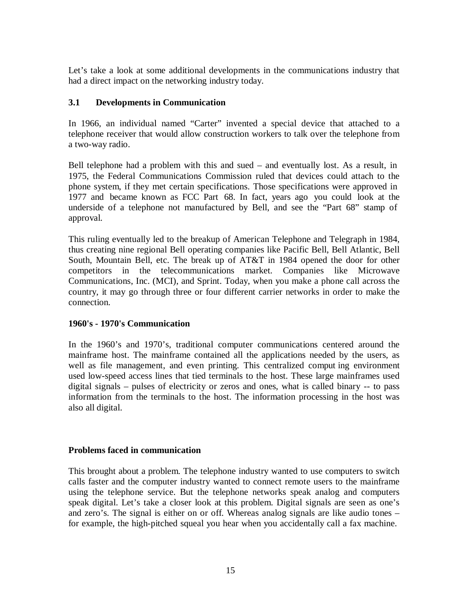Let's take a look at some additional developments in the communications industry that had a direct impact on the networking industry today.

#### **3.1 Developments in Communication**

In 1966, an individual named "Carter" invented a special device that attached to a telephone receiver that would allow construction workers to talk over the telephone from a two-way radio.

Bell telephone had a problem with this and sued – and eventually lost. As a result, in 1975, the Federal Communications Commission ruled that devices could attach to the phone system, if they met certain specifications. Those specifications were approved in 1977 and became known as FCC Part 68. In fact, years ago you could look at the underside of a telephone not manufactured by Bell, and see the "Part 68" stamp of approval.

This ruling eventually led to the breakup of American Telephone and Telegraph in 1984, thus creating nine regional Bell operating companies like Pacific Bell, Bell Atlantic, Bell South, Mountain Bell, etc. The break up of AT&T in 1984 opened the door for other competitors in the telecommunications market. Companies like Microwave Communications, Inc. (MCI), and Sprint. Today, when you make a phone call across the country, it may go through three or four different carrier networks in order to make the connection.

#### **1960's - 1970's Communication**

In the 1960's and 1970's, traditional computer communications centered around the mainframe host. The mainframe contained all the applications needed by the users, as well as file management, and even printing. This centralized comput ing environment used low-speed access lines that tied terminals to the host. These large mainframes used digital signals – pulses of electricity or zeros and ones, what is called binary -- to pass information from the terminals to the host. The information processing in the host was also all digital.

#### **Problems faced in communication**

This brought about a problem. The telephone industry wanted to use computers to switch calls faster and the computer industry wanted to connect remote users to the mainframe using the telephone service. But the telephone networks speak analog and computers speak digital. Let's take a closer look at this problem. Digital signals are seen as one's and zero's. The signal is either on or off. Whereas analog signals are like audio tones – for example, the high-pitched squeal you hear when you accidentally call a fax machine.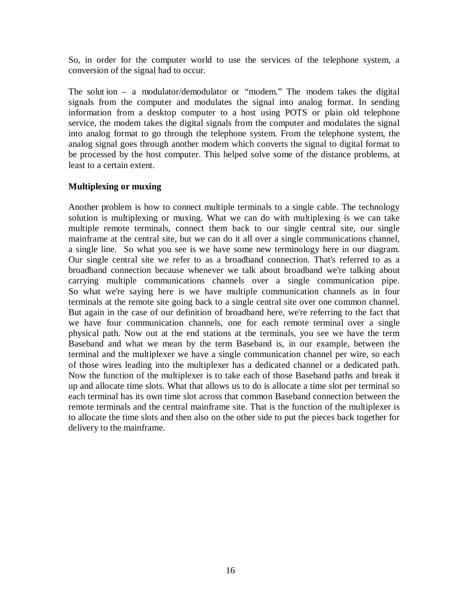So, in order for the computer world to use the services of the telephone system, a conversion of the signal had to occur.

The solut ion – a modulator/demodulator or "modem." The modem takes the digital signals from the computer and modulates the signal into analog format. In sending information from a desktop computer to a host using POTS or plain old telephone service, the modem takes the digital signals from the computer and modulates the signal into analog format to go through the telephone system. From the telephone system, the analog signal goes through another modem which converts the signal to digital format to be processed by the host computer. This helped solve some of the distance problems, at least to a certain extent.

#### **Multiplexing or muxing**

Another problem is how to connect multiple terminals to a single cable. The technology solution is multiplexing or muxing. What we can do with multiplexing is we can take multiple remote terminals, connect them back to our single central site, our single mainframe at the central site, but we can do it all over a single communications channel, a single line. So what you see is we have some new terminology here in our diagram. Our single central site we refer to as a broadband connection. That's referred to as a broadband connection because whenever we talk about broadband we're talking about carrying multiple communications channels over a single communication pipe. So what we're saying here is we have multiple communication channels as in four terminals at the remote site going back to a single central site over one common channel. But again in the case of our definition of broadband here, we're referring to the fact that we have four communication channels, one for each remote terminal over a single physical path. Now out at the end stations at the terminals, you see we have the term Baseband and what we mean by the term Baseband is, in our example, between the terminal and the multiplexer we have a single communication channel per wire, so each of those wires leading into the multiplexer has a dedicated channel or a dedicated path. Now the function of the multiplexer is to take each of those Baseband paths and break it up and allocate time slots. What that allows us to do is allocate a time slot per terminal so each terminal has its own time slot across that common Baseband connection between the remote terminals and the central mainframe site. That is the function of the multiplexer is to allocate the time slots and then also on the other side to put the pieces back together for delivery to the mainframe.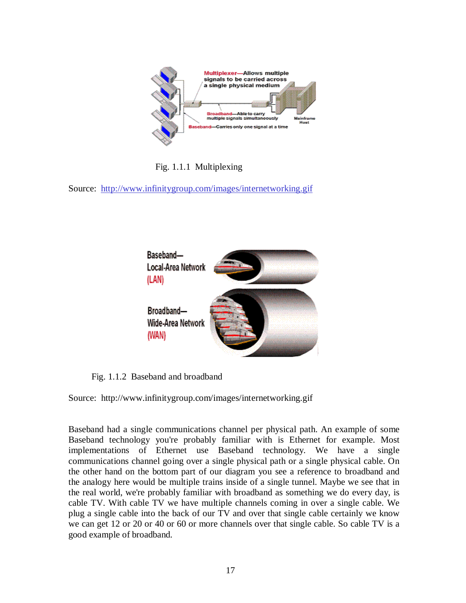

Fig. 1.1.1 Multiplexing

Source: http://www.infinitygroup.com/images/internetworking.gif



Fig. 1.1.2 Baseband and broadband

Source: http://www.infinitygroup.com/images/internetworking.gif

Baseband had a single communications channel per physical path. An example of some Baseband technology you're probably familiar with is Ethernet for example. Most implementations of Ethernet use Baseband technology. We have a single communications channel going over a single physical path or a single physical cable. On the other hand on the bottom part of our diagram you see a reference to broadband and the analogy here would be multiple trains inside of a single tunnel. Maybe we see that in the real world, we're probably familiar with broadband as something we do every day, is cable TV. With cable TV we have multiple channels coming in over a single cable. We plug a single cable into the back of our TV and over that single cable certainly we know we can get 12 or 20 or 40 or 60 or more channels over that single cable. So cable TV is a good example of broadband.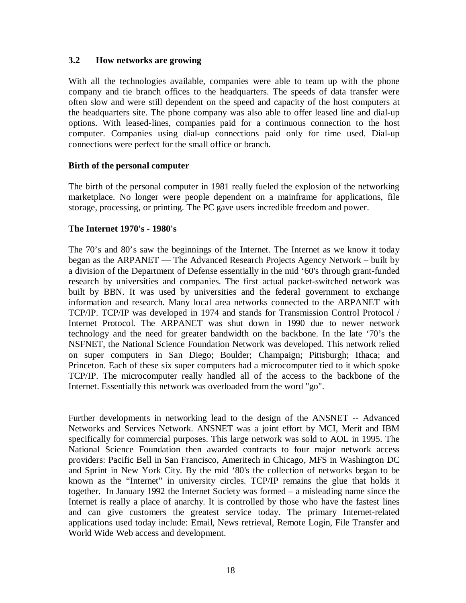#### **3.2 How networks are growing**

With all the technologies available, companies were able to team up with the phone company and tie branch offices to the headquarters. The speeds of data transfer were often slow and were still dependent on the speed and capacity of the host computers at the headquarters site. The phone company was also able to offer leased line and dial-up options. With leased-lines, companies paid for a continuous connection to the host computer. Companies using dial-up connections paid only for time used. Dial-up connections were perfect for the small office or branch.

#### **Birth of the personal computer**

The birth of the personal computer in 1981 really fueled the explosion of the networking marketplace. No longer were people dependent on a mainframe for applications, file storage, processing, or printing. The PC gave users incredible freedom and power.

#### **The Internet 1970's - 1980's**

The 70's and 80's saw the beginnings of the Internet. The Internet as we know it today began as the ARPANET — The Advanced Research Projects Agency Network – built by a division of the Department of Defense essentially in the mid '60's through grant-funded research by universities and companies. The first actual packet-switched network was built by BBN. It was used by universities and the federal government to exchange information and research. Many local area networks connected to the ARPANET with TCP/IP. TCP/IP was developed in 1974 and stands for Transmission Control Protocol / Internet Protocol. The ARPANET was shut down in 1990 due to newer network technology and the need for greater bandwidth on the backbone. In the late '70's the NSFNET, the National Science Foundation Network was developed. This network relied on super computers in San Diego; Boulder; Champaign; Pittsburgh; Ithaca; and Princeton. Each of these six super computers had a microcomputer tied to it which spoke TCP/IP. The microcomputer really handled all of the access to the backbone of the Internet. Essentially this network was overloaded from the word "go".

Further developments in networking lead to the design of the ANSNET -- Advanced Networks and Services Network. ANSNET was a joint effort by MCI, Merit and IBM specifically for commercial purposes. This large network was sold to AOL in 1995. The National Science Foundation then awarded contracts to four major network access providers: Pacific Bell in San Francisco, Ameritech in Chicago, MFS in Washington DC and Sprint in New York City. By the mid '80's the collection of networks began to be known as the "Internet" in university circles. TCP/IP remains the glue that holds it together. In January 1992 the Internet Society was formed – a misleading name since the Internet is really a place of anarchy. It is controlled by those who have the fastest lines and can give customers the greatest service today. The primary Internet-related applications used today include: Email, News retrieval, Remote Login, File Transfer and World Wide Web access and development.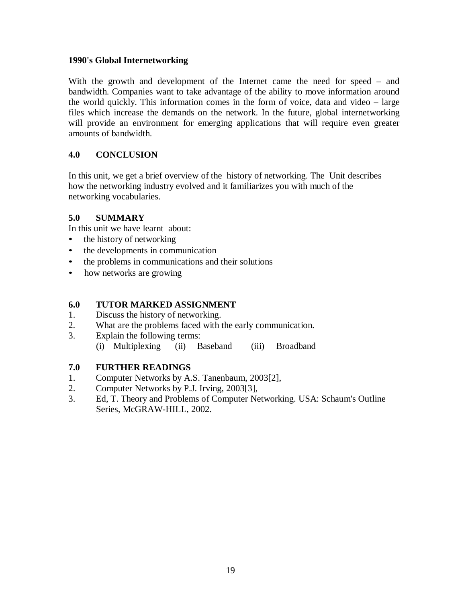#### **1990's Global Internetworking**

With the growth and development of the Internet came the need for speed – and bandwidth. Companies want to take advantage of the ability to move information around the world quickly. This information comes in the form of voice, data and video – large files which increase the demands on the network. In the future, global internetworking will provide an environment for emerging applications that will require even greater amounts of bandwidth.

#### **4.0 CONCLUSION**

In this unit, we get a brief overview of the history of networking. The Unit describes how the networking industry evolved and it familiarizes you with much of the networking vocabularies.

#### **5.0 SUMMARY**

In this unit we have learnt about:

- the history of networking
- the developments in communication
- the problems in communications and their solutions
- how networks are growing

#### **6.0 TUTOR MARKED ASSIGNMENT**

- 1. Discuss the history of networking.
- 2. What are the problems faced with the early communication.
- 3. Explain the following terms:
	- (i) Multiplexing (ii) Baseband (iii) Broadband

#### **7.0 FURTHER READINGS**

- 1. Computer Networks by A.S. Tanenbaum, 2003[2],
- 2. Computer Networks by P.J. Irving, 2003[3],
- 3. Ed, T. Theory and Problems of Computer Networking. USA: Schaum's Outline Series, McGRAW-HILL, 2002.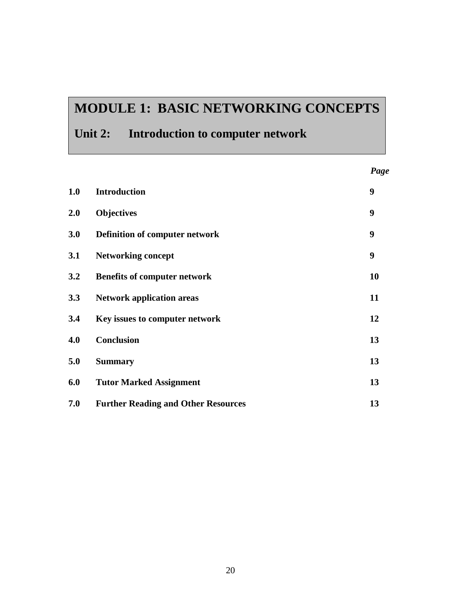# **MODULE 1: BASIC NETWORKING CONCEPTS**

# **Unit 2: Introduction to computer network**

|     |                                            | Page |
|-----|--------------------------------------------|------|
| 1.0 | <b>Introduction</b>                        | 9    |
| 2.0 | <b>Objectives</b>                          | 9    |
| 3.0 | <b>Definition of computer network</b>      | 9    |
| 3.1 | <b>Networking concept</b>                  | 9    |
| 3.2 | <b>Benefits of computer network</b>        | 10   |
| 3.3 | <b>Network application areas</b>           | 11   |
| 3.4 | Key issues to computer network             | 12   |
| 4.0 | <b>Conclusion</b>                          | 13   |
| 5.0 | <b>Summary</b>                             | 13   |
| 6.0 | <b>Tutor Marked Assignment</b>             | 13   |
| 7.0 | <b>Further Reading and Other Resources</b> | 13   |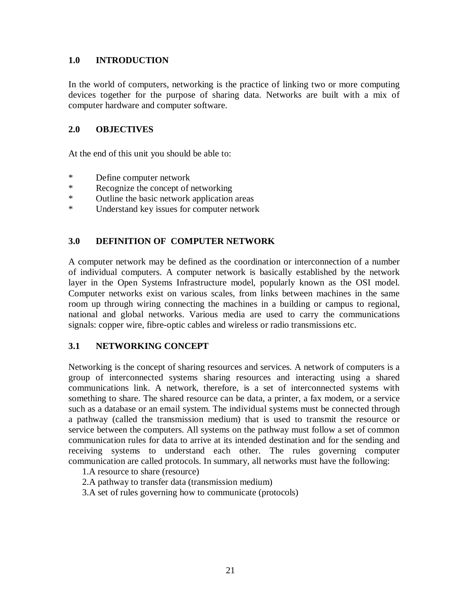#### **1.0 INTRODUCTION**

In the world of computers, networking is the practice of linking two or more computing devices together for the purpose of sharing data. Networks are built with a mix of computer hardware and computer software.

#### **2.0 OBJECTIVES**

At the end of this unit you should be able to:

- \* Define computer network
- \* Recognize the concept of networking
- \* Outline the basic network application areas
- \* Understand key issues for computer network

#### **3.0 DEFINITION OF COMPUTER NETWORK**

A computer network may be defined as the coordination or interconnection of a number of individual computers. A computer network is basically established by the network layer in the Open Systems Infrastructure model, popularly known as the OSI model. Computer networks exist on various scales, from links between machines in the same room up through wiring connecting the machines in a building or campus to regional, national and global networks. Various media are used to carry the communications signals: copper wire, fibre-optic cables and wireless or radio transmissions etc.

#### **3.1 NETWORKING CONCEPT**

Networking is the concept of sharing resources and services. A network of computers is a group of interconnected systems sharing resources and interacting using a shared communications link. A network, therefore, is a set of interconnected systems with something to share. The shared resource can be data, a printer, a fax modem, or a service such as a database or an email system. The individual systems must be connected through a pathway (called the transmission medium) that is used to transmit the resource or service between the computers. All systems on the pathway must follow a set of common communication rules for data to arrive at its intended destination and for the sending and receiving systems to understand each other. The rules governing computer communication are called protocols. In summary, all networks must have the following:

- 1.A resource to share (resource)
- 2.A pathway to transfer data (transmission medium)
- 3.A set of rules governing how to communicate (protocols)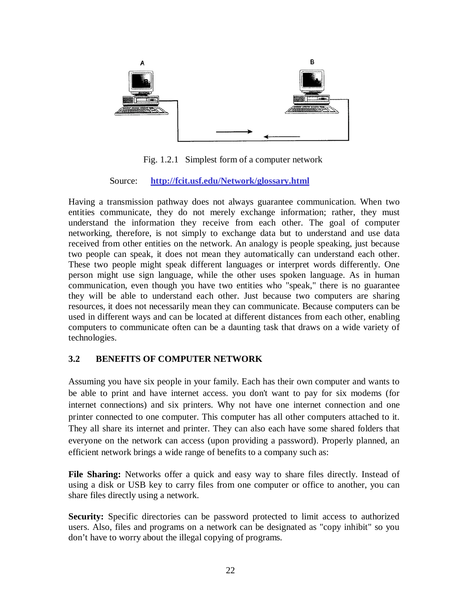

Fig. 1.2.1 Simplest form of a computer network

Source: **http://fcit.usf.edu/Network/glossary.html**

Having a transmission pathway does not always guarantee communication. When two entities communicate, they do not merely exchange information; rather, they must understand the information they receive from each other. The goal of computer networking, therefore, is not simply to exchange data but to understand and use data received from other entities on the network. An analogy is people speaking, just because two people can speak, it does not mean they automatically can understand each other. These two people might speak different languages or interpret words differently. One person might use sign language, while the other uses spoken language. As in human communication, even though you have two entities who "speak," there is no guarantee they will be able to understand each other. Just because two computers are sharing resources, it does not necessarily mean they can communicate. Because computers can be used in different ways and can be located at different distances from each other, enabling computers to communicate often can be a daunting task that draws on a wide variety of technologies.

#### **3.2 BENEFITS OF COMPUTER NETWORK**

Assuming you have six people in your family. Each has their own computer and wants to be able to print and have internet access. you don't want to pay for six modems (for internet connections) and six printers. Why not have one internet connection and one printer connected to one computer. This computer has all other computers attached to it. They all share its internet and printer. They can also each have some shared folders that everyone on the network can access (upon providing a password). Properly planned, an efficient network brings a wide range of benefits to a company such as:

**File Sharing:** Networks offer a quick and easy way to share files directly. Instead of using a disk or USB key to carry files from one computer or office to another, you can share files directly using a network.

**Security:** Specific directories can be password protected to limit access to authorized users. Also, files and programs on a network can be designated as "copy inhibit" so you don't have to worry about the illegal copying of programs.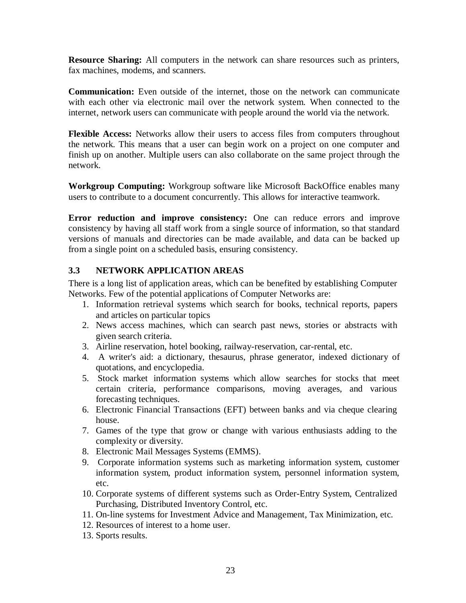**Resource Sharing:** All computers in the network can share resources such as printers, fax machines, modems, and scanners.

**Communication:** Even outside of the internet, those on the network can communicate with each other via electronic mail over the network system. When connected to the internet, network users can communicate with people around the world via the network.

**Flexible Access:** Networks allow their users to access files from computers throughout the network. This means that a user can begin work on a project on one computer and finish up on another. Multiple users can also collaborate on the same project through the network.

**Workgroup Computing:** Workgroup software like Microsoft BackOffice enables many users to contribute to a document concurrently. This allows for interactive teamwork.

**Error reduction and improve consistency:** One can reduce errors and improve consistency by having all staff work from a single source of information, so that standard versions of manuals and directories can be made available, and data can be backed up from a single point on a scheduled basis, ensuring consistency.

#### **3.3 NETWORK APPLICATION AREAS**

There is a long list of application areas, which can be benefited by establishing Computer Networks. Few of the potential applications of Computer Networks are:

- 1. Information retrieval systems which search for books, technical reports, papers and articles on particular topics
- 2. News access machines, which can search past news, stories or abstracts with given search criteria.
- 3. Airline reservation, hotel booking, railway-reservation, car-rental, etc.
- 4. A writer's aid: a dictionary, thesaurus, phrase generator, indexed dictionary of quot ations, and encyclopedia.
- 5. Stock market information systems which allow searches for stocks that meet certain criteria, performance comparisons, moving averages, and various forecasting techniques.
- 6. Electronic Financial Transactions (EFT) between banks and via cheque clearing house.
- 7. Games of the type that grow or change with various enthusiasts adding to the complexity or diversity.
- 8. Electronic Mail Messages Systems (EMMS).
- 9. Corporate information systems such as marketing information system, customer information system, product information system, personnel information system, etc.
- 10. Corporate systems of different systems such as Order-Entry System, Centralized Purchasing, Distributed Inventory Control, etc.
- 11. On-line systems for Investment Advice and Management, Tax Minimization, etc.
- 12. Resources of interest to a home user.
- 13. Sports results.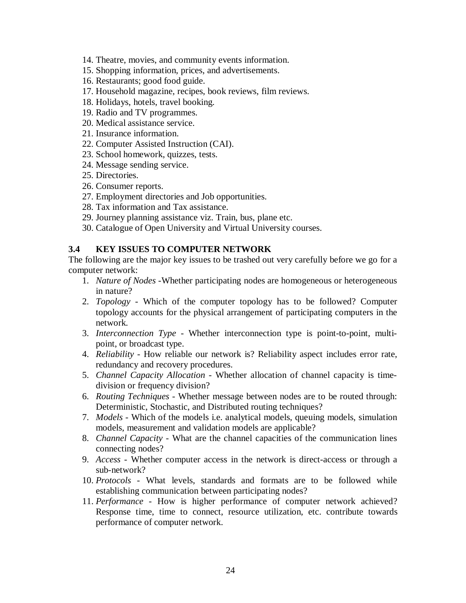- 14. Theatre, movies, and community events information.
- 15. Shopping information, prices, and advertisements.
- 16. Restaurants; good food guide.
- 17. Household magazine, recipes, book reviews, film reviews.
- 18. Holidays, hotels, travel booking.
- 19. Radio and TV programmes.
- 20. Medical assistance service.
- 21. Insurance information.
- 22. Computer Assisted Instruction (CAI).
- 23. School homework, quizzes, tests.
- 24. Message sending service.
- 25. Directories.
- 26. Consumer reports.
- 27. Employment directories and Job opportunities.
- 28. Tax information and Tax assistance.
- 29. Journey planning assistance viz. Train, bus, plane etc.
- 30. Catalogue of Open University and Virtual University courses.

#### **3.4 KEY ISSUES TO COMPUTER NETWORK**

The following are the major key issues to be trashed out very carefully before we go for a computer network:

- 1. *Nature of Nodes* -Whether participating nodes are homogeneous or heterogeneous in nature?
- 2. *Topology* Which of the computer topology has to be followed? Computer topology accounts for the physical arrangement of participating computers in the network.
- 3. *Interconnection Type* Whether interconnection type is point-to-point, multipoint, or broadcast type.
- 4. *Reliability*  How reliable our network is? Reliability aspect includes error rate, redundancy and recovery procedures.
- 5. *Channel Capacity Allocation*  Whether allocation of channel capacity is timedivision or frequency division?
- 6. *Routing Techniques* Whether message between nodes are to be routed through: Deterministic, Stochastic, and Distributed routing techniques?
- 7. *Models* Which of the models i.e. analytical models, queuing models, simulation models, measurement and validation models are applicable?
- 8. *Channel Capacity*  What are the channel capacities of the communication lines connecting nodes?
- 9. *Access*  Whether computer access in the network is direct-access or through a sub-network?
- 10. *Protocols*  What levels, standards and formats are to be followed while establishing communication between participating nodes?
- 11. *Performance*  How is higher performance of computer network achieved? Response time, time to connect, resource utilization, etc. contribute towards performance of computer network.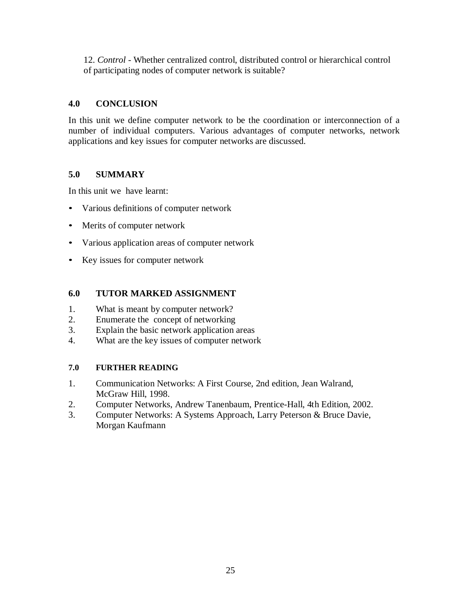12. *Control -* Whether centralized control, distributed control or hierarchical control of participating nodes of computer network is suitable?

### **4.0 CONCLUSION**

In this unit we define computer network to be the coordination or interconnection of a number of individual computers. Various advantages of computer networks, network applications and key issues for computer networks are discussed.

### **5.0 SUMMARY**

In this unit we have learnt:

- Various definitions of computer network
- Merits of computer network
- Various application areas of computer network
- Key issues for computer network

### **6.0 TUTOR MARKED ASSIGNMENT**

- 1. What is meant by computer network?
- 2. Enumerate the concept of networking
- 3. Explain the basic network application areas
- 4. What are the key issues of computer network

### **7.0 FURTHER READING**

- 1. Communication Networks: A First Course*,* 2nd edition, Jean Walrand, McGraw Hill, 1998.
- 2. Computer Networks, Andrew Tanenbaum, Prentice-Hall, 4th Edition, 2002.
- 3. Computer Networks: A Systems Approach, Larry Peterson & Bruce Davie, Morgan Kaufmann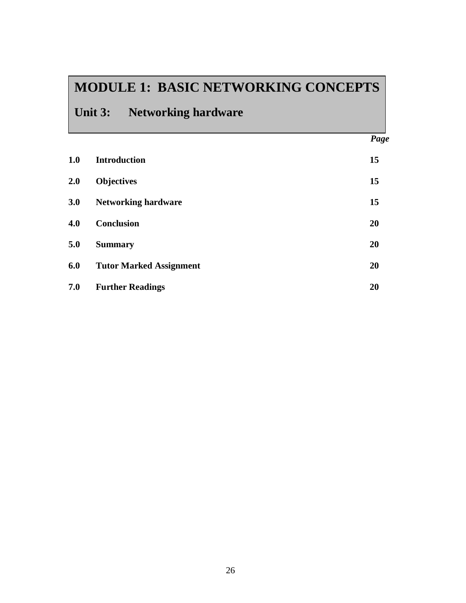# **MODULE 1: BASIC NETWORKING CONCEPTS**

# **Unit 3: Networking hardware**

| 1.0 | <b>Introduction</b>            | 15 |
|-----|--------------------------------|----|
| 2.0 | <b>Objectives</b>              | 15 |
| 3.0 | <b>Networking hardware</b>     | 15 |
| 4.0 | <b>Conclusion</b>              | 20 |
| 5.0 | <b>Summary</b>                 | 20 |
| 6.0 | <b>Tutor Marked Assignment</b> | 20 |
| 7.0 | <b>Further Readings</b>        | 20 |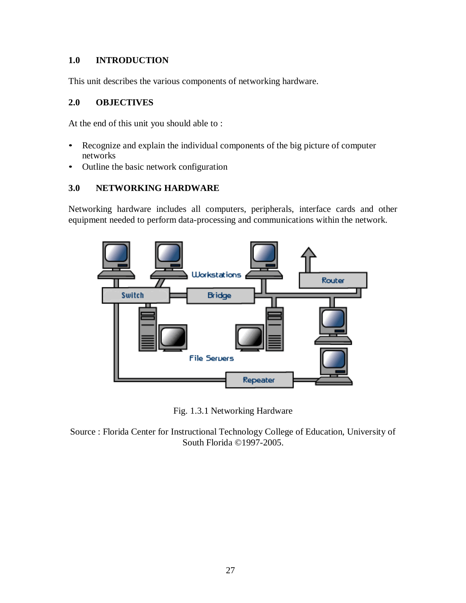#### **1.0 INTRODUCTION**

This unit describes the various components of networking hardware.

#### **2.0 OBJECTIVES**

At the end of this unit you should able to :

- Recognize and explain the individual components of the big picture of computer networks
- Outline the basic network configuration

#### **3.0 NETWORKING HARDWARE**

Networking hardware includes all computers, peripherals, interface cards and other equipment needed to perform data-processing and communications within the network.



Fig. 1.3.1 Networking Hardware

Source : Florida Center for Instructional Technology College of Education, University of South Florida ©1997-2005.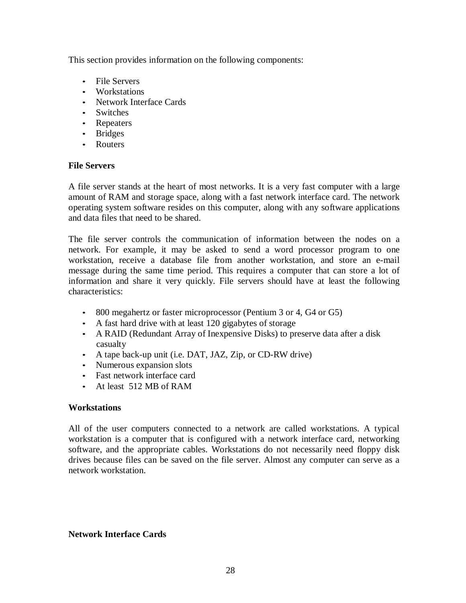This section provides information on the following components:

- File Servers
- Workstations
- Network Interface Cards
- Switches
- Repeaters
- Bridges
- Routers

#### **File Servers**

A file server stands at the heart of most networks. It is a very fast computer with a large amount of RAM and storage space, along with a fast network interface card. The network operating system software resides on this computer, along with any software applications and data files that need to be shared.

The file server controls the communication of information between the nodes on a network. For example, it may be asked to send a word processor program to one workstation, receive a database file from another workstation, and store an e-mail message during the same time period. This requires a computer that can store a lot of information and share it very quickly. File servers should have at least the following characteristics:

- 800 megahertz or faster microprocessor (Pentium 3 or 4, G4 or G5)
- A fast hard drive with at least 120 gigabytes of storage
- A RAID (Redundant Array of Inexpensive Disks) to preserve data after a disk casualty
- A tape back-up unit (i.e. DAT, JAZ, Zip, or CD-RW drive)
- Numerous expansion slots
- Fast network interface card
- At least 512 MB of RAM

#### **Workstations**

All of the user computers connected to a network are called workstations. A typical workstation is a computer that is configured with a network interface card, networking software, and the appropriate cables. Workstations do not necessarily need floppy disk drives because files can be saved on the file server. Almost any computer can serve as a network workstation.

#### **Network Interface Cards**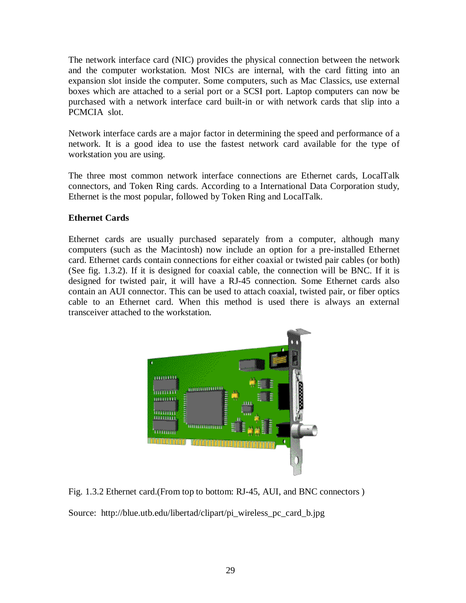The network interface card (NIC) provides the physical connection between the network and the computer workstation. Most NICs are internal, with the card fitting into an expansion slot inside the computer. Some computers, such as Mac Classics, use external boxes which are attached to a serial port or a SCSI port. Laptop computers can now be purchased with a network interface card built-in or with network cards that slip into a PCMCIA slot.

Network interface cards are a major factor in determining the speed and performance of a network. It is a good idea to use the fastest network card available for the type of workstation you are using.

The three most common network interface connections are Ethernet cards, LocalTalk connectors, and Token Ring cards. According to a International Data Corporation study, Ethernet is the most popular, followed by Token Ring and LocalTalk.

#### **Ethernet Cards**

Ethernet cards are usually purchased separately from a computer, although many computers (such as the Macintosh) now include an option for a pre-installed Ethernet card. Ethernet cards contain connections for either coaxial or twisted pair cables (or both) (See fig. 1.3.2). If it is designed for coaxial cable, the connection will be BNC. If it is designed for twisted pair, it will have a RJ-45 connection. Some Ethernet cards also contain an AUI connector. This can be used to attach coaxial, twisted pair, or fiber optics cable to an Ethernet card. When this method is used there is always an external transceiver attached to the workstation.



Fig. 1.3.2 Ethernet card.(From top to bottom: RJ-45, AUI, and BNC connectors ) Source: http://blue.utb.edu/libertad/clipart/pi\_wireless\_pc\_card\_b.jpg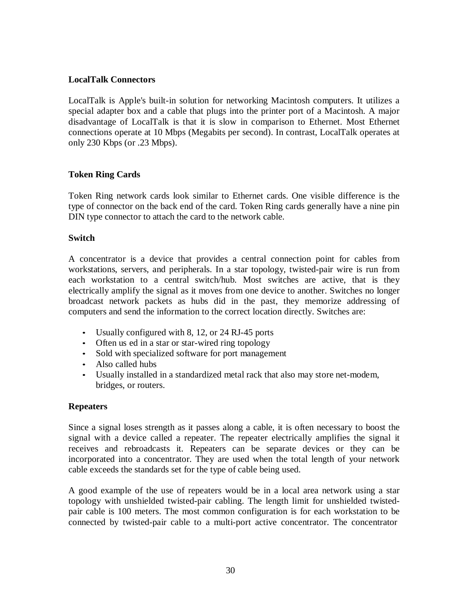#### **LocalTalk Connectors**

LocalTalk is Apple's built-in solution for networking Macintosh computers. It utilizes a special adapter box and a cable that plugs into the printer port of a Macintosh. A major disadvantage of LocalTalk is that it is slow in comparison to Ethernet. Most Ethernet connections operate at 10 Mbps (Megabits per second). In contrast, LocalTalk operates at only 230 Kbps (or .23 Mbps).

#### **Token Ring Cards**

Token Ring network cards look similar to Ethernet cards. One visible difference is the type of connector on the back end of the card. Token Ring cards generally have a nine pin DIN type connector to attach the card to the network cable.

#### **Switch**

A concentrator is a device that provides a central connection point for cables from workstations, servers, and peripherals. In a star topology, twisted-pair wire is run from each workstation to a central switch/hub. Most switches are active, that is they electrically amplify the signal as it moves from one device to another. Switches no longer broadcast network packets as hubs did in the past, they memorize addressing of computers and send the information to the correct location directly. Switches are:

- Usually configured with 8, 12, or 24 RJ-45 ports
- Often us ed in a star or star-wired ring topology
- Sold with specialized software for port management
- Also called hubs
- Usually installed in a standardized metal rack that also may store net-modem, bridges, or routers.

#### **Repeaters**

Since a signal loses strength as it passes along a cable, it is often necessary to boost the signal with a device called a repeater. The repeater electrically amplifies the signal it receives and rebroadcasts it. Repeaters can be separate devices or they can be incorporated into a concentrator. They are used when the total length of your network cable exceeds the standards set for the type of cable being used.

A good example of the use of repeaters would be in a local area network using a star topology with unshielded twisted-pair cabling. The length limit for unshielded twistedpair cable is 100 meters. The most common configuration is for each workstation to be connected by twisted-pair cable to a multi-port active concentrator. The concentrator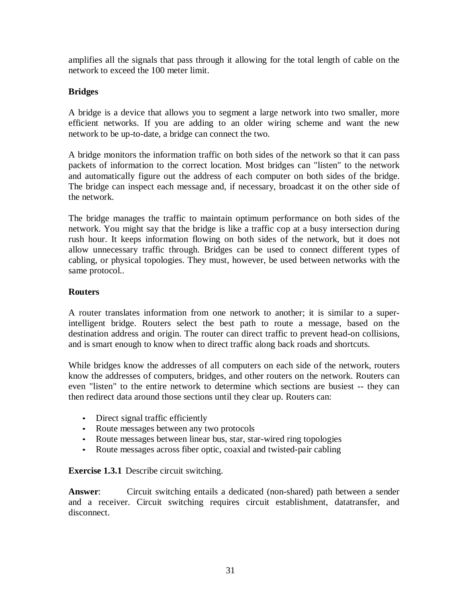amplifies all the signals that pass through it allowing for the total length of cable on the network to exceed the 100 meter limit.

#### **Bridges**

A bridge is a device that allows you to segment a large network into two smaller, more efficient networks. If you are adding to an older wiring scheme and want the new network to be up-to-date, a bridge can connect the two.

A bridge monitors the information traffic on both sides of the network so that it can pass packets of information to the correct location. Most bridges can "listen" to the network and automatically figure out the address of each computer on both sides of the bridge. The bridge can inspect each message and, if necessary, broadcast it on the other side of the network.

The bridge manages the traffic to maintain optimum performance on both sides of the network. You might say that the bridge is like a traffic cop at a busy intersection during rush hour. It keeps information flowing on both sides of the network, but it does not allow unnecessary traffic through. Bridges can be used to connect different types of cabling, or physical topologies. They must, however, be used between networks with the same protocol..

#### **Routers**

A router translates information from one network to another; it is similar to a superintelligent bridge. Routers select the best path to route a message, based on the destination address and origin. The router can direct traffic to prevent head-on collisions, and is smart enough to know when to direct traffic along back roads and shortcuts.

While bridges know the addresses of all computers on each side of the network, routers know the addresses of computers, bridges, and other routers on the network. Routers can even "listen" to the entire network to determine which sections are busiest -- they can then redirect data around those sections until they clear up. Routers can:

- Direct signal traffic efficiently
- Route messages between any two protocols
- Route messages between linear bus, star, star-wired ring topologies
- Route messages across fiber optic, coaxial and twisted-pair cabling

**Exercise 1.3.1** Describe circuit switching.

**Answer:** Circuit switching entails a dedicated (non-shared) path between a sender and a receiver. Circuit switching requires circuit establishment, datatransfer, and disconnect.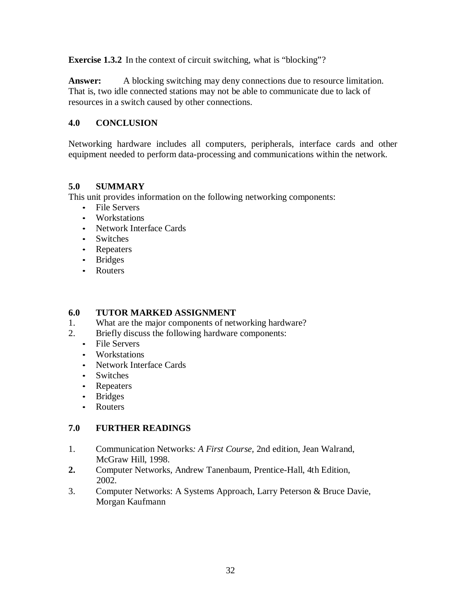**Exercise 1.3.2** In the context of circuit switching, what is "blocking"?

**Answer:** A blocking switching may deny connections due to resource limitation. That is, two idle connected stations may not be able to communicate due to lack of resources in a switch caused by other connections.

#### **4.0 CONCLUSION**

Networking hardware includes all computers, peripherals, interface cards and other equipment needed to perform data-processing and communications within the network.

#### **5.0 SUMMARY**

This unit provides information on the following networking components:

- File Servers
- Workstations
- Network Interface Cards
- Switches
- Repeaters
- Bridges
- Routers

#### **6.0 TUTOR MARKED ASSIGNMENT**

- 1. What are the major components of networking hardware?
- 2. Briefly discuss the following hardware components:
	- File Servers
	- Workstations
	- Network Interface Cards
	- Switches
	- Repeaters
	- Bridges
	- Routers

#### **7.0 FURTHER READINGS**

- 1. Communication Networks*: A First Course,* 2nd edition, Jean Walrand, McGraw Hill, 1998.
- **2.** Computer Networks*,* Andrew Tanenbaum, Prentice-Hall, 4th Edition, 2002.
- 3. Computer Networks: A Systems Approach, Larry Peterson & Bruce Davie, Morgan Kaufmann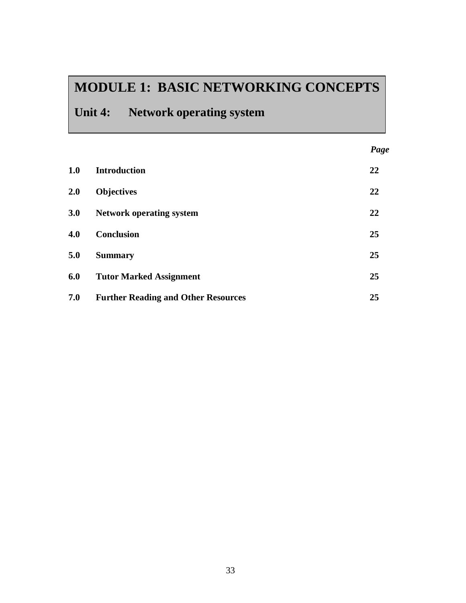# **MODULE 1: BASIC NETWORKING CONCEPTS**

# **Unit 4: Network operating system**

|     |                                            | Page |
|-----|--------------------------------------------|------|
| 1.0 | <b>Introduction</b>                        | 22   |
| 2.0 | <b>Objectives</b>                          | 22   |
| 3.0 | <b>Network operating system</b>            | 22   |
| 4.0 | <b>Conclusion</b>                          | 25   |
| 5.0 | <b>Summary</b>                             | 25   |
| 6.0 | <b>Tutor Marked Assignment</b>             | 25   |
| 7.0 | <b>Further Reading and Other Resources</b> | 25   |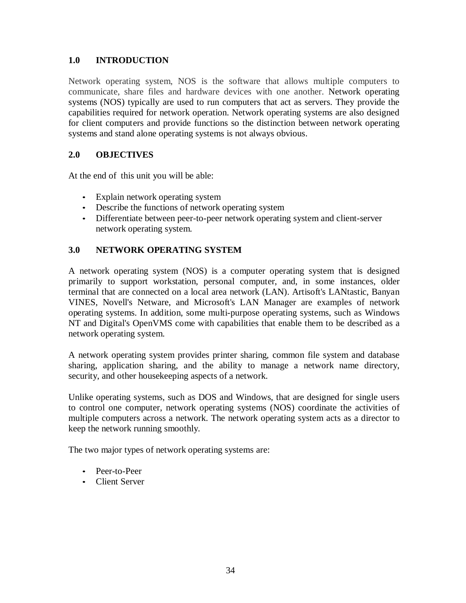#### **1.0 INTRODUCTION**

Network operating system, NOS is the software that allows multiple computers to communicate, share files and hardware devices with one another. Network operating systems (NOS) typically are used to run computers that act as servers. They provide the capabilities required for network operation. Network operating systems are also designed for client computers and provide functions so the distinction between network operating systems and stand alone operating systems is not always obvious.

#### **2.0 OBJECTIVES**

At the end of this unit you will be able:

- Explain network operating system
- Describe the functions of network operating system
- Differentiate between peer-to-peer network operating system and client-server network operating system.

#### **3.0 NETWORK OPERATING SYSTEM**

A network operating system (NOS) is a computer operating system that is designed primarily to support workstation, personal computer, and, in some instances, older terminal that are connected on a local area network (LAN). Artisoft's LANtastic, Banyan VINES, Novell's Netware, and Microsoft's LAN Manager are examples of network operating systems. In addition, some multi-purpose operating systems, such as Windows NT and Digital's OpenVMS come with capabilities that enable them to be described as a network operating system.

A network operating system provides printer sharing, common file system and database sharing, application sharing, and the ability to manage a network name directory, security, and other housekeeping aspects of a network.

Unlike operating systems, such as DOS and Windows, that are designed for single users to control one computer, network operating systems (NOS) coordinate the activities of multiple computers across a network. The network operating system acts as a director to keep the network running smoothly.

The two major types of network operating systems are:

- Peer-to-Peer
- Client Server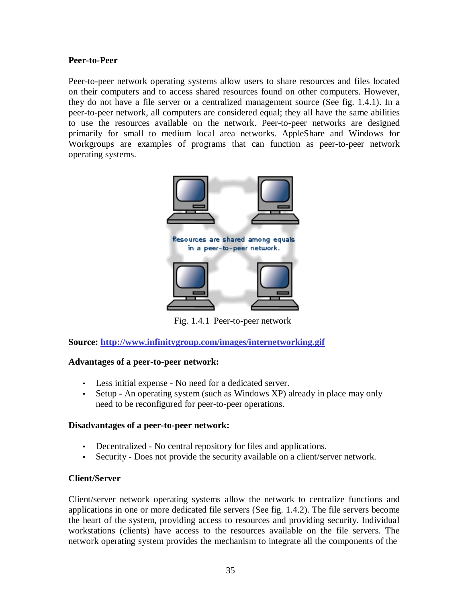#### **Peer-to-Peer**

Peer-to-peer network operating systems allow users to share resources and files located on their computers and to access shared resources found on other computers. However, they do not have a file server or a centralized management source (See fig. 1.4.1). In a peer-to-peer network, all computers are considered equal; they all have the same abilities to use the resources available on the network. Peer-to-peer networks are designed primarily for small to medium local area networks. AppleShare and Windows for Workgroups are examples of programs that can function as peer-to-peer network operating systems.



Fig. 1.4.1 Peer-to-peer network

#### **Source: http://www.infinitygroup.com/images/internetworking.gif**

#### **Advantages of a peer-to-peer network:**

- Less initial expense No need for a dedicated server.
- Setup An operating system (such as Windows XP) already in place may only need to be reconfigured for peer-to-peer operations.

#### **Disadvantages of a peer-to-peer network:**

- Decentralized No central repository for files and applications.
- Security Does not provide the security available on a client/server network.

#### **Client/Server**

Client/server network operating systems allow the network to centralize functions and applications in one or more dedicated file servers (See fig. 1.4.2). The file servers become the heart of the system, providing access to resources and providing security. Individual workstations (clients) have access to the resources available on the file servers. The network operating system provides the mechanism to integrate all the components of the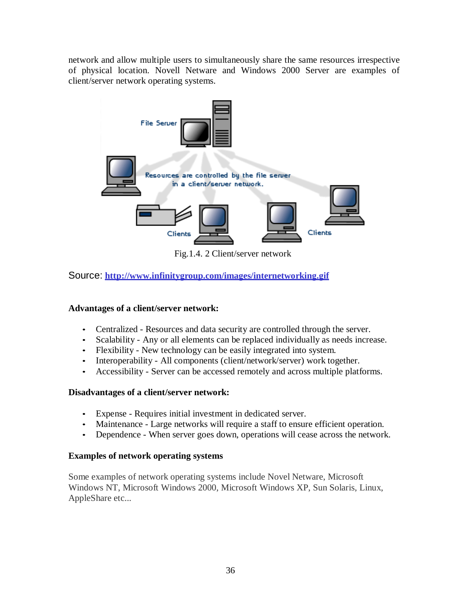network and allow multiple users to simultaneously share the same resources irrespective of physical location. Novell Netware and Windows 2000 Server are examples of client/server network operating systems.



Fig.1.4. 2 Client/server network

Source: **http://www.infinitygroup.com/images/internetworking.gif**

### **Advantages of a client/server network:**

- Centralized Resources and data security are controlled through the server.
- Scalability Any or all elements can be replaced individually as needs increase.
- Flexibility New technology can be easily integrated into system.
- Interoperability All components (client/network/server) work together.
- Accessibility Server can be accessed remotely and across multiple platforms.

### **Disadvantages of a client/server network:**

- Expense Requires initial investment in dedicated server.
- Maintenance Large networks will require a staff to ensure efficient operation.
- Dependence When server goes down, operations will cease across the network.

### **Examples of network operating systems**

Some examples of network operating systems include Novel Netware, Microsoft Windows NT, Microsoft Windows 2000, Microsoft Windows XP, Sun Solaris, Linux, AppleShare etc...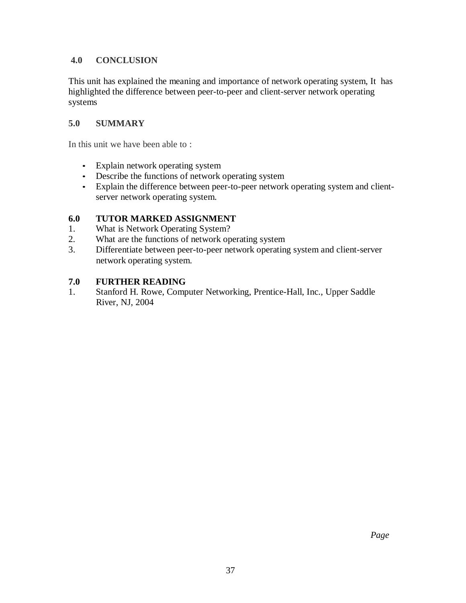#### **4.0 CONCLUSION**

This unit has explained the meaning and importance of network operating system, It has highlighted the difference between peer-to-peer and client-server network operating systems

#### **5.0 SUMMARY**

In this unit we have been able to :

- Explain network operating system
- Describe the functions of network operating system
- Explain the difference between peer-to-peer network operating system and clientserver network operating system.

#### **6.0 TUTOR MARKED ASSIGNMENT**

- 1. What is Network Operating System?
- 2. What are the functions of network operating system
- 3. Differentiate between peer-to-peer network operating system and client-server network operating system.

#### **7.0 FURTHER READING**

1. Stanford H. Rowe, Computer Networking, Prentice-Hall, Inc., Upper Saddle River, NJ, 2004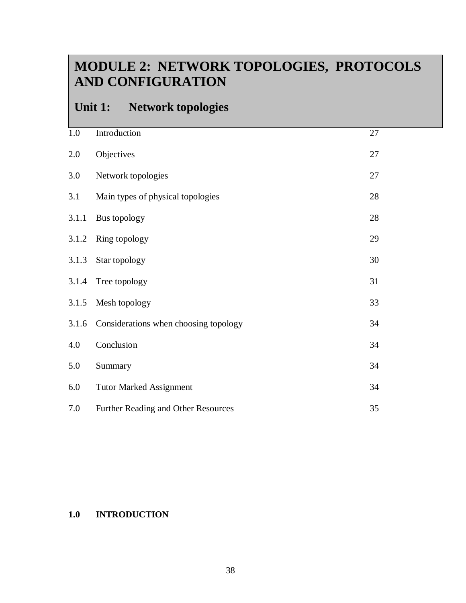# **MODULE 2: NETWORK TOPOLOGIES, PROTOCOLS AND CONFIGURATION**

# **Unit 1: Network topologies**

| $\overline{1.0}$ | Introduction                          | 27 |
|------------------|---------------------------------------|----|
| 2.0              | Objectives                            | 27 |
| 3.0              | Network topologies                    | 27 |
| 3.1              | Main types of physical topologies     | 28 |
| 3.1.1            | Bus topology                          | 28 |
| 3.1.2            | Ring topology                         | 29 |
| 3.1.3            | Star topology                         | 30 |
| 3.1.4            | Tree topology                         | 31 |
| 3.1.5            | Mesh topology                         | 33 |
| 3.1.6            | Considerations when choosing topology | 34 |
| 4.0              | Conclusion                            | 34 |
| 5.0              | Summary                               | 34 |
| 6.0              | <b>Tutor Marked Assignment</b>        | 34 |
| 7.0              | Further Reading and Other Resources   | 35 |

# **1.0 INTRODUCTION**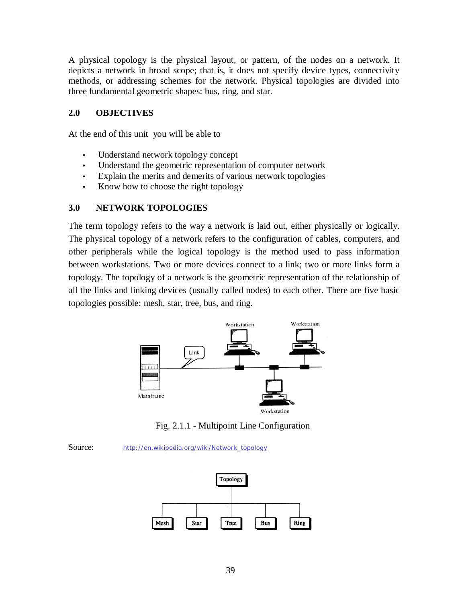A physical topology is the physical layout, or pattern, of the nodes on a network. It depicts a network in broad scope; that is, it does not specify device types, connectivity methods, or addressing schemes for the network. Physical topologies are divided into three fundamental geometric shapes: bus, ring, and star.

# **2.0 OBJECTIVES**

At the end of this unit you will be able to

- Understand network topology concept
- Understand the geometric representation of computer network
- Explain the merits and demerits of various network topologies
- Know how to choose the right topology

# **3.0 NETWORK TOPOLOGIES**

The term topology refers to the way a network is laid out, either physically or logically. The physical topology of a network refers to the configuration of cables, computers, and other peripherals while the logical topology is the method used to pass information between workstations. Two or more devices connect to a link; two or more links form a topology. The topology of a network is the geometric representation of the relationship of all the links and linking devices (usually called nodes) to each other. There are five basic topologies possible: mesh, star, tree, bus, and ring.



Fig. 2.1.1 - Multipoint Line Configuration

Source: http://en.wikipedia.org/wiki/Network\_topology

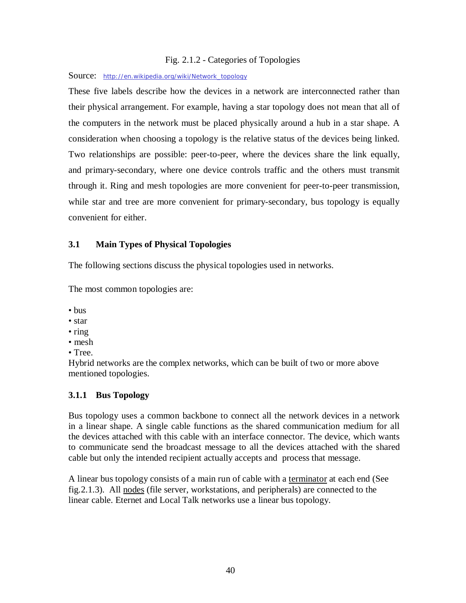#### Fig. 2.1.2 - Categories of Topologies

Source: http://en.wikipedia.org/wiki/Network\_topology

These five labels describe how the devices in a network are interconnected rather than their physical arrangement. For example, having a star topology does not mean that all of the computers in the network must be placed physically around a hub in a star shape. A consideration when choosing a topology is the relative status of the devices being linked. Two relationships are possible: peer-to-peer, where the devices share the link equally, and primary-secondary, where one device controls traffic and the others must transmit through it. Ring and mesh topologies are more convenient for peer-to-peer transmission, while star and tree are more convenient for primary-secondary, bus topology is equally convenient for either.

#### **3.1 Main Types of Physical Topologies**

The following sections discuss the physical topologies used in networks.

The most common topologies are:

• bus

- star
- ring
- mesh
- Tree.

Hybrid networks are the complex networks, which can be built of two or more above mentioned topologies.

#### **3.1.1 Bus Topology**

Bus topology uses a common backbone to connect all the network devices in a network in a linear shape. A single cable functions as the shared communication medium for all the devices attached with this cable with an interface connector. The device, which wants to communicate send the broadcast message to all the devices attached with the shared cable but only the intended recipient actually accepts and process that message.

A linear bus topology consists of a main run of cable with a terminator at each end (See fig.2.1.3). All nodes (file server, workstations, and peripherals) are connected to the linear cable. Eternet and Local Talk networks use a linear bus topology.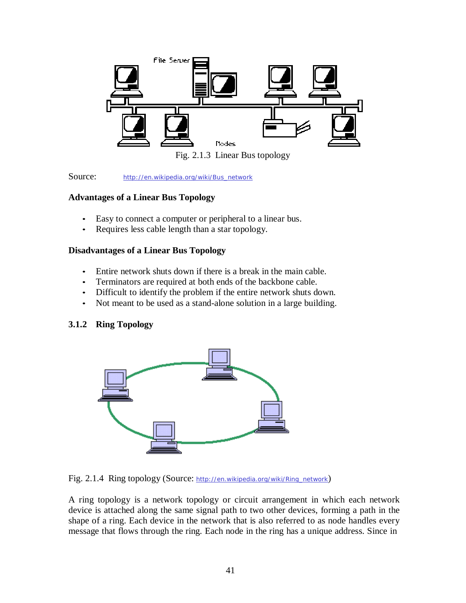

Source: http://en.wikipedia.org/wiki/Bus\_network

#### **Advantages of a Linear Bus Topology**

- Easy to connect a computer or peripheral to a linear bus.
- Requires less cable length than a star topology.

#### **Disadvantages of a Linear Bus Topology**

- Entire network shuts down if there is a break in the main cable.
- Terminators are required at both ends of the backbone cable.
- Difficult to identify the problem if the entire network shuts down.
- Not meant to be used as a stand-alone solution in a large building.

#### **3.1.2 Ring Topology**



Fig. 2.1.4 Ring topology (Source: http://en.wikipedia.org/wiki/Ring\_network)

A ring topology is a network topology or circuit arrangement in which each network device is attached along the same signal path to two other devices, forming a path in the shape of a ring. Each device in the network that is also referred to as node handles every message that flows through the ring. Each node in the ring has a unique address. Since in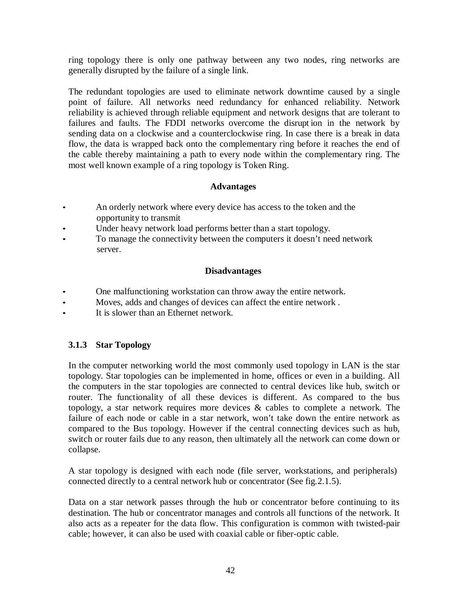ring topology there is only one pathway between any two nodes, ring networks are generally disrupted by the failure of a single link.

The redundant topologies are used to eliminate network downtime caused by a single point of failure. All networks need redundancy for enhanced reliability. Network reliability is achieved through reliable equipment and network designs that are tolerant to failures and faults. The FDDI networks overcome the disrupt ion in the network by sending data on a clockwise and a counterclockwise ring. In case there is a break in data flow, the data is wrapped back onto the complementary ring before it reaches the end of the cable thereby maintaining a path to every node within the complementary ring. The most well known example of a ring topology is Token Ring.

#### **Advantages**

- An orderly network where every device has access to the token and the opportunity to transmit
- Under heavy network load performs better than a start topology.
- To manage the connectivity between the computers it doesn't need network server.

#### **Disadvantages**

- One malfunctioning workstation can throw away the entire network.
- Moves, adds and changes of devices can affect the entire network .
- It is slower than an Ethernet network.

#### **3.1.3 Star Topology**

In the computer networking world the most commonly used topology in LAN is the star topology. Star topologies can be implemented in home, offices or even in a building. All the computers in the star topologies are connected to central devices like hub, switch or router. The functionality of all these devices is different. As compared to the bus topology, a star network requires more devices & cables to complete a network. The failure of each node or cable in a star network, won't take down the entire network as compared to the Bus topology. However if the central connecting devices such as hub, switch or router fails due to any reason, then ultimately all the network can come down or collapse.

A star topology is designed with each node (file server, workstations, and peripherals) connected directly to a central network hub or concentrator (See fig.2.1.5).

Data on a star network passes through the hub or concentrator before continuing to its destination. The hub or concentrator manages and controls all functions of the network. It also acts as a repeater for the data flow. This configuration is common with twisted-pair cable; however, it can also be used with coaxial cable or fiber-optic cable.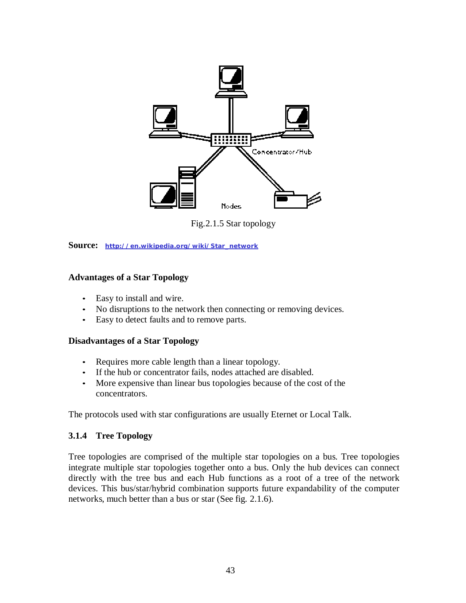

Fig.2.1.5 Star topology

**Source: http://en.wikipedia.org/wiki/Star\_network**

#### **Advantages of a Star Topology**

- Easy to install and wire.
- No disruptions to the network then connecting or removing devices.
- Easy to detect faults and to remove parts.

#### **Disadvantages of a Star Topology**

- Requires more cable length than a linear topology.
- If the hub or concentrator fails, nodes attached are disabled.
- More expensive than linear bus topologies because of the cost of the concentrators.

The protocols used with star configurations are usually Eternet or Local Talk.

#### **3.1.4 Tree Topology**

Tree topologies are comprised of the multiple star topologies on a bus. Tree topologies integrate multiple star topologies together onto a bus. Only the hub devices can connect directly with the tree bus and each Hub functions as a root of a tree of the network devices. This bus/star/hybrid combination supports future expandability of the computer networks, much better than a bus or star (See fig. 2.1.6).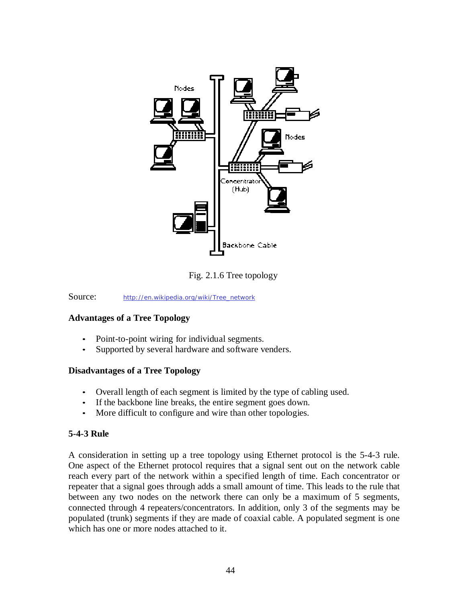

Fig. 2.1.6 Tree topology

Source: http://en.wikipedia.org/wiki/Tree\_network

#### **Advantages of a Tree Topology**

- Point-to-point wiring for individual segments.
- Supported by several hardware and software venders.

#### **Disadvantages of a Tree Topology**

- Overall length of each segment is limited by the type of cabling used.
- If the backbone line breaks, the entire segment goes down.
- More difficult to configure and wire than other topologies.

#### **5-4-3 Rule**

A consideration in setting up a tree topology using Ethernet protocol is the 5-4-3 rule. One aspect of the Ethernet protocol requires that a signal sent out on the network cable reach every part of the network within a specified length of time. Each concentrator or repeater that a signal goes through adds a small amount of time. This leads to the rule that between any two nodes on the network there can only be a maximum of 5 segments, connected through 4 repeaters/concentrators. In addition, only 3 of the segments may be populated (trunk) segments if they are made of coaxial cable. A populated segment is one which has one or more nodes attached to it.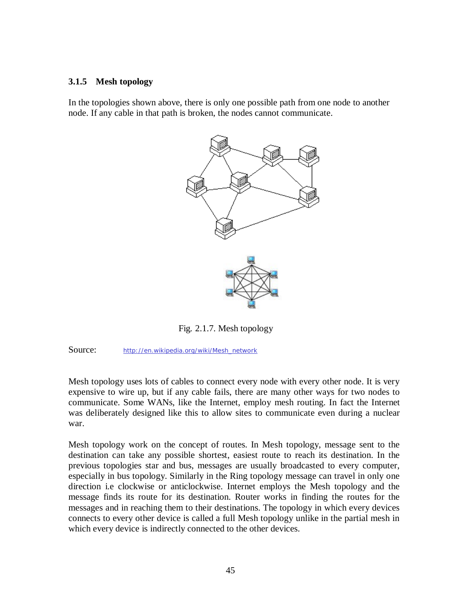#### **3.1.5 Mesh topology**

In the topologies shown above, there is only one possible path from one node to another node. If any cable in that path is broken, the nodes cannot communicate.



Fig. 2.1.7. Mesh topology

Source: http://en.wikipedia.org/wiki/Mesh\_network

Mesh topology uses lots of cables to connect every node with every other node. It is very expensive to wire up, but if any cable fails, there are many other ways for two nodes to communicate. Some WANs, like the Internet, employ mesh routing. In fact the Internet was deliberately designed like this to allow sites to communicate even during a nuclear war.

Mesh topology work on the concept of routes. In Mesh topology, message sent to the destination can take any possible shortest, easiest route to reach its destination. In the previous topologies star and bus, messages are usually broadcasted to every computer, especially in bus topology. Similarly in the Ring topology message can travel in only one direction i.e clockwise or anticlockwise. Internet employs the Mesh topology and the message finds its route for its destination. Router works in finding the routes for the messages and in reaching them to their destinations. The topology in which every devices connects to every other device is called a full Mesh topology unlike in the partial mesh in which every device is indirectly connected to the other devices.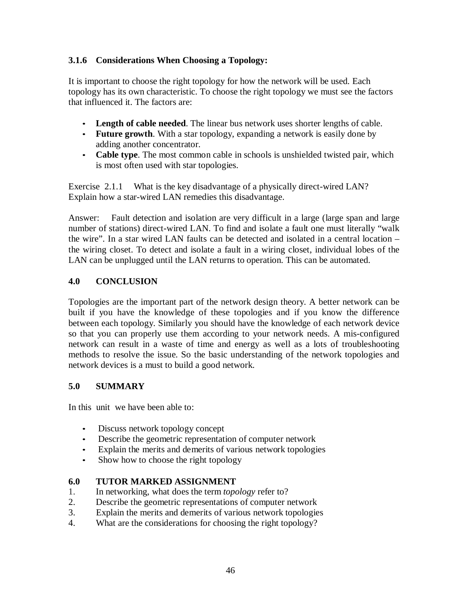# **3.1.6 Considerations When Choosing a Topology:**

It is important to choose the right topology for how the network will be used. Each topology has its own characteristic. To choose the right topology we must see the factors that influenced it. The factors are:

- **Length of cable needed**. The linear bus network uses shorter lengths of cable.
- **Future growth**. With a star topology, expanding a network is easily done by adding another concentrator.
- **Cable type**. The most common cable in schools is unshielded twisted pair, which is most often used with star topologies.

Exercise 2.1.1 What is the key disadvantage of a physically direct-wired LAN? Explain how a star-wired LAN remedies this disadvantage.

Answer: Fault detection and isolation are very difficult in a large (large span and large number of stations) direct-wired LAN. To find and isolate a fault one must literally "walk the wire". In a star wired LAN faults can be detected and isolated in a central location – the wiring closet. To detect and isolate a fault in a wiring closet, individual lobes of the LAN can be unplugged until the LAN returns to operation. This can be automated.

# **4.0 CONCLUSION**

Topologies are the important part of the network design theory. A better network can be built if you have the knowledge of these topologies and if you know the difference between each topology. Similarly you should have the knowledge of each network device so that you can properly use them according to your network needs. A mis-configured network can result in a waste of time and energy as well as a lots of troubleshooting methods to resolve the issue. So the basic understanding of the network topologies and network devices is a must to build a good network.

# **5.0 SUMMARY**

In this unit we have been able to:

- Discuss network topology concept
- Describe the geometric representation of computer network
- Explain the merits and demerits of various network topologies
- Show how to choose the right topology

#### **6.0 TUTOR MARKED ASSIGNMENT**

- 1. In networking, what does the term *topology* refer to?
- 2. Describe the geometric representations of computer network
- 3. Explain the merits and demerits of various network topologies
- 4. What are the considerations for choosing the right topology?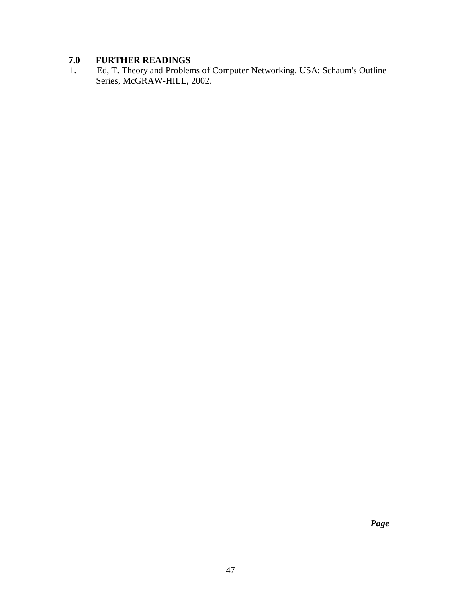# **7.0 FURTHER READINGS**<br>1. Ed, T. Theory and Problen

1. Ed, T. Theory and Problems of Computer Networking. USA: Schaum's Outline Series, McGRAW-HILL, 2002.

*Page*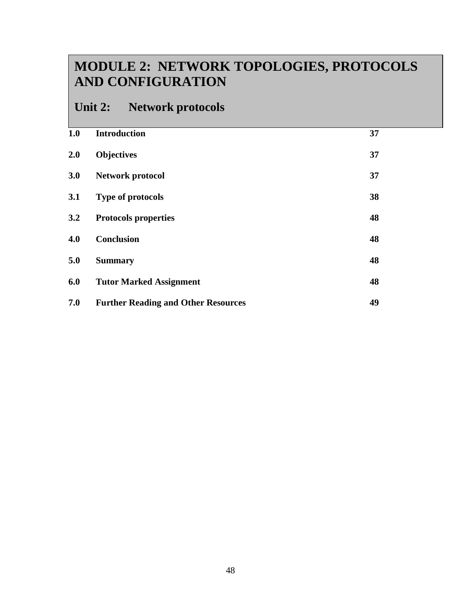# **MODULE 2: NETWORK TOPOLOGIES, PROTOCOLS AND CONFIGURATION**

# **Unit 2: Network protocols**

| 1.0 | <b>Introduction</b>                        | 37 |
|-----|--------------------------------------------|----|
| 2.0 | <b>Objectives</b>                          | 37 |
| 3.0 | <b>Network protocol</b>                    | 37 |
| 3.1 | Type of protocols                          | 38 |
| 3.2 | <b>Protocols properties</b>                | 48 |
| 4.0 | <b>Conclusion</b>                          | 48 |
| 5.0 | <b>Summary</b>                             | 48 |
| 6.0 | <b>Tutor Marked Assignment</b>             | 48 |
| 7.0 | <b>Further Reading and Other Resources</b> | 49 |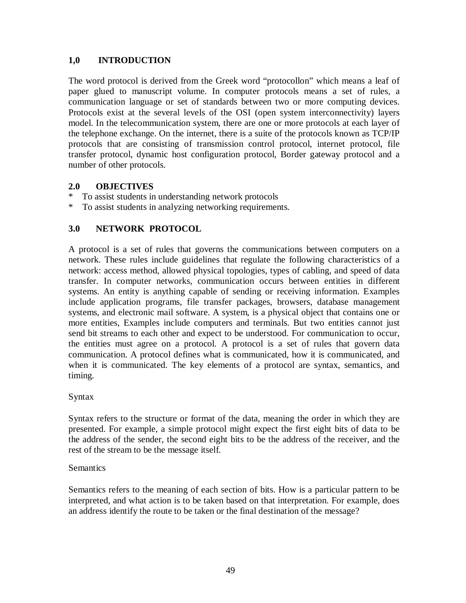# **1,0 INTRODUCTION**

The word protocol is derived from the Greek word "protocollon" which means a leaf of paper glued to manuscript volume. In computer protocols means a set of rules, a communication language or set of standards between two or more computing devices. Protocols exist at the several levels of the OSI (open system interconnectivity) layers model. In the telecommunication system, there are one or more protocols at each layer of the telephone exchange. On the internet, there is a suite of the protocols known as TCP/IP protocols that are consisting of transmission control protocol, internet protocol, file transfer protocol, dynamic host configuration protocol, Border gateway protocol and a number of other protocols.

# **2.0 OBJECTIVES**

- To assist students in understanding network protocols
- \* To assist students in analyzing networking requirements.

# **3.0 NETWORK PROTOCOL**

A protocol is a set of rules that governs the communications between computers on a network. These rules include guidelines that regulate the following characteristics of a network: access method, allowed physical topologies, types of cabling, and speed of data transfer. In computer networks, communication occurs between entities in different systems. An entity is anything capable of sending or receiving information. Examples include application programs, file transfer packages, browsers, database management systems, and electronic mail software. A system, is a physical object that contains one or more entities, Examples include computers and terminals. But two entities cannot just send bit streams to each other and expect to be understood. For communication to occur, the entities must agree on a protocol. A protocol is a set of rules that govern data communication. A protocol defines what is communicated, how it is communicated, and when it is communicated. The key elements of a protocol are syntax, semantics, and timing.

#### Syntax

Syntax refers to the structure or format of the data, meaning the order in which they are presented. For example, a simple protocol might expect the first eight bits of data to be the address of the sender, the second eight bits to be the address of the receiver, and the rest of the stream to be the message itself.

#### Semantics

Semantics refers to the meaning of each section of bits. How is a particular pattern to be interpreted, and what action is to be taken based on that interpretation. For example, does an address identify the route to be taken or the final destination of the message?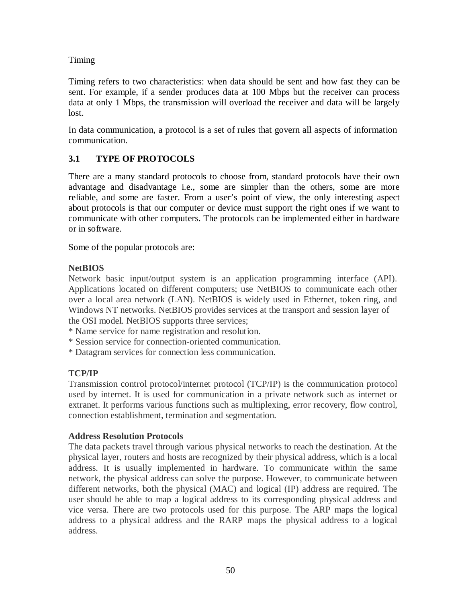### Timing

Timing refers to two characteristics: when data should be sent and how fast they can be sent. For example, if a sender produces data at 100 Mbps but the receiver can process data at only 1 Mbps, the transmission will overload the receiver and data will be largely lost.

In data communication, a protocol is a set of rules that govern all aspects of information communication.

# **3.1 TYPE OF PROTOCOLS**

There are a many standard protocols to choose from, standard protocols have their own advantage and disadvantage i.e., some are simpler than the others, some are more reliable, and some are faster. From a user's point of view, the only interesting aspect about protocols is that our computer or device must support the right ones if we want to communicate with other computers. The protocols can be implemented either in hardware or in software.

Some of the popular protocols are:

# **NetBIOS**

Network basic input/output system is an application programming interface (API). Applications located on different computers; use NetBIOS to communicate each other over a local area network (LAN). NetBIOS is widely used in Ethernet, token ring, and Windows NT networks. NetBIOS provides services at the transport and session layer of the OSI model. NetBIOS supports three services;

\* Name service for name registration and resolut ion.

\* Session service for connection-oriented communication.

\* Datagram services for connection less communication.

# **TCP/IP**

Transmission control protocol/internet protocol (TCP/IP) is the communication protocol used by internet. It is used for communication in a private network such as internet or extranet. It performs various functions such as multiplexing, error recovery, flow control, connection establishment, termination and segmentation.

#### **Address Resolution Protocols**

The data packets travel through various physical networks to reach the destination. At the physical layer, routers and hosts are recognized by their physical address, which is a local address. It is usually implemented in hardware. To communicate within the same network, the physical address can solve the purpose. However, to communicate between different networks, both the physical (MAC) and logical (IP) address are required. The user should be able to map a logical address to its corresponding physical address and vice versa. There are two protocols used for this purpose. The ARP maps the logical address to a physical address and the RARP maps the physical address to a logical address.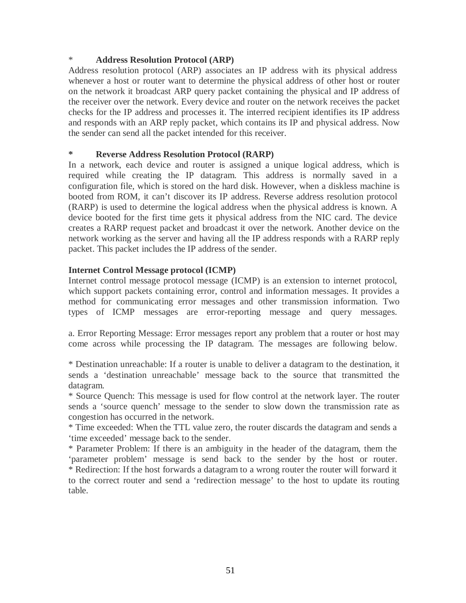#### \* **Address Resolution Protocol (ARP)**

Address resolution protocol (ARP) associates an IP address with its physical address whenever a host or router want to determine the physical address of other host or router on the network it broadcast ARP query packet containing the physical and IP address of the receiver over the network. Every device and router on the network receives the packet checks for the IP address and processes it. The interred recipient identifies its IP address and responds with an ARP reply packet, which contains its IP and physical address. Now the sender can send all the packet intended for this receiver.

#### **\* Reverse Address Resolution Protocol (RARP)**

In a network, each device and router is assigned a unique logical address, which is required while creating the IP datagram. This address is normally saved in a configuration file, which is stored on the hard disk. However, when a diskless machine is booted from ROM, it can't discover its IP address. Reverse address resolution protocol (RARP) is used to determine the logical address when the physical address is known. A device booted for the first time gets it physical address from the NIC card. The device creates a RARP request packet and broadcast it over the network. Another device on the network working as the server and having all the IP address responds with a RARP reply packet. This packet includes the IP address of the sender.

#### **Internet Control Message protocol (ICMP)**

Internet control message protocol message (ICMP) is an extension to internet protocol, which support packets containing error, control and information messages. It provides a method for communicating error messages and other transmission information. Two types of ICMP messages are error-reporting message and query messages.

a. Error Reporting Message: Error messages report any problem that a router or host may come across while processing the IP datagram. The messages are following below.

\* Destination unreachable: If a router is unable to deliver a datagram to the destination, it sends a 'destination unreachable' message back to the source that transmitted the datagram.

\* Source Quench: This message is used for flow control at the network layer. The router sends a 'source quench' message to the sender to slow down the transmission rate as congestion has occurred in the network.

\* Time exceeded: When the TTL value zero, the router discards the datagram and sends a 'time exceeded' message back to the sender.

\* Parameter Problem: If there is an ambiguity in the header of the datagram, them the 'parameter problem' message is send back to the sender by the host or router.

\* Redirection: If the host forwards a datagram to a wrong router the router will forward it to the correct router and send a 'redirection message' to the host to update its routing table.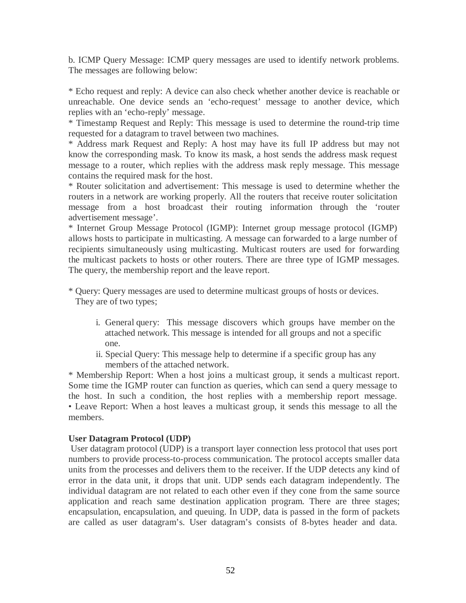b. ICMP Query Message: ICMP query messages are used to identify network problems. The messages are following below:

\* Echo request and reply: A device can also check whether another device is reachable or unreachable. One device sends an 'echo-request' message to another device, which replies with an 'echo-reply' message.

\* Timestamp Request and Reply: This message is used to determine the round-trip time requested for a datagram to travel between two machines.

\* Address mark Request and Reply: A host may have its full IP address but may not know the corresponding mask. To know its mask, a host sends the address mask request message to a router, which replies with the address mask reply message. This message contains the required mask for the host.

\* Router solicitation and advertisement: This message is used to determine whether the routers in a network are working properly. All the routers that receive router solicitation message from a host broadcast their routing information through the 'router advertisement message'.

\* Internet Group Message Protocol (IGMP): Internet group message protocol (IGMP) allows hosts to participate in multicasting. A message can forwarded to a large number of recipients simultaneously using multicasting. Multicast routers are used for forwarding the multicast packets to hosts or other routers. There are three type of IGMP messages. The query, the membership report and the leave report.

\* Query: Query messages are used to determine multicast groups of hosts or devices. They are of two types;

- i. General query: This message discovers which groups have member on the attached network. This message is intended for all groups and not a specific one.
- ii. Special Query: This message help to determine if a specific group has any members of the attached network.

\* Membership Report: When a host joins a multicast group, it sends a multicast report. Some time the IGMP router can function as queries, which can send a query message to the host. In such a condition, the host replies with a membership report message. • Leave Report: When a host leaves a multicast group, it sends this message to all the members.

#### **User Datagram Protocol (UDP)**

User datagram protocol (UDP) is a transport layer connection less protocol that uses port numbers to provide process-to-process communication. The protocol accepts smaller data units from the processes and delivers them to the receiver. If the UDP detects any kind of error in the data unit, it drops that unit. UDP sends each datagram independently. The individual datagram are not related to each other even if they cone from the same source application and reach same destination application program. There are three stages; encapsulation, encapsulation, and queuing. In UDP, data is passed in the form of packets are called as user datagram's. User datagram's consists of 8-bytes header and data.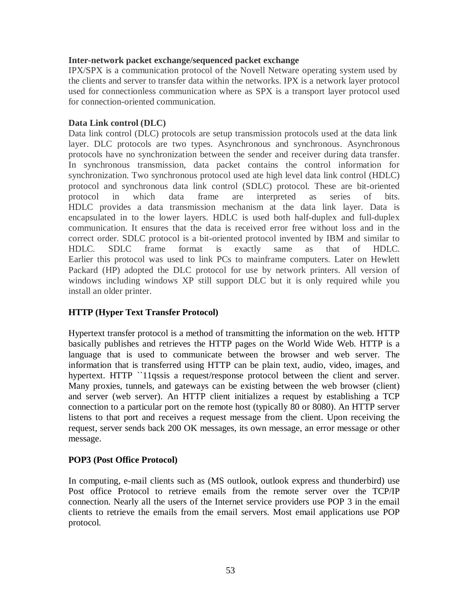#### **Inter-network packet exchange/sequenced packet exchange**

IPX/SPX is a communication protocol of the Novell Netware operating system used by the clients and server to transfer data within the networks. IPX is a network layer protocol used for connectionless communication where as SPX is a transport layer protocol used for connection-oriented communication.

#### **Data Link control (DLC)**

Data link control (DLC) protocols are setup transmission protocols used at the data link layer. DLC protocols are two types. Asynchronous and synchronous. Asynchronous protocols have no synchronization between the sender and receiver during data transfer. In synchronous transmission, data packet contains the control information for synchronization. Two synchronous protocol used ate high level data link control (HDLC) protocol and synchronous data link control (SDLC) protocol. These are bit-oriented protocol in which data frame are interpreted as series of bits. HDLC provides a data transmission mechanism at the data link layer. Data is encapsulated in to the lower layers. HDLC is used both half-duplex and full-duplex communication. It ensures that the data is received error free without loss and in the correct order. SDLC protocol is a bit-oriented protocol invented by IBM and similar to HDLC. SDLC frame format is exactly same as that of HDLC. Earlier this protocol was used to link PCs to mainframe computers. Later on Hewlett Packard (HP) adopted the DLC protocol for use by network printers. All version of windows including windows XP still support DLC but it is only required while you install an older printer.

#### **HTTP (Hyper Text Transfer Protocol)**

Hypertext transfer protocol is a method of transmitting the information on the web. HTTP basically publishes and retrieves the HTTP pages on the World Wide Web. HTTP is a language that is used to communicate between the browser and web server. The information that is transferred using HTTP can be plain text, audio, video, images, and hypertext. HTTP ``11qssis a request/response protocol between the client and server. Many proxies, tunnels, and gateways can be existing between the web browser (client) and server (web server). An HTTP client initializes a request by establishing a TCP connection to a particular port on the remote host (typically 80 or 8080). An HTTP server listens to that port and receives a request message from the client. Upon receiving the request, server sends back 200 OK messages, its own message, an error message or other message.

#### **POP3 (Post Office Protocol)**

In computing, e-mail clients such as (MS outlook, outlook express and thunderbird) use Post office Protocol to retrieve emails from the remote server over the TCP/IP connection. Nearly all the users of the Internet service providers use POP 3 in the email clients to retrieve the emails from the email servers. Most email applications use POP protocol.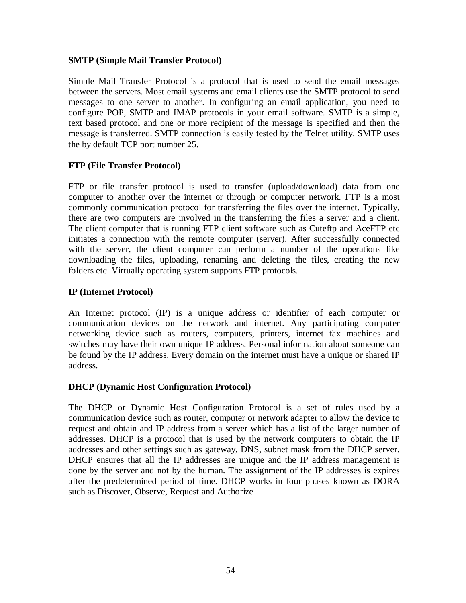#### **SMTP (Simple Mail Transfer Protocol)**

Simple Mail Transfer Protocol is a protocol that is used to send the email messages between the servers. Most email systems and email clients use the SMTP protocol to send messages to one server to another. In configuring an email application, you need to configure POP, SMTP and IMAP protocols in your email software. SMTP is a simple, text based protocol and one or more recipient of the message is specified and then the message is transferred. SMTP connection is easily tested by the Telnet utility. SMTP uses the by default TCP port number 25.

#### **FTP (File Transfer Protocol)**

FTP or file transfer protocol is used to transfer (upload/download) data from one computer to another over the internet or through or computer network. FTP is a most commonly communication protocol for transferring the files over the internet. Typically, there are two computers are involved in the transferring the files a server and a client. The client computer that is running FTP client software such as Cuteftp and AceFTP etc initiates a connection with the remote computer (server). After successfully connected with the server, the client computer can perform a number of the operations like downloading the files, uploading, renaming and deleting the files, creating the new folders etc. Virtually operating system supports FTP protocols.

#### **IP (Internet Protocol)**

An Internet protocol (IP) is a unique address or identifier of each computer or communication devices on the network and internet. Any participating computer networking device such as routers, computers, printers, internet fax machines and switches may have their own unique IP address. Personal information about someone can be found by the IP address. Every domain on the internet must have a unique or shared IP address.

#### **DHCP (Dynamic Host Configuration Protocol)**

The DHCP or Dynamic Host Configuration Protocol is a set of rules used by a communication device such as router, computer or network adapter to allow the device to request and obtain and IP address from a server which has a list of the larger number of addresses. DHCP is a protocol that is used by the network computers to obtain the IP addresses and other settings such as gateway, DNS, subnet mask from the DHCP server. DHCP ensures that all the IP addresses are unique and the IP address management is done by the server and not by the human. The assignment of the IP addresses is expires after the predetermined period of time. DHCP works in four phases known as DORA such as Discover, Observe, Request and Authorize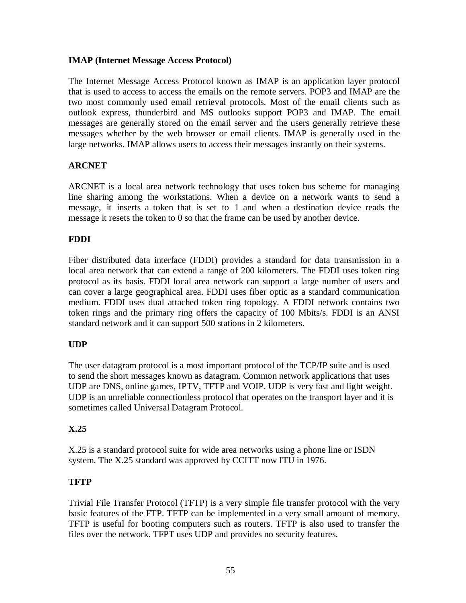#### **IMAP (Internet Message Access Protocol)**

The Internet Message Access Protocol known as IMAP is an application layer protocol that is used to access to access the emails on the remote servers. POP3 and IMAP are the two most commonly used email retrieval protocols. Most of the email clients such as outlook express, thunderbird and MS outlooks support POP3 and IMAP. The email messages are generally stored on the email server and the users generally retrieve these messages whether by the web browser or email clients. IMAP is generally used in the large networks. IMAP allows users to access their messages instantly on their systems.

#### **ARCNET**

ARCNET is a local area network technology that uses token bus scheme for managing line sharing among the workstations. When a device on a network wants to send a message, it inserts a token that is set to 1 and when a destination device reads the message it resets the token to 0 so that the frame can be used by another device.

#### **FDDI**

Fiber distributed data interface (FDDI) provides a standard for data transmission in a local area network that can extend a range of 200 kilometers. The FDDI uses token ring protocol as its basis. FDDI local area network can support a large number of users and can cover a large geographical area. FDDI uses fiber optic as a standard communication medium. FDDI uses dual attached token ring topology. A FDDI network contains two token rings and the primary ring offers the capacity of 100 Mbits/s. FDDI is an ANSI standard network and it can support 500 stations in 2 kilometers.

#### **UDP**

The user datagram protocol is a most important protocol of the TCP/IP suite and is used to send the short messages known as datagram. Common network applications that uses UDP are DNS, online games, IPTV, TFTP and VOIP. UDP is very fast and light weight. UDP is an unreliable connectionless protocol that operates on the transport layer and it is sometimes called Universal Datagram Protocol.

# **X.25**

X.25 is a standard protocol suite for wide area networks using a phone line or ISDN system. The X.25 standard was approved by CCITT now ITU in 1976.

#### **TFTP**

Trivial File Transfer Protocol (TFTP) is a very simple file transfer protocol with the very basic features of the FTP. TFTP can be implemented in a very small amount of memory. TFTP is useful for booting computers such as routers. TFTP is also used to transfer the files over the network. TFPT uses UDP and provides no security features.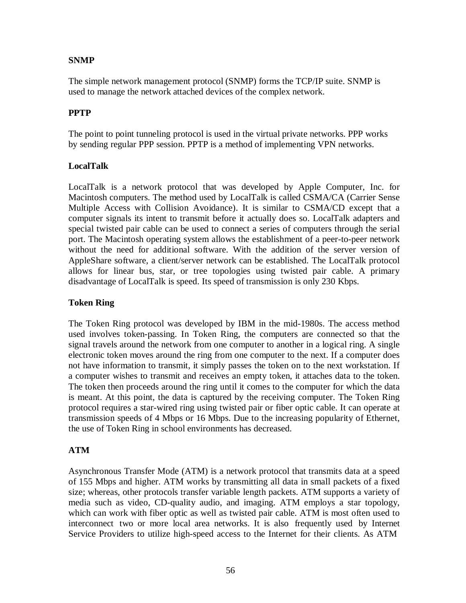#### **SNMP**

The simple network management protocol (SNMP) forms the TCP/IP suite. SNMP is used to manage the network attached devices of the complex network.

#### **PPTP**

The point to point tunneling protocol is used in the virtual private networks. PPP works by sending regular PPP session. PPTP is a method of implementing VPN networks.

#### **LocalTalk**

LocalTalk is a network protocol that was developed by Apple Computer, Inc. for Macintosh computers. The method used by LocalTalk is called CSMA/CA (Carrier Sense Multiple Access with Collision Avoidance). It is similar to CSMA/CD except that a computer signals its intent to transmit before it actually does so. LocalTalk adapters and special twisted pair cable can be used to connect a series of computers through the serial port. The Macintosh operating system allows the establishment of a peer-to-peer network without the need for additional software. With the addition of the server version of AppleShare software, a client/server network can be established. The LocalTalk protocol allows for linear bus, star, or tree topologies using twisted pair cable. A primary disadvantage of LocalTalk is speed. Its speed of transmission is only 230 Kbps.

#### **Token Ring**

The Token Ring protocol was developed by IBM in the mid-1980s. The access method used involves token-passing. In Token Ring, the computers are connected so that the signal travels around the network from one computer to another in a logical ring. A single electronic token moves around the ring from one computer to the next. If a computer does not have information to transmit, it simply passes the token on to the next workstation. If a computer wishes to transmit and receives an empty token, it attaches data to the token. The token then proceeds around the ring until it comes to the computer for which the data is meant. At this point, the data is captured by the receiving computer. The Token Ring protocol requires a star-wired ring using twisted pair or fiber optic cable. It can operate at transmission speeds of 4 Mbps or 16 Mbps. Due to the increasing popularity of Ethernet, the use of Token Ring in school environments has decreased.

#### **ATM**

Asynchronous Transfer Mode (ATM) is a network protocol that transmits data at a speed of 155 Mbps and higher. ATM works by transmitting all data in small packets of a fixed size; whereas, other protocols transfer variable length packets. ATM supports a variety of media such as video, CD-quality audio, and imaging. ATM employs a star topology, which can work with fiber optic as well as twisted pair cable. ATM is most often used to interconnect two or more local area networks. It is also frequently used by Internet Service Providers to utilize high-speed access to the Internet for their clients. As ATM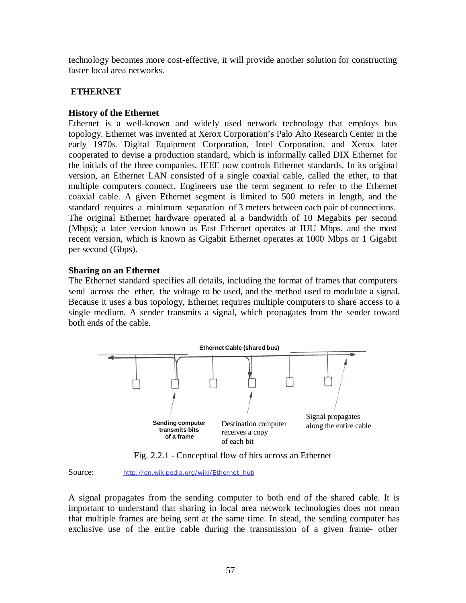technology becomes more cost-effective, it will provide another solution for constructing faster local area networks.

#### **ETHERNET**

#### **History of the Ethernet**

Ethernet is a well-known and widely used network technology that employs bus topology. Ethernet was invented at Xerox Corporation's Palo Alto Research Center in the early 1970s. Digital Equipment Corporation, Intel Corporation, and Xerox later cooperated to devise a production standard, which is informally called DIX Ethernet for the initials of the three companies. IEEE now controls Ethernet standards. In its original version, an Ethernet LAN consisted of a single coaxial cable, called the ether, to that multiple computers connect. Engineers use the term segment to refer to the Ethernet coaxial cable. A given Ethernet segment is limited to 500 meters in length, and the standard requires a minimum separation of 3 meters between each pair of connections. The original Ethernet hardware operated al a bandwidth of 10 Megabits per second (Mbps); a later version known as Fast Ethernet operates at IUU Mbps. and the most recent version, which is known as Gigabit Ethernet operates at 1000 Mbps or 1 Gigabit per second (Gbps).

#### **Sharing on an Ethernet**

The Ethernet standard specifies all details, including the format of frames that computers send across the ether, the voltage to be used, and the method used to modulate a signal. Because it uses a bus topology, Ethernet requires multiple computers to share access to a single medium. A sender transmits a signal, which propagates from the sender toward both ends of the cable.



Fig. 2.2.1 - Conceptual flow of bits across an Ethernet

Source: http://en.wikipedia.org/wiki/Ethernet\_hub

A signal propagates from the sending computer to both end of the shared cable. It is important to understand that sharing in local area network technologies does not mean that multiple frames are being sent at the same time. In stead, the sending computer has exclusive use of the entire cable during the transmission of a given frame- other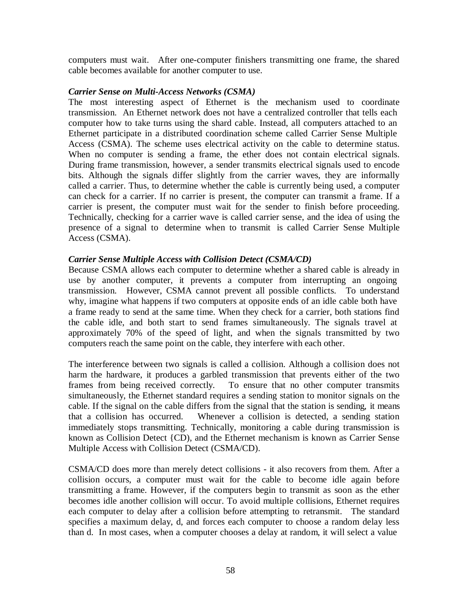computers must wait. After one-computer finishers transmitting one frame, the shared cable becomes available for another computer to use.

#### *Carrier Sense on Multi-Access Networks (CSMA)*

The most interesting aspect of Ethernet is the mechanism used to coordinate transmission. An Ethernet network does not have a centralized controller that tells each computer how to take turns using the shard cable. Instead, all computers attached to an Ethernet participate in a distributed coordination scheme called Carrier Sense Multiple Access (CSMA). The scheme uses electrical activity on the cable to determine status. When no computer is sending a frame, the ether does not contain electrical signals. During frame transmission, however, a sender transmits electrical signals used to encode bits. Although the signals differ slightly from the carrier waves, they are informally called a carrier. Thus, to determine whether the cable is currently being used, a computer can check for a carrier. If no carrier is present, the computer can transmit a frame. If a carrier is present, the computer must wait for the sender to finish before proceeding. Technically, checking for a carrier wave is called carrier sense, and the idea of using the presence of a signal to determine when to transmit is called Carrier Sense Multiple Access (CSMA).

#### *Carrier Sense Multiple Access with Collision Detect (CSMA/CD)*

Because CSMA allows each computer to determine whether a shared cable is already in use by another computer, it prevents a computer from interrupting an ongoing transmission. However, CSMA cannot prevent all possible conflicts. To understand why, imagine what happens if two computers at opposite ends of an idle cable both have a frame ready to send at the same time. When they check for a carrier, both stations find the cable idle, and both start to send frames simultaneously. The signals travel at approximately 70% of the speed of light, and when the signals transmitted by two computers reach the same point on the cable, they interfere with each other.

The interference between two signals is called a collision. Although a collision does not harm the hardware, it produces a garbled transmission that prevents either of the two frames from being received correctly. To ensure that no other computer transmits simultaneously, the Ethernet standard requires a sending station to monitor signals on the cable. If the signal on the cable differs from the signal that the station is sending, it means that a collision has occurred. Whenever a collision is detected, a sending station immediately stops transmitting. Technically, monitoring a cable during transmission is known as Collision Detect {CD), and the Ethernet mechanism is known as Carrier Sense Multiple Access with Collision Detect (CSMA/CD).

CSMA/CD does more than merely detect collisions - it also recovers from them. After a collision occurs, a computer must wait for the cable to become idle again before transmitting a frame. However, if the computers begin to transmit as soon as the ether becomes idle another collision will occur. To avoid multiple collisions, Ethernet requires each computer to delay after a collision before attempting to retransmit. The standard specifies a maximum delay, d, and forces each computer to choose a random delay less than d. In most cases, when a computer chooses a delay at random, it will select a value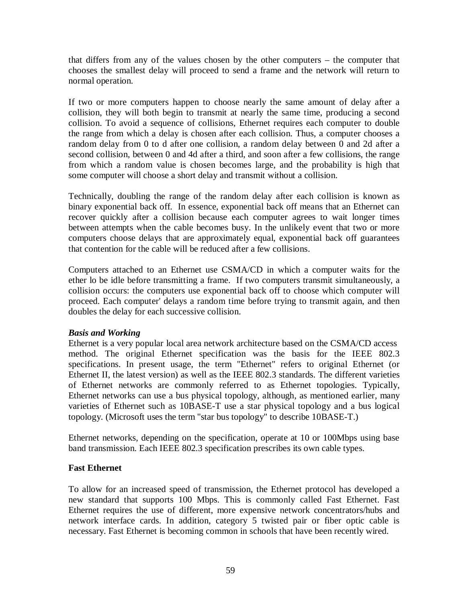that differs from any of the values chosen by the other computers – the computer that chooses the smallest delay will proceed to send a frame and the network will return to normal operation.

If two or more computers happen to choose nearly the same amount of delay after a collision, they will both begin to transmit at nearly the same time, producing a second collision. To avoid a sequence of collisions, Ethernet requires each computer to double the range from which a delay is chosen after each collision. Thus, a computer chooses a random delay from 0 to d after one collision, a random delay between 0 and 2d after a second collision, between 0 and 4d after a third, and soon after a few collisions, the range from which a random value is chosen becomes large, and the probability is high that some computer will choose a short delay and transmit without a collision.

Technically, doubling the range of the random delay after each collision is known as binary exponential back off. In essence, exponential back off means that an Ethernet can recover quickly after a collision because each computer agrees to wait longer times between attempts when the cable becomes busy. In the unlikely event that two or more computers choose delays that are approximately equal, exponential back off guarantees that contention for the cable will be reduced after a few collisions.

Computers attached to an Ethernet use CSMA/CD in which a computer waits for the ether lo be idle before transmitting a frame. If two computers transmit simultaneously, a collision occurs: the computers use exponential back off to choose which computer will proceed. Each computer' delays a random time before trying to transmit again, and then doubles the delay for each successive collision.

#### *Basis and Working*

Ethernet is a very popular local area network architecture based on the CSMA/CD access method. The original Ethernet specification was the basis for the IEEE 802.3 specifications. In present usage, the term "Ethernet" refers to original Ethernet (or Ethernet II, the latest version) as well as the IEEE 802.3 standards. The different varieties of Ethernet networks are commonly referred to as Ethernet topologies. Typically, Ethernet networks can use a bus physical topology, although, as mentioned earlier, many varieties of Ethernet such as 10BASE-T use a star physical topology and a bus logical topology. (Microsoft uses the term "star bus topology" to describe 10BASE-T.)

Ethernet networks, depending on the specification, operate at 10 or 100Mbps using base band transmission. Each IEEE 802.3 specification prescribes its own cable types.

#### **Fast Ethernet**

To allow for an increased speed of transmission, the Ethernet protocol has developed a new standard that supports 100 Mbps. This is commonly called Fast Ethernet. Fast Ethernet requires the use of different, more expensive network concentrators/hubs and network interface cards. In addition, category 5 twisted pair or fiber optic cable is necessary. Fast Ethernet is becoming common in schools that have been recently wired.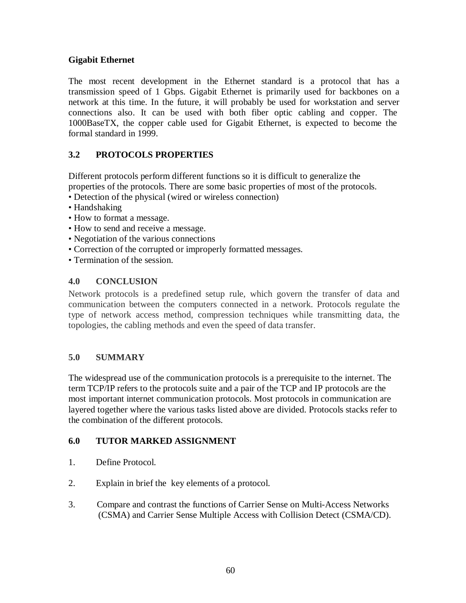#### **Gigabit Ethernet**

The most recent development in the Ethernet standard is a protocol that has a transmission speed of 1 Gbps. Gigabit Ethernet is primarily used for backbones on a network at this time. In the future, it will probably be used for workstation and server connections also. It can be used with both fiber optic cabling and copper. The 1000BaseTX, the copper cable used for Gigabit Ethernet, is expected to become the formal standard in 1999.

### **3.2 PROTOCOLS PROPERTIES**

Different protocols perform different functions so it is difficult to generalize the properties of the protocols. There are some basic properties of most of the protocols.

- Detection of the physical (wired or wireless connection)
- Handshaking
- How to format a message.
- How to send and receive a message.
- Negotiation of the various connections
- Correction of the corrupted or improperly formatted messages.
- Termination of the session.

#### **4.0 CONCLUSION**

Network protocols is a predefined setup rule, which govern the transfer of data and communication between the computers connected in a network. Protocols regulate the type of network access method, compression techniques while transmitting data, the topologies, the cabling methods and even the speed of data transfer.

#### **5.0 SUMMARY**

The widespread use of the communication protocols is a prerequisite to the internet. The term TCP/IP refers to the protocols suite and a pair of the TCP and IP protocols are the most important internet communication protocols. Most protocols in communication are layered together where the various tasks listed above are divided. Protocols stacks refer to the combination of the different protocols.

#### **6.0 TUTOR MARKED ASSIGNMENT**

- 1. Define Protocol.
- 2. Explain in brief the key elements of a protocol.
- 3. Compare and contrast the functions of Carrier Sense on Multi-Access Networks (CSMA) and Carrier Sense Multiple Access with Collision Detect (CSMA/CD).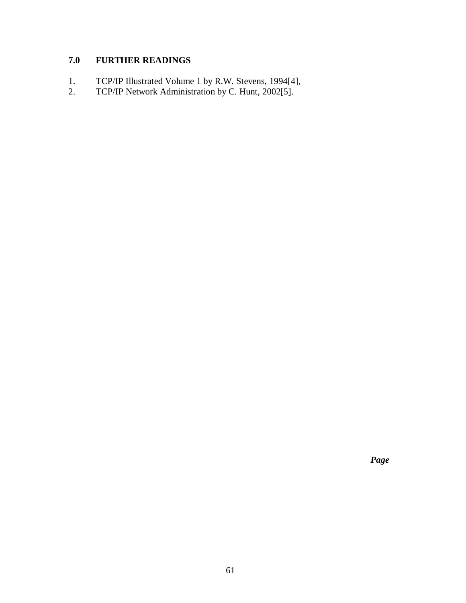# **7.0 FURTHER READINGS**

- 1. TCP/IP Illustrated Volume 1 by R.W. Stevens, 1994[4],
- 2. TCP/IP Network Administration by C. Hunt, 2002[5].

*Page*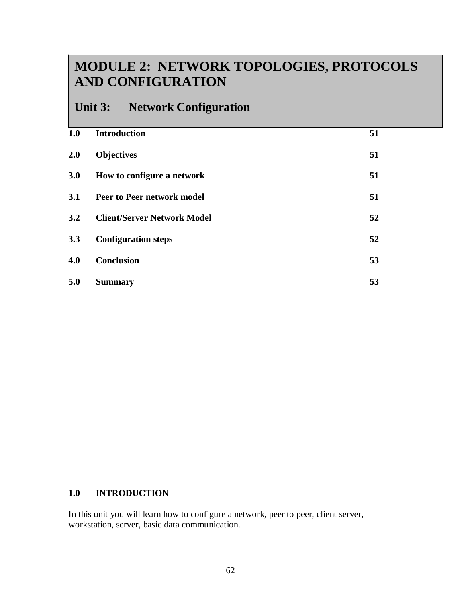# **MODULE 2: NETWORK TOPOLOGIES, PROTOCOLS AND CONFIGURATION**

# **Unit 3: Network Configuration**

| 1.0 | <b>Introduction</b>                | 51 |
|-----|------------------------------------|----|
| 2.0 | <b>Objectives</b>                  | 51 |
| 3.0 | How to configure a network         | 51 |
| 3.1 | Peer to Peer network model         | 51 |
| 3.2 | <b>Client/Server Network Model</b> | 52 |
| 3.3 | <b>Configuration steps</b>         | 52 |
| 4.0 | <b>Conclusion</b>                  | 53 |
| 5.0 | <b>Summary</b>                     | 53 |

#### **1.0 INTRODUCTION**

In this unit you will learn how to configure a network, peer to peer, client server, workstation, server, basic data communication.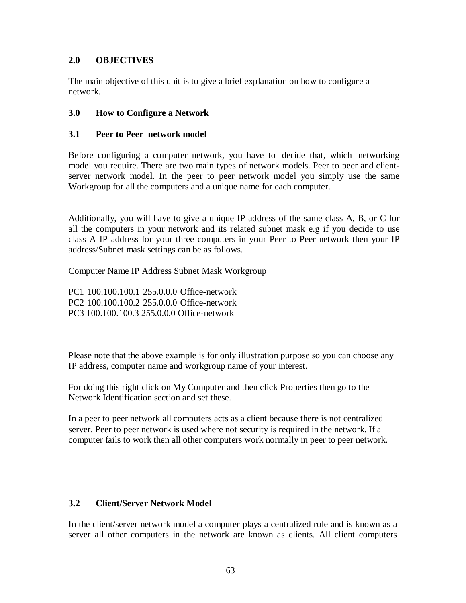# **2.0 OBJECTIVES**

The main objective of this unit is to give a brief explanation on how to configure a network.

#### **3.0 How to Configure a Network**

#### **3.1 Peer to Peer network model**

Before configuring a computer network, you have to decide that, which networking model you require. There are two main types of network models. Peer to peer and clientserver network model. In the peer to peer network model you simply use the same Workgroup for all the computers and a unique name for each computer.

Additionally, you will have to give a unique IP address of the same class A, B, or C for all the computers in your network and its related subnet mask e.g if you decide to use class A IP address for your three computers in your Peer to Peer network then your IP address/Subnet mask settings can be as follows.

Computer Name IP Address Subnet Mask Workgroup

PC1 100.100.100.1 255.0.0.0 Office-network PC2 100.100.100.2 255.0.0.0 Office-network PC3 100.100.100.3 255.0.0.0 Office-network

Please note that the above example is for only illustration purpose so you can choose any IP address, computer name and workgroup name of your interest.

For doing this right click on My Computer and then click Properties then go to the Network Identification section and set these.

In a peer to peer network all computers acts as a client because there is not centralized server. Peer to peer network is used where not security is required in the network. If a computer fails to work then all other computers work normally in peer to peer network.

#### **3.2 Client/Server Network Model**

In the client/server network model a computer plays a centralized role and is known as a server all other computers in the network are known as clients. All client computers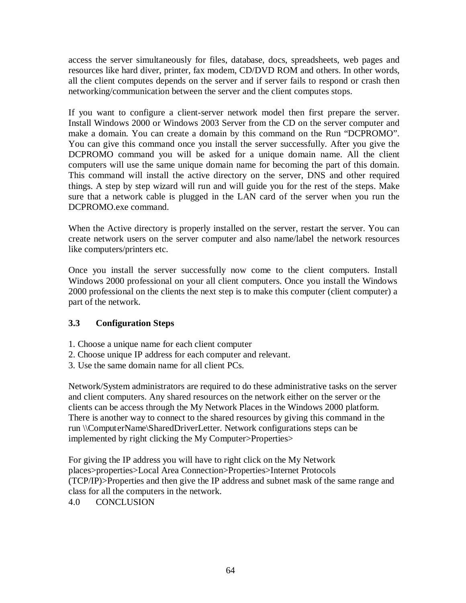access the server simultaneously for files, database, docs, spreadsheets, web pages and resources like hard diver, printer, fax modem, CD/DVD ROM and others. In other words, all the client computes depends on the server and if server fails to respond or crash then networking/communication between the server and the client computes stops.

If you want to configure a client-server network model then first prepare the server. Install Windows 2000 or Windows 2003 Server from the CD on the server computer and make a domain. You can create a domain by this command on the Run "DCPROMO". You can give this command once you install the server successfully. After you give the DCPROMO command you will be asked for a unique domain name. All the client computers will use the same unique domain name for becoming the part of this domain. This command will install the active directory on the server, DNS and other required things. A step by step wizard will run and will guide you for the rest of the steps. Make sure that a network cable is plugged in the LAN card of the server when you run the DCPROMO.exe command.

When the Active directory is properly installed on the server, restart the server. You can create network users on the server computer and also name/label the network resources like computers/printers etc.

Once you install the server successfully now come to the client computers. Install Windows 2000 professional on your all client computers. Once you install the Windows 2000 professional on the clients the next step is to make this computer (client computer) a part of the network.

#### **3.3 Configuration Steps**

- 1. Choose a unique name for each client computer
- 2. Choose unique IP address for each computer and relevant.
- 3. Use the same domain name for all client PCs.

Network/System administrators are required to do these administrative tasks on the server and client computers. Any shared resources on the network either on the server or the clients can be access through the My Network Places in the Windows 2000 platform. There is another way to connect to the shared resources by giving this command in the run \\Comput erName\SharedDriverLetter. Network configurations steps can be implemented by right clicking the My Computer>Properties>

For giving the IP address you will have to right click on the My Network places>properties>Local Area Connection>Properties>Internet Protocols (TCP/IP)>Properties and then give the IP address and subnet mask of the same range and class for all the computers in the network.

#### 4.0 CONCLUSION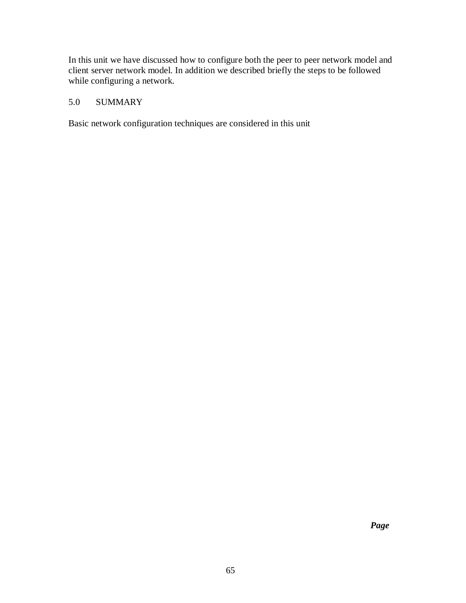In this unit we have discussed how to configure both the peer to peer network model and client server network model. In addition we described briefly the steps to be followed while configuring a network.

# 5.0 SUMMARY

Basic network configuration techniques are considered in this unit

*Page*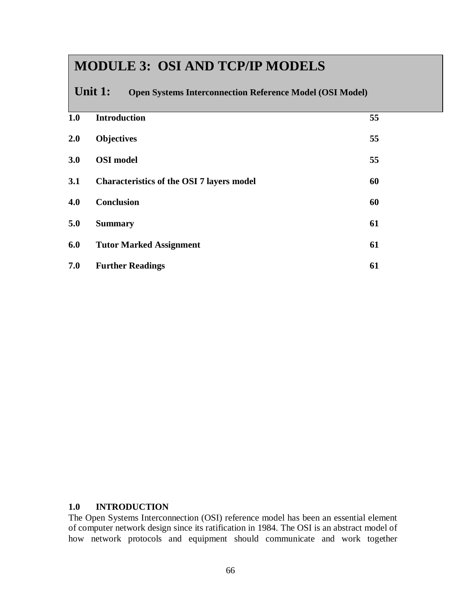# **MODULE 3: OSI AND TCP/IP MODELS**

**Unit 1: Open Systems Interconnection Reference Model (OSI Model)**

| 1.0 | <b>Introduction</b>                              | 55 |
|-----|--------------------------------------------------|----|
| 2.0 | <b>Objectives</b>                                | 55 |
| 3.0 | <b>OSI</b> model                                 | 55 |
| 3.1 | <b>Characteristics of the OSI 7 layers model</b> | 60 |
| 4.0 | <b>Conclusion</b>                                | 60 |
| 5.0 | <b>Summary</b>                                   | 61 |
| 6.0 | <b>Tutor Marked Assignment</b>                   | 61 |
| 7.0 | <b>Further Readings</b>                          | 61 |

#### **1.0 INTRODUCTION**

The Open Systems Interconnection (OSI) reference model has been an essential element of computer network design since its ratification in 1984. The OSI is an abstract model of how network protocols and equipment should communicate and work together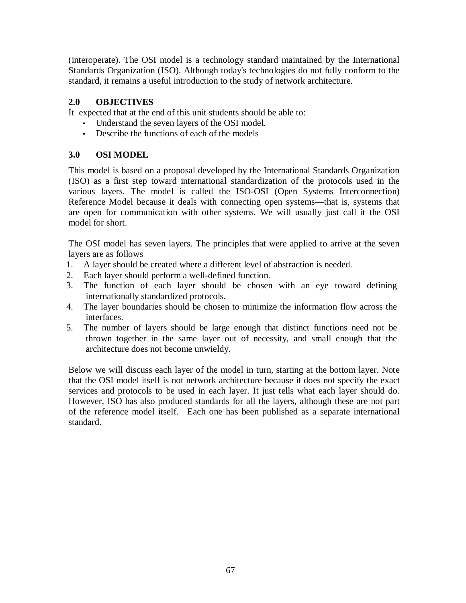(interoperate). The OSI model is a technology standard maintained by the International Standards Organization (ISO). Although today's technologies do not fully conform to the standard, it remains a useful introduction to the study of network architecture.

# **2.0 OBJECTIVES**

It expected that at the end of this unit students should be able to:

- Understand the seven layers of the OSI model.
- Describe the functions of each of the models

# **3.0 OSI MODEL**

This model is based on a proposal developed by the International Standards Organization (ISO) as a first step toward international standardization of the protocols used in the various layers. The model is called the ISO-OSI (Open Systems Interconnection) Reference Model because it deals with connecting open systems—that is, systems that are open for communication with other systems. We will usually just call it the OSI model for short.

The OSI model has seven layers. The principles that were applied to arrive at the seven layers are as follows

- 1. A layer should be created where a different level of abstraction is needed.
- 2. Each layer should perform a well-defined function.
- 3. The function of each layer should be chosen with an eye toward defining internationally standardized protocols.
- 4. The layer boundaries should be chosen to minimize the information flow across the interfaces.
- 5. The number of layers should be large enough that distinct functions need not be thrown together in the same layer out of necessity, and small enough that the architecture does not become unwieldy.

Below we will discuss each layer of the model in turn, starting at the bottom layer. Note that the OSI model itself is not network architecture because it does not specify the exact services and protocols to be used in each layer. It just tells what each layer should do. However, ISO has also produced standards for all the layers, although these are not part of the reference model itself. Each one has been published as a separate international standard.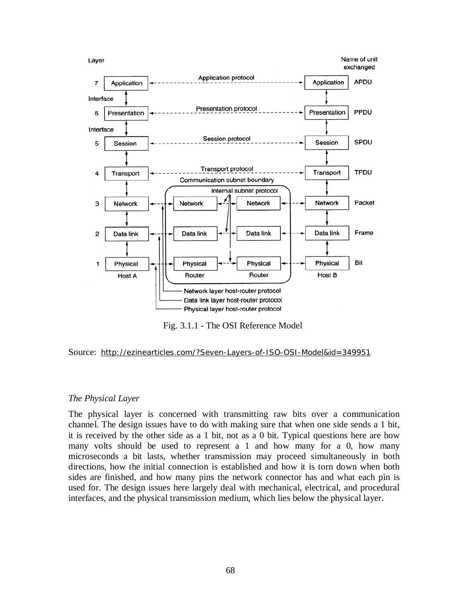

Fig. 3.1.1 - The OSI Reference Model



#### *The Physical Layer*

The physical layer is concerned with transmitting raw bits over a communication channel. The design issues have to do with making sure that when one side sends a 1 bit, it is received by the other side as a 1 bit, not as a 0 bit. Typical questions here are how many volts should be used to represent a 1 and how many for a 0, how many microseconds a bit lasts, whether transmission may proceed simultaneously in both directions, how the initial connection is established and how it is torn down when both sides are finished, and how many pins the network connector has and what each pin is used for. The design issues here largely deal with mechanical, electrical, and procedural interfaces, and the physical transmission medium, which lies below the physical layer.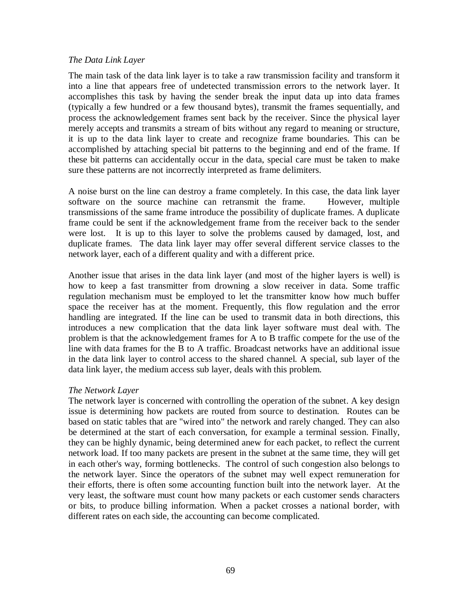#### *The Data Link Layer*

The main task of the data link layer is to take a raw transmission facility and transform it into a line that appears free of undetected transmission errors to the network layer. It accomplishes this task by having the sender break the input data up into data frames (typically a few hundred or a few thousand bytes), transmit the frames sequentially, and process the acknowledgement frames sent back by the receiver. Since the physical layer merely accepts and transmits a stream of bits without any regard to meaning or structure, it is up to the data link layer to create and recognize frame boundaries. This can be accomplished by attaching special bit patterns to the beginning and end of the frame. If these bit patterns can accidentally occur in the data, special care must be taken to make sure these patterns are not incorrectly interpreted as frame delimiters.

A noise burst on the line can destroy a frame completely. In this case, the data link layer software on the source machine can retransmit the frame. However, multiple transmissions of the same frame introduce the possibility of duplicate frames. A duplicate frame could be sent if the acknowledgement frame from the receiver back to the sender were lost. It is up to this layer to solve the problems caused by damaged, lost, and duplicate frames. The data link layer may offer several different service classes to the network layer, each of a different quality and with a different price.

Another issue that arises in the data link layer (and most of the higher layers is well) is how to keep a fast transmitter from drowning a slow receiver in data. Some traffic regulation mechanism must be employed to let the transmitter know how much buffer space the receiver has at the moment. Frequently, this flow regulation and the error handling are integrated. If the line can be used to transmit data in both directions, this introduces a new complication that the data link layer software must deal with. The problem is that the acknowledgement frames for A to B traffic compete for the use of the line with data frames for the B to A traffic. Broadcast networks have an additional issue in the data link layer to control access to the shared channel. A special, sub layer of the data link layer, the medium access sub layer, deals with this problem.

#### *The Network Layer*

The network layer is concerned with controlling the operation of the subnet. A key design issue is determining how packets are routed from source to destination. Routes can be based on static tables that are "wired into" the network and rarely changed. They can also be determined at the start of each conversation, for example a terminal session. Finally, they can be highly dynamic, being determined anew for each packet, to reflect the current network load. If too many packets are present in the subnet at the same time, they will get in each other's way, forming bottlenecks. The control of such congestion also belongs to the network layer. Since the operators of the subnet may well expect remuneration for their efforts, there is often some accounting function built into the network layer. At the very least, the software must count how many packets or each customer sends characters or bits, to produce billing information. When a packet crosses a national border, with different rates on each side, the accounting can become complicated.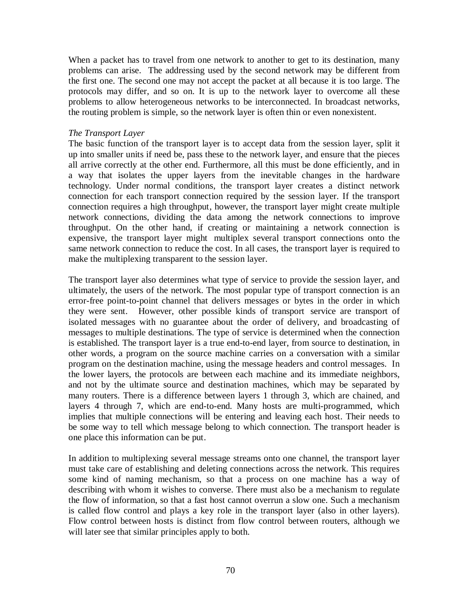When a packet has to travel from one network to another to get to its destination, many problems can arise. The addressing used by the second network may be different from the first one. The second one may not accept the packet at all because it is too large. The protocols may differ, and so on. It is up to the network layer to overcome all these problems to allow heterogeneous networks to be interconnected. In broadcast networks, the routing problem is simple, so the network layer is often thin or even nonexistent.

#### *The Transport Layer*

The basic function of the transport layer is to accept data from the session layer, split it up into smaller units if need be, pass these to the network layer, and ensure that the pieces all arrive correctly at the other end. Furthermore, all this must be done efficiently, and in a way that isolates the upper layers from the inevitable changes in the hardware technology. Under normal conditions, the transport layer creates a distinct network connection for each transport connection required by the session layer. If the transport connection requires a high throughput, however, the transport layer might create multiple network connections, dividing the data among the network connections to improve throughput. On the other hand, if creating or maintaining a network connection is expensive, the transport layer might multiplex several transport connections onto the same network connection to reduce the cost. In all cases, the transport layer is required to make the multiplexing transparent to the session layer.

The transport layer also determines what type of service to provide the session layer, and ultimately, the users of the network. The most popular type of transport connection is an error-free point-to-point channel that delivers messages or bytes in the order in which they were sent. However, other possible kinds of transport service are transport of isolated messages with no guarantee about the order of delivery, and broadcasting of messages to multiple destinations. The type of service is determined when the connection is established. The transport layer is a true end-to-end layer, from source to destination, in other words, a program on the source machine carries on a conversation with a similar program on the destination machine, using the message headers and control messages. In the lower layers, the protocols are between each machine and its immediate neighbors, and not by the ultimate source and destination machines, which may be separated by many routers. There is a difference between layers 1 through 3, which are chained, and layers 4 through 7, which are end-to-end. Many hosts are multi-programmed, which implies that multiple connections will be entering and leaving each host. Their needs to be some way to tell which message belong to which connection. The transport header is one place this information can be put.

In addition to multiplexing several message streams onto one channel, the transport layer must take care of establishing and deleting connections across the network. This requires some kind of naming mechanism, so that a process on one machine has a way of describing with whom it wishes to converse. There must also be a mechanism to regulate the flow of information, so that a fast host cannot overrun a slow one. Such a mechanism is called flow control and plays a key role in the transport layer (also in other layers). Flow control between hosts is distinct from flow control between routers, although we will later see that similar principles apply to both.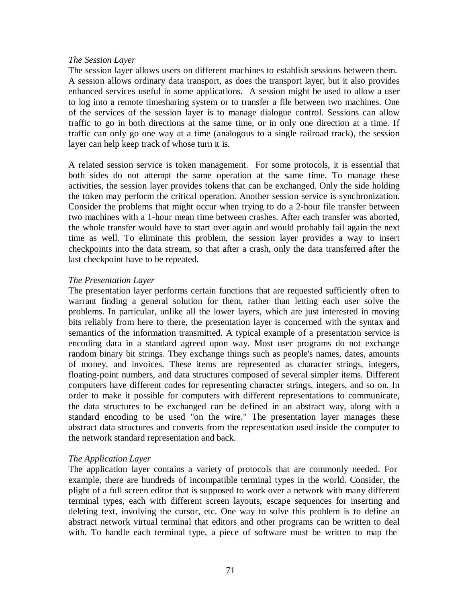#### *The Session Layer*

The session layer allows users on different machines to establish sessions between them. A session allows ordinary data transport, as does the transport layer, but it also provides enhanced services useful in some applications. A session might be used to allow a user to log into a remote timesharing system or to transfer a file between two machines. One of the services of the session layer is to manage dialogue control. Sessions can allow traffic to go in both directions at the same time, or in only one direction at a time. If traffic can only go one way at a time (analogous to a single railroad track), the session layer can help keep track of whose turn it is.

A related session service is token management. For some protocols, it is essential that both sides do not attempt the same operation at the same time. To manage these activities, the session layer provides tokens that can be exchanged. Only the side holding the token may perform the critical operation. Another session service is synchronization. Consider the problems that might occur when trying to do a 2-hour file transfer between two machines with a 1-hour mean time between crashes. After each transfer was aborted, the whole transfer would have to start over again and would probably fail again the next time as well. To eliminate this problem, the session layer provides a way to insert checkpoints into the data stream, so that after a crash, only the data transferred after the last checkpoint have to be repeated.

#### *The Presentation Layer*

The presentation layer performs certain functions that are requested sufficiently often to warrant finding a general solution for them, rather than letting each user solve the problems. In particular, unlike all the lower layers, which are just interested in moving bits reliably from here to there, the presentation layer is concerned with the syntax and semantics of the information transmitted. A typical example of a presentation service is encoding data in a standard agreed upon way. Most user programs do not exchange random binary bit strings. They exchange things such as people's names, dates, amounts of money, and invoices. These items are represented as character strings, integers, floating-point numbers, and data structures composed of several simpler items. Different computers have different codes for representing character strings, integers, and so on. In order to make it possible for computers with different representations to communicate, the data structures to be exchanged can be defined in an abstract way, along with a standard encoding to be used "on the wire." The presentation layer manages these abstract data structures and converts from the representation used inside the computer to the network standard representation and back.

#### *The Application Layer*

The application layer contains a variety of protocols that are commonly needed. For example, there are hundreds of incompatible terminal types in the world. Consider, the plight of a full screen editor that is supposed to work over a network with many different terminal types, each with different screen layouts, escape sequences for inserting and deleting text, involving the cursor, etc. One way to solve this problem is to define an abstract network virtual terminal that editors and other programs can be written to deal with. To handle each terminal type, a piece of software must be written to map the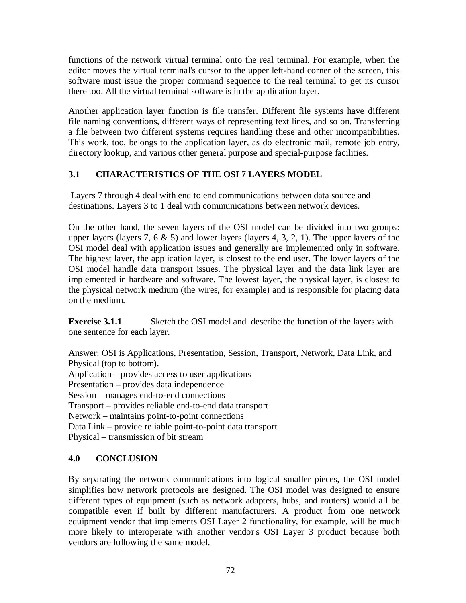functions of the network virtual terminal onto the real terminal. For example, when the editor moves the virtual terminal's cursor to the upper left-hand corner of the screen, this software must issue the proper command sequence to the real terminal to get its cursor there too. All the virtual terminal software is in the application layer.

Another application layer function is file transfer. Different file systems have different file naming conventions, different ways of representing text lines, and so on. Transferring a file between two different systems requires handling these and other incompatibilities. This work, too, belongs to the application layer, as do electronic mail, remote job entry, directory lookup, and various other general purpose and special-purpose facilities.

# **3.1 CHARACTERISTICS OF THE OSI 7 LAYERS MODEL**

Layers 7 through 4 deal with end to end communications between data source and destinations. Layers 3 to 1 deal with communications between network devices.

On the other hand, the seven layers of the OSI model can be divided into two groups: upper layers (layers 7, 6  $\&$  5) and lower layers (layers 4, 3, 2, 1). The upper layers of the OSI model deal with application issues and generally are implemented only in software. The highest layer, the application layer, is closest to the end user. The lower layers of the OSI model handle data transport issues. The physical layer and the data link layer are implemented in hardware and software. The lowest layer, the physical layer, is closest to the physical network medium (the wires, for example) and is responsible for placing data on the medium.

**Exercise 3.1.1** Sketch the OSI model and describe the function of the layers with one sentence for each layer.

Answer: OSI is Applications, Presentation, Session, Transport, Network, Data Link, and Physical (top to bottom). Application – provides access to user applications Presentation – provides data independence Session – manages end-to-end connections Transport – provides reliable end-to-end data transport Network – maintains point-to-point connections Data Link – provide reliable point-to-point data transport Physical – transmission of bit stream

# **4.0 CONCLUSION**

By separating the network communications into logical smaller pieces, the OSI model simplifies how network protocols are designed. The OSI model was designed to ensure different types of equipment (such as network adapters, hubs, and routers) would all be compatible even if built by different manufacturers. A product from one network equipment vendor that implements OSI Layer 2 functionality, for example, will be much more likely to interoperate with another vendor's OSI Layer 3 product because both vendors are following the same model.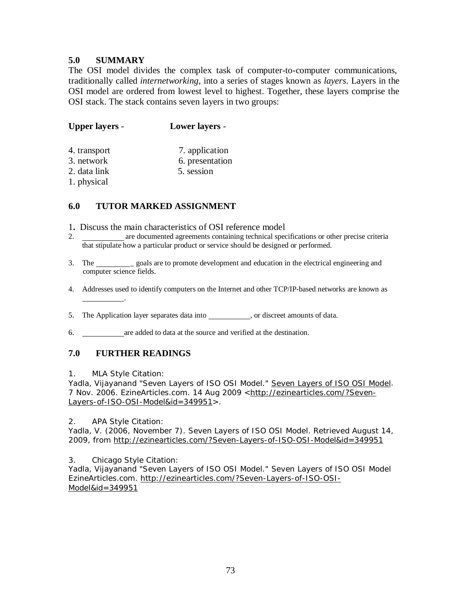#### **5.0 SUMMARY**

The OSI model divides the complex task of computer-to-computer communications, traditionally called *internetworking*, into a series of stages known as *layers*. Layers in the OSI model are ordered from lowest level to highest. Together, these layers comprise the OSI stack. The stack contains seven layers in two groups:

### **Upper layers** - **Lower layers** -

- 4. transport 7. application
- 3. network 6. presentation
- 2. data link 5. session
- 1. physical

#### **6.0 TUTOR MARKED ASSIGNMENT**

- 1**.** Discuss the main characteristics of OSI reference model
- 2. are documented agreements containing technical specifications or other precise criteria that stipulate how a particular product or service should be designed or performed.
- 3. The \_\_ goals are to promote development and education in the electrical engineering and computer science fields.
- 4. Addresses used to identify computers on the Internet and other TCP/IP-based networks are known as .
- 5. The Application layer separates data into , or discreet amounts of data.
- 6. are added to data at the source and verified at the destination.

#### **7.0 FURTHER READINGS**

#### 1. MLA Style Citation:

Yadla, Vijayanand "Seven Layers of ISO OSI Model." Seven Layers of ISO OSI Model. 7 Nov. 2006. *EzineArticles.com*. 14 Aug 2009 <http://ezinearticles.com/?Seven-Layers-of-ISO-OSI-Model&id=349951>.

2. APA Style Citation:

Yadla, V. (2006, November 7). *Seven Layers of ISO OSI Model*. Retrieved August 14, 2009, from http://ezinearticles.com/?Seven-Layers-of-ISO-OSI-Model&id=349951

3. Chicago Style Citation:

Yadla, Vijayanand "Seven Layers of ISO OSI Model." *Seven Layers of ISO OSI Model EzineArticles.com*. http://ezinearticles.com/?Seven-Layers-of-ISO-OSI-Model&id=349951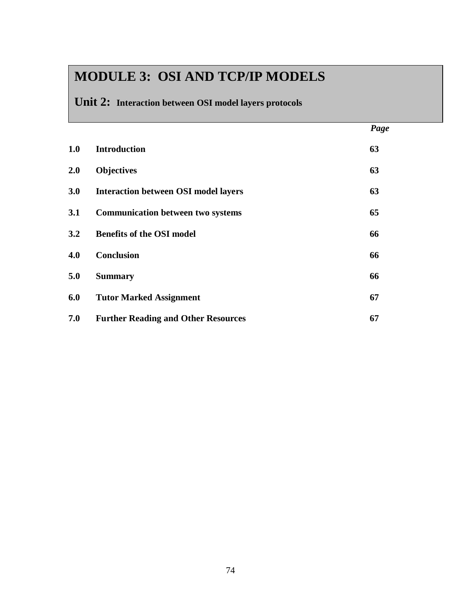# **MODULE 3: OSI AND TCP/IP MODELS**

# **Unit 2: Interaction between OSI model layers protocols**

|     |                                             | Page |
|-----|---------------------------------------------|------|
| 1.0 | <b>Introduction</b>                         | 63   |
| 2.0 | <b>Objectives</b>                           | 63   |
| 3.0 | <b>Interaction between OSI model layers</b> | 63   |
| 3.1 | <b>Communication between two systems</b>    | 65   |
| 3.2 | <b>Benefits of the OSI model</b>            | 66   |
| 4.0 | <b>Conclusion</b>                           | 66   |
| 5.0 | <b>Summary</b>                              | 66   |
| 6.0 | <b>Tutor Marked Assignment</b>              | 67   |
| 7.0 | <b>Further Reading and Other Resources</b>  | 67   |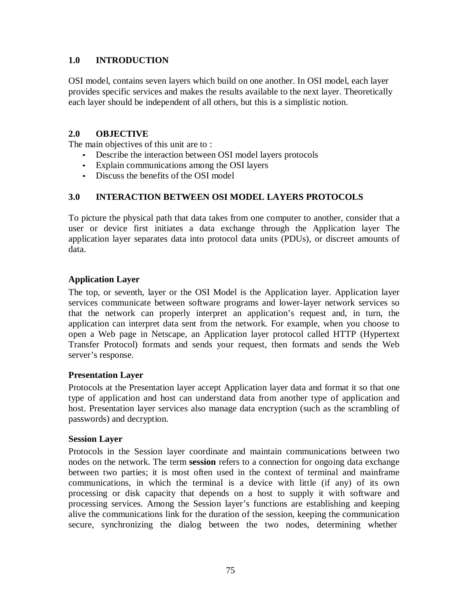#### **1.0 INTRODUCTION**

OSI model, contains seven layers which build on one another. In OSI model, each layer provides specific services and makes the results available to the next layer. Theoretically each layer should be independent of all others, but this is a simplistic notion.

#### **2.0 OBJECTIVE**

The main objectives of this unit are to :

- Describe the interaction between OSI model layers protocols
- Explain communications among the OSI layers
- Discuss the benefits of the OSI model

#### **3.0 INTERACTION BETWEEN OSI MODEL LAYERS PROTOCOLS**

To picture the physical path that data takes from one computer to another, consider that a user or device first initiates a data exchange through the Application layer The application layer separates data into protocol data units (PDUs), or discreet amounts of data.

#### **Application Layer**

The top, or seventh, layer or the OSI Model is the Application layer. Application layer services communicate between software programs and lower-layer network services so that the network can properly interpret an application's request and, in turn, the application can interpret data sent from the network. For example, when you choose to open a Web page in Netscape, an Application layer protocol called HTTP (Hypertext Transfer Protocol) formats and sends your request, then formats and sends the Web server's response.

#### **Presentation Layer**

Protocols at the Presentation layer accept Application layer data and format it so that one type of application and host can understand data from another type of application and host. Presentation layer services also manage data encryption (such as the scrambling of passwords) and decryption.

#### **Session Layer**

Protocols in the Session layer coordinate and maintain communications between two nodes on the network. The term **session** refers to a connection for ongoing data exchange between two parties; it is most often used in the context of terminal and mainframe communications, in which the terminal is a device with little (if any) of its own processing or disk capacity that depends on a host to supply it with software and processing services. Among the Session layer's functions are establishing and keeping alive the communications link for the duration of the session, keeping the communication secure, synchronizing the dialog between the two nodes, determining whether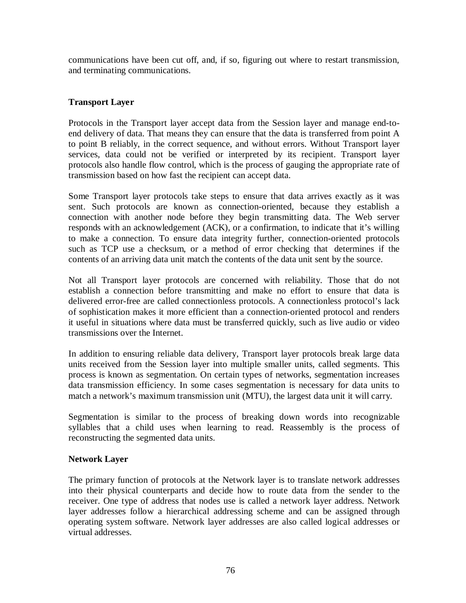communications have been cut off, and, if so, figuring out where to restart transmission, and terminating communications.

#### **Transport Layer**

Protocols in the Transport layer accept data from the Session layer and manage end-toend delivery of data. That means they can ensure that the data is transferred from point A to point B reliably, in the correct sequence, and without errors. Without Transport layer services, data could not be verified or interpreted by its recipient. Transport layer protocols also handle flow control, which is the process of gauging the appropriate rate of transmission based on how fast the recipient can accept data.

Some Transport layer protocols take steps to ensure that data arrives exactly as it was sent. Such protocols are known as connection-oriented, because they establish a connection with another node before they begin transmitting data. The Web server responds with an acknowledgement (ACK), or a confirmation, to indicate that it's willing to make a connection. To ensure data integrity further, connection-oriented protocols such as TCP use a checksum, or a method of error checking that determines if the contents of an arriving data unit match the contents of the data unit sent by the source.

Not all Transport layer protocols are concerned with reliability. Those that do not establish a connection before transmitting and make no effort to ensure that data is delivered error-free are called connectionless protocols. A connectionless protocol's lack of sophistication makes it more efficient than a connection-oriented protocol and renders it useful in situations where data must be transferred quickly, such as live audio or video transmissions over the Internet.

In addition to ensuring reliable data delivery, Transport layer protocols break large data units received from the Session layer into multiple smaller units, called segments. This process is known as segmentation. On certain types of networks, segmentation increases data transmission efficiency. In some cases segmentation is necessary for data units to match a network's maximum transmission unit (MTU), the largest data unit it will carry.

Segmentation is similar to the process of breaking down words into recognizable syllables that a child uses when learning to read. Reassembly is the process of reconstructing the segmented data units.

#### **Network Layer**

The primary function of protocols at the Network layer is to translate network addresses into their physical counterparts and decide how to route data from the sender to the receiver. One type of address that nodes use is called a network layer address. Network layer addresses follow a hierarchical addressing scheme and can be assigned through operating system software. Network layer addresses are also called logical addresses or virtual addresses.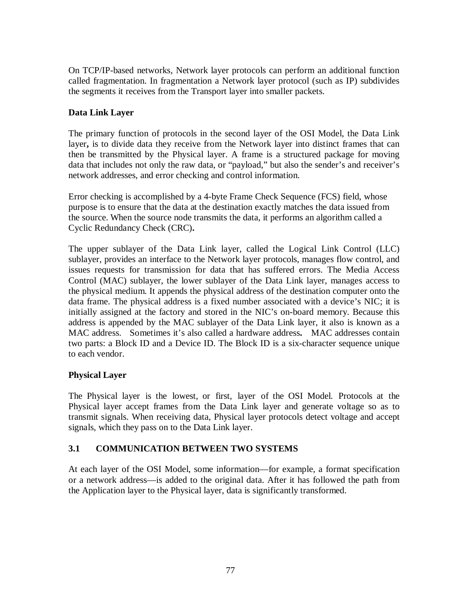On TCP/IP-based networks, Network layer protocols can perform an additional function called fragmentation. In fragmentation a Network layer protocol (such as IP) subdivides the segments it receives from the Transport layer into smaller packets.

#### **Data Link Layer**

The primary function of protocols in the second layer of the OSI Model, the Data Link layer**,** is to divide data they receive from the Network layer into distinct frames that can then be transmitted by the Physical layer. A frame is a structured package for moving data that includes not only the raw data, or "payload," but also the sender's and receiver's network addresses, and error checking and control information.

Error checking is accomplished by a 4-byte Frame Check Sequence (FCS) field, whose purpose is to ensure that the data at the destination exactly matches the data issued from the source. When the source node transmits the data, it performs an algorithm called a Cyclic Redundancy Check (CRC)**.**

The upper sublayer of the Data Link layer, called the Logical Link Control (LLC) sublayer, provides an interface to the Network layer protocols, manages flow control, and issues requests for transmission for data that has suffered errors. The Media Access Control (MAC) sublayer, the lower sublayer of the Data Link layer, manages access to the physical medium. It appends the physical address of the destination computer onto the data frame. The physical address is a fixed number associated with a device's NIC; it is initially assigned at the factory and stored in the NIC's on-board memory. Because this address is appended by the MAC sublayer of the Data Link layer, it also is known as a MAC address. Sometimes it's also called a hardware address**.** MAC addresses contain two parts: a Block ID and a Device ID. The Block ID is a six-character sequence unique to each vendor.

#### **Physical Layer**

The Physical layer is the lowest, or first, layer of the OSI Model. Protocols at the Physical layer accept frames from the Data Link layer and generate voltage so as to transmit signals. When receiving data, Physical layer protocols detect voltage and accept signals, which they pass on to the Data Link layer.

#### **3.1 COMMUNICATION BETWEEN TWO SYSTEMS**

At each layer of the OSI Model, some information—for example, a format specification or a network address—is added to the original data. After it has followed the path from the Application layer to the Physical layer, data is significantly transformed.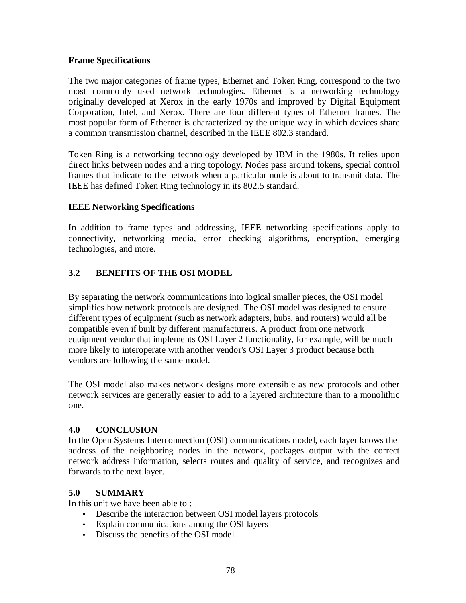#### **Frame Specifications**

The two major categories of frame types, Ethernet and Token Ring, correspond to the two most commonly used network technologies. Ethernet is a networking technology originally developed at Xerox in the early 1970s and improved by Digital Equipment Corporation, Intel, and Xerox. There are four different types of Ethernet frames. The most popular form of Ethernet is characterized by the unique way in which devices share a common transmission channel, described in the IEEE 802.3 standard.

Token Ring is a networking technology developed by IBM in the 1980s. It relies upon direct links between nodes and a ring topology. Nodes pass around tokens, special control frames that indicate to the network when a particular node is about to transmit data. The IEEE has defined Token Ring technology in its 802.5 standard.

#### **IEEE Networking Specifications**

In addition to frame types and addressing, IEEE networking specifications apply to connectivity, networking media, error checking algorithms, encryption, emerging technologies, and more.

#### **3.2 BENEFITS OF THE OSI MODEL**

By separating the network communications into logical smaller pieces, the OSI model simplifies how network protocols are designed. The OSI model was designed to ensure different types of equipment (such as network adapters, hubs, and routers) would all be compatible even if built by different manufacturers. A product from one network equipment vendor that implements OSI Layer 2 functionality, for example, will be much more likely to interoperate with another vendor's OSI Layer 3 product because both vendors are following the same model.

The OSI model also makes network designs more extensible as new protocols and other network services are generally easier to add to a layered architecture than to a monolithic one.

#### **4.0 CONCLUSION**

In the Open Systems Interconnection (OSI) communications model, each layer knows the address of the neighboring nodes in the network, packages output with the correct network address information, selects routes and quality of service, and recognizes and forwards to the next layer.

#### **5.0 SUMMARY**

In this unit we have been able to :

- Describe the interaction between OSI model layers protocols
- Explain communications among the OSI layers
- Discuss the benefits of the OSI model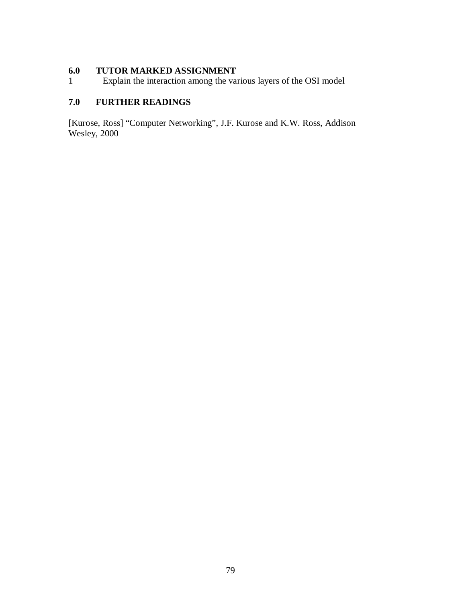## **6.0 TUTOR MARKED ASSIGNMENT**

1 Explain the interaction among the various layers of the OSI model

# **7.0 FURTHER READINGS**

[Kurose, Ross] "Computer Networking", J.F. Kurose and K.W. Ross, Addison Wesley, 2000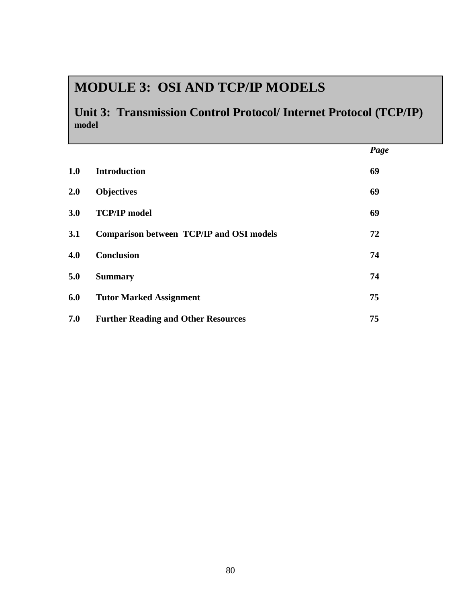# **MODULE 3: OSI AND TCP/IP MODELS**

# **Unit 3: Transmission Control Protocol/ Internet Protocol (TCP/IP) model**

|     |                                                 | Page |
|-----|-------------------------------------------------|------|
| 1.0 | <b>Introduction</b>                             | 69   |
| 2.0 | <b>Objectives</b>                               | 69   |
| 3.0 | <b>TCP/IP</b> model                             | 69   |
| 3.1 | <b>Comparison between TCP/IP and OSI models</b> | 72   |
| 4.0 | <b>Conclusion</b>                               | 74   |
| 5.0 | <b>Summary</b>                                  | 74   |
| 6.0 | <b>Tutor Marked Assignment</b>                  | 75   |
| 7.0 | <b>Further Reading and Other Resources</b>      | 75   |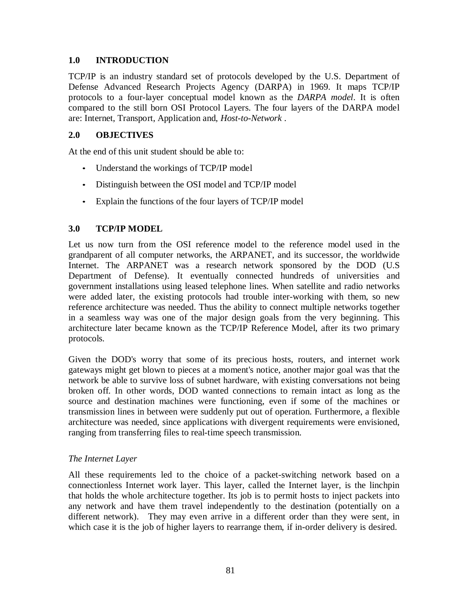#### **1.0 INTRODUCTION**

TCP/IP is an industry standard set of protocols developed by the U.S. Department of Defense Advanced Research Projects Agency (DARPA) in 1969. It maps TCP/IP protocols to a four-layer conceptual model known as the *DARPA model*. It is often compared to the still born OSI Protocol Layers. The four layers of the DARPA model are: Internet, Transport, Application and, *Host-to-Network* .

#### **2.0 OBJECTIVES**

At the end of this unit student should be able to:

- Understand the workings of TCP/IP model
- Distinguish between the OSI model and TCP/IP model
- Explain the functions of the four layers of TCP/IP model

#### **3.0 TCP/IP MODEL**

Let us now turn from the OSI reference model to the reference model used in the grandparent of all computer networks, the ARPANET, and its successor, the worldwide Internet. The ARPANET was a research network sponsored by the DOD (U.S Department of Defense). It eventually connected hundreds of universities and government installations using leased telephone lines. When satellite and radio networks were added later, the existing protocols had trouble inter-working with them, so new reference architecture was needed. Thus the ability to connect multiple networks together in a seamless way was one of the major design goals from the very beginning. This architecture later became known as the TCP/IP Reference Model, after its two primary protocols.

Given the DOD's worry that some of its precious hosts, routers, and internet work gateways might get blown to pieces at a moment's notice, another major goal was that the network be able to survive loss of subnet hardware, with existing conversations not being broken off. In other words, DOD wanted connections to remain intact as long as the source and destination machines were functioning, even if some of the machines or transmission lines in between were suddenly put out of operation. Furthermore, a flexible architecture was needed, since applications with divergent requirements were envisioned, ranging from transferring files to real-time speech transmission.

#### *The Internet Layer*

All these requirements led to the choice of a packet-switching network based on a connectionless Internet work layer. This layer, called the Internet layer, is the linchpin that holds the whole architecture together. Its job is to permit hosts to inject packets into any network and have them travel independently to the destination (potentially on a different network). They may even arrive in a different order than they were sent, in which case it is the job of higher layers to rearrange them, if in-order delivery is desired.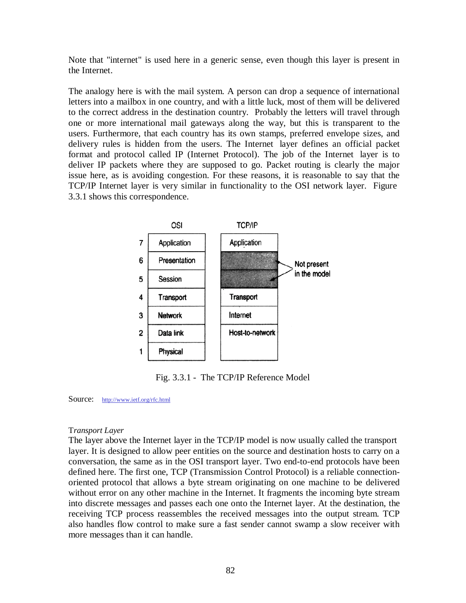Note that "internet" is used here in a generic sense, even though this layer is present in the Internet.

The analogy here is with the mail system. A person can drop a sequence of international letters into a mailbox in one country, and with a little luck, most of them will be delivered to the correct address in the destination country. Probably the letters will travel through one or more international mail gateways along the way, but this is transparent to the users. Furthermore, that each country has its own stamps, preferred envelope sizes, and delivery rules is hidden from the users. The Internet layer defines an official packet format and protocol called IP (Internet Protocol). The job of the Internet layer is to deliver IP packets where they are supposed to go. Packet routing is clearly the major issue here, as is avoiding congestion. For these reasons, it is reasonable to say that the TCP/IP Internet layer is very similar in functionality to the OSI network layer. Figure 3.3.1 shows this correspondence.



Fig. 3.3.1 - The TCP/IP Reference Model

Source: http://www.ietf.org/rfc.html

#### T*ransport Layer*

The layer above the Internet layer in the TCP/IP model is now usually called the transport layer. It is designed to allow peer entities on the source and destination hosts to carry on a conversation, the same as in the OSI transport layer. Two end-to-end protocols have been defined here. The first one, TCP (Transmission Control Protocol) is a reliable connectionoriented protocol that allows a byte stream originating on one machine to be delivered without error on any other machine in the Internet. It fragments the incoming byte stream into discrete messages and passes each one onto the Internet layer. At the destination, the receiving TCP process reassembles the received messages into the output stream. TCP also handles flow control to make sure a fast sender cannot swamp a slow receiver with more messages than it can handle.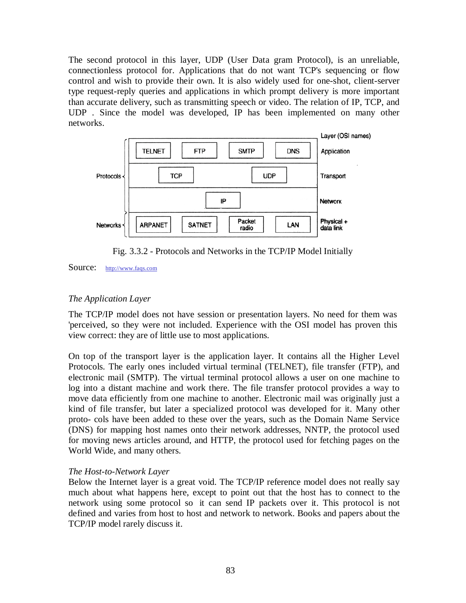The second protocol in this layer, UDP (User Data gram Protocol), is an unreliable, connectionless protocol for. Applications that do not want TCP's sequencing or flow control and wish to provide their own. It is also widely used for one-shot, client-server type request-reply queries and applications in which prompt delivery is more important than accurate delivery, such as transmitting speech or video. The relation of IP, TCP, and UDP . Since the model was developed, IP has been implemented on many other networks.



Fig. 3.3.2 - Protocols and Networks in the TCP/IP Model Initially

Source: http://www.faqs.com

#### *The Application Layer*

The TCP/IP model does not have session or presentation layers. No need for them was 'perceived, so they were not included. Experience with the OSI model has proven this view correct: they are of little use to most applications.

On top of the transport layer is the application layer. It contains all the Higher Level Protocols. The early ones included virtual terminal (TELNET), file transfer (FTP), and electronic mail (SMTP). The virtual terminal protocol allows a user on one machine to log into a distant machine and work there. The file transfer protocol provides a way to move data efficiently from one machine to another. Electronic mail was originally just a kind of file transfer, but later a specialized protocol was developed for it. Many other proto- cols have been added to these over the years, such as the Domain Name Service (DNS) for mapping host names onto their network addresses, NNTP, the protocol used for moving news articles around, and HTTP, the protocol used for fetching pages on the World Wide, and many others.

#### *The Host-to-Network Layer*

Below the Internet layer is a great void. The TCP/IP reference model does not really say much about what happens here, except to point out that the host has to connect to the network using some protocol so it can send IP packets over it. This protocol is not defined and varies from host to host and network to network. Books and papers about the TCP/IP model rarely discuss it.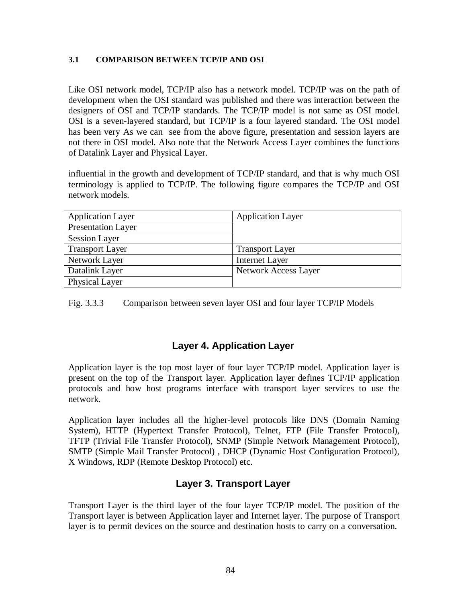#### **3.1 COMPARISON BETWEEN TCP/IP AND OSI**

Like OSI network model, TCP/IP also has a network model. TCP/IP was on the path of development when the OSI standard was published and there was interaction between the designers of OSI and TCP/IP standards. The TCP/IP model is not same as OSI model. OSI is a seven-layered standard, but TCP/IP is a four layered standard. The OSI model has been very As we can see from the above figure, presentation and session layers are not there in OSI model. Also note that the Network Access Layer combines the functions of Datalink Layer and Physical Layer.

influential in the growth and development of TCP/IP standard, and that is why much OSI terminology is applied to TCP/IP. The following figure compares the TCP/IP and OSI network models.

| <b>Application Layer</b>  | <b>Application Layer</b>    |
|---------------------------|-----------------------------|
| <b>Presentation Layer</b> |                             |
| <b>Session Layer</b>      |                             |
| <b>Transport Layer</b>    | <b>Transport Layer</b>      |
| Network Layer             | Internet Layer              |
| Datalink Layer            | <b>Network Access Layer</b> |
| Physical Layer            |                             |

Fig. 3.3.3 Comparison between seven layer OSI and four layer TCP/IP Models

# **Layer 4. Application Layer**

Application layer is the top most layer of four layer TCP/IP model. Application layer is present on the top of the Transport layer. Application layer defines TCP/IP application protocols and how host programs interface with transport layer services to use the network.

Application layer includes all the higher-level protocols like DNS (Domain Naming System), HTTP (Hypertext Transfer Protocol), Telnet, FTP (File Transfer Protocol), TFTP (Trivial File Transfer Protocol), SNMP (Simple Network Management Protocol), SMTP (Simple Mail Transfer Protocol) , DHCP (Dynamic Host Configuration Protocol), X Windows, RDP (Remote Desktop Protocol) etc.

# **Layer 3. Transport Layer**

Transport Layer is the third layer of the four layer TCP/IP model. The position of the Transport layer is between Application layer and Internet layer. The purpose of Transport layer is to permit devices on the source and destination hosts to carry on a conversation.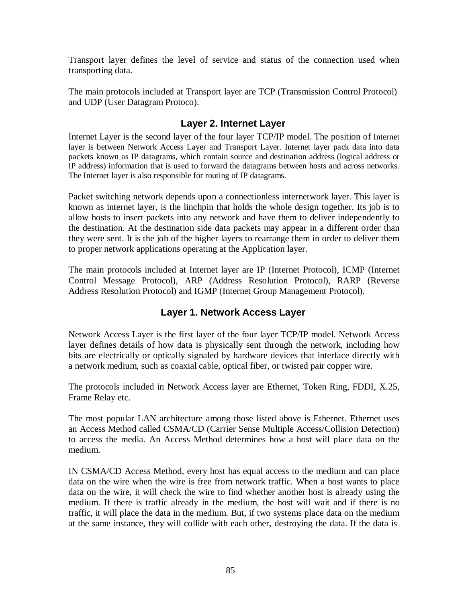Transport layer defines the level of service and status of the connection used when transporting data.

The main protocols included at Transport layer are TCP (Transmission Control Protocol) and UDP (User Datagram Protoco).

# **Layer 2. Internet Layer**

Internet Layer is the second layer of the four layer TCP/IP model. The position of Internet layer is between Network Access Layer and Transport Layer. Internet layer pack data into data packets known as IP datagrams, which contain source and destination address (logical address or IP address) information that is used to forward the datagrams between hosts and across networks. The Internet layer is also responsible for routing of IP datagrams.

Packet switching network depends upon a connectionless internetwork layer. This layer is known as internet layer, is the linchpin that holds the whole design together. Its job is to allow hosts to insert packets into any network and have them to deliver independently to the destination. At the destination side data packets may appear in a different order than they were sent. It is the job of the higher layers to rearrange them in order to deliver them to proper network applications operating at the Application layer.

The main protocols included at Internet layer are IP (Internet Protocol), ICMP (Internet Control Message Protocol), ARP (Address Resolution Protocol), RARP (Reverse Address Resolution Protocol) and IGMP (Internet Group Management Protocol).

# **Layer 1. Network Access Layer**

Network Access Layer is the first layer of the four layer TCP/IP model. Network Access layer defines details of how data is physically sent through the network, including how bits are electrically or optically signaled by hardware devices that interface directly with a network medium, such as coaxial cable, optical fiber, or twisted pair copper wire.

The protocols included in Network Access layer are Ethernet, Token Ring, FDDI, X.25, Frame Relay etc.

The most popular LAN architecture among those listed above is Ethernet. Ethernet uses an Access Method called CSMA/CD (Carrier Sense Multiple Access/Collision Detection) to access the media. An Access Method determines how a host will place data on the medium.

IN CSMA/CD Access Method, every host has equal access to the medium and can place data on the wire when the wire is free from network traffic. When a host wants to place data on the wire, it will check the wire to find whether another host is already using the medium. If there is traffic already in the medium, the host will wait and if there is no traffic, it will place the data in the medium. But, if two systems place data on the medium at the same instance, they will collide with each other, destroying the data. If the data is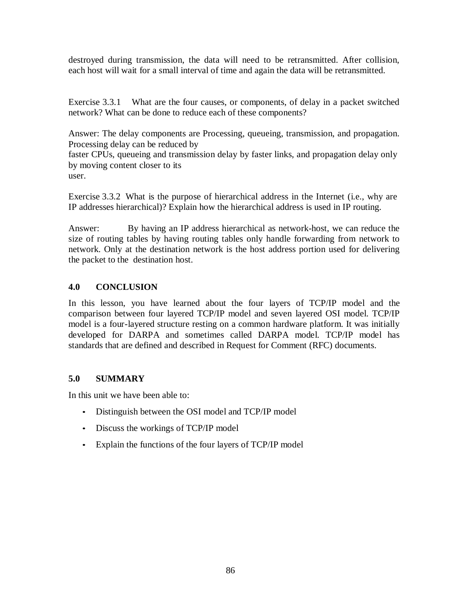destroyed during transmission, the data will need to be retransmitted. After collision, each host will wait for a small interval of time and again the data will be retransmitted.

Exercise 3.3.1 What are the four causes, or components, of delay in a packet switched network? What can be done to reduce each of these components?

Answer: The delay components are Processing, queueing, transmission, and propagation. Processing delay can be reduced by

faster CPUs, queueing and transmission delay by faster links, and propagation delay only by moving content closer to its user.

Exercise 3.3.2 What is the purpose of hierarchical address in the Internet (i.e., why are IP addresses hierarchical)? Explain how the hierarchical address is used in IP routing.

Answer: By having an IP address hierarchical as network-host, we can reduce the size of routing tables by having routing tables only handle forwarding from network to network. Only at the destination network is the host address portion used for delivering the packet to the destination host.

# **4.0 CONCLUSION**

In this lesson, you have learned about the four layers of TCP/IP model and the comparison between four layered TCP/IP model and seven layered OSI model. TCP/IP model is a four-layered structure resting on a common hardware platform. It was initially developed for DARPA and sometimes called DARPA model. TCP/IP model has standards that are defined and described in Request for Comment (RFC) documents.

# **5.0 SUMMARY**

In this unit we have been able to:

- Distinguish between the OSI model and TCP/IP model
- Discuss the workings of TCP/IP model
- Explain the functions of the four layers of TCP/IP model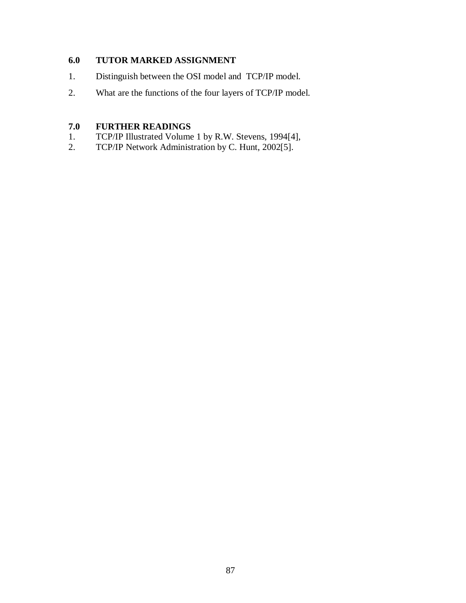# **6.0 TUTOR MARKED ASSIGNMENT**

- 1. Distinguish between the OSI model and TCP/IP model.
- 2. What are the functions of the four layers of TCP/IP model.

### **7.0 FURTHER READINGS**

- 1. TCP/IP Illustrated Volume 1 by R.W. Stevens, 1994[4],<br>2. TCP/IP Network Administration by C. Hunt, 2002[5].
- 2. TCP/IP Network Administration by C. Hunt, 2002[5].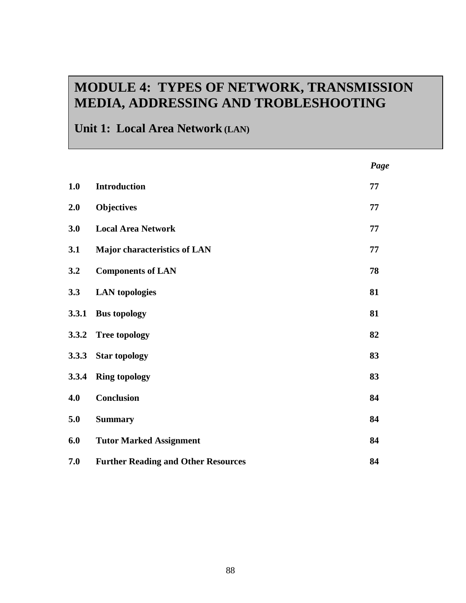# **MODULE 4: TYPES OF NETWORK, TRANSMISSION MEDIA, ADDRESSING AND TROBLESHOOTING**

# **Unit 1: Local Area Network (LAN)**

|       |                                            | Page |
|-------|--------------------------------------------|------|
| 1.0   | <b>Introduction</b>                        | 77   |
| 2.0   | <b>Objectives</b>                          | 77   |
| 3.0   | <b>Local Area Network</b>                  | 77   |
| 3.1   | <b>Major characteristics of LAN</b>        | 77   |
| 3.2   | <b>Components of LAN</b>                   | 78   |
| 3.3   | <b>LAN</b> topologies                      | 81   |
| 3.3.1 | <b>Bus topology</b>                        | 81   |
| 3.3.2 | <b>Tree topology</b>                       | 82   |
| 3.3.3 | <b>Star topology</b>                       | 83   |
| 3.3.4 | <b>Ring topology</b>                       | 83   |
| 4.0   | Conclusion                                 | 84   |
| 5.0   | <b>Summary</b>                             | 84   |
| 6.0   | <b>Tutor Marked Assignment</b>             | 84   |
| 7.0   | <b>Further Reading and Other Resources</b> | 84   |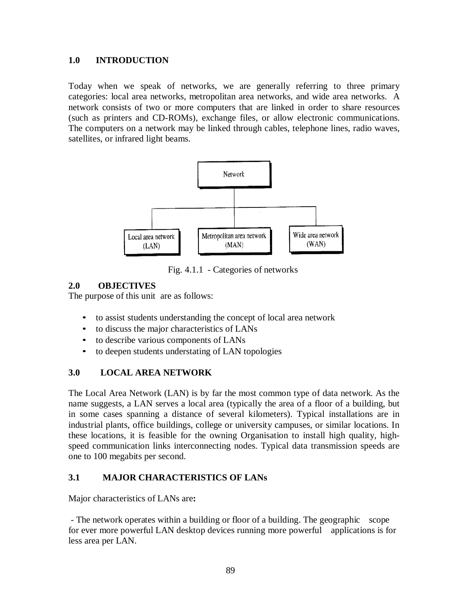## **1.0 INTRODUCTION**

Today when we speak of networks, we are generally referring to three primary categories: local area networks, metropolitan area networks, and wide area networks. A network consists of two or more computers that are linked in order to share resources (such as printers and CD-ROMs), exchange files, or allow electronic communications. The computers on a network may be linked through cables, telephone lines, radio waves, satellites, or infrared light beams.



Fig. 4.1.1 - Categories of networks

# **2.0 OBJECTIVES**

The purpose of this unit are as follows:

- to assist students understanding the concept of local area network
- to discuss the major characteristics of LANs
- to describe various components of LANs
- to deepen students understating of LAN topologies

# **3.0 LOCAL AREA NETWORK**

The Local Area Network (LAN) is by far the most common type of data network. As the name suggests, a LAN serves a local area (typically the area of a floor of a building, but in some cases spanning a distance of several kilometers). Typical installations are in industrial plants, office buildings, college or university campuses, or similar locations. In these locations, it is feasible for the owning Organisation to install high quality, highspeed communication links interconnecting nodes. Typical data transmission speeds are one to 100 megabits per second.

# **3.1 MAJOR CHARACTERISTICS OF LANs**

Major characteristics of LANs are**:**

- The network operates within a building or floor of a building. The geographic scope for ever more powerful LAN desktop devices running more powerful applications is for less area per LAN.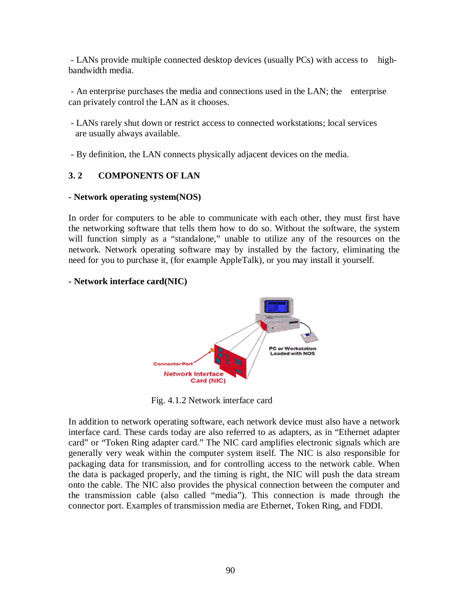- LANs provide multiple connected desktop devices (usually PCs) with access to highbandwidth media.

- An enterprise purchases the media and connections used in the LAN; the enterprise can privately control the LAN as it chooses.

- LANs rarely shut down or restrict access to connected workstations; local services are usually always available.
- By definition, the LAN connects physically adjacent devices on the media.

## **3. 2 COMPONENTS OF LAN**

#### **- Network operating system(NOS)**

In order for computers to be able to communicate with each other, they must first have the networking software that tells them how to do so. Without the software, the system will function simply as a "standalone," unable to utilize any of the resources on the network. Network operating software may by installed by the factory, eliminating the need for you to purchase it, (for example AppleTalk), or you may install it yourself.

#### **- Network interface card(NIC)**



Fig. 4.1.2 Network interface card

In addition to network operating software, each network device must also have a network interface card. These cards today are also referred to as adapters, as in "Ethernet adapter card" or "Token Ring adapter card." The NIC card amplifies electronic signals which are generally very weak within the computer system itself. The NIC is also responsible for packaging data for transmission, and for controlling access to the network cable. When the data is packaged properly, and the timing is right, the NIC will push the data stream onto the cable. The NIC also provides the physical connection between the computer and the transmission cable (also called "media"). This connection is made through the connector port. Examples of transmission media are Ethernet, Token Ring, and FDDI.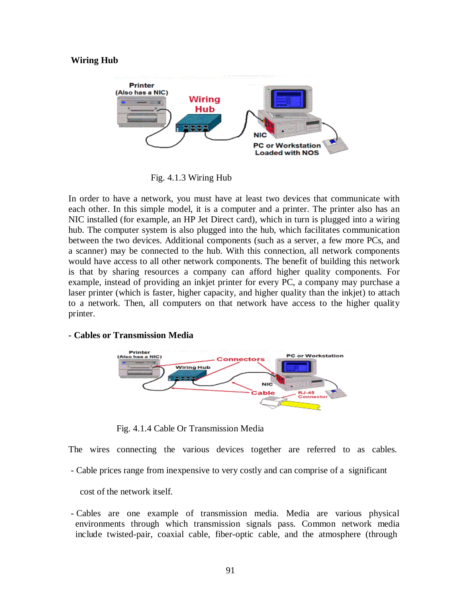#### **Wiring Hub**



Fig. 4.1.3 Wiring Hub

In order to have a network, you must have at least two devices that communicate with each other. In this simple model, it is a computer and a printer. The printer also has an NIC installed (for example, an HP Jet Direct card), which in turn is plugged into a wiring hub. The computer system is also plugged into the hub, which facilitates communication between the two devices. Additional components (such as a server, a few more PCs, and a scanner) may be connected to the hub. With this connection, all network components would have access to all other network components. The benefit of building this network is that by sharing resources a company can afford higher quality components. For example, instead of providing an inkjet printer for every PC, a company may purchase a laser printer (which is faster, higher capacity, and higher quality than the inkjet) to attach to a network. Then, all computers on that network have access to the higher quality printer.

#### **- Cables or Transmission Media**



Fig. 4.1.4 Cable Or Transmission Media

The wires connecting the various devices together are referred to as cables.

- Cable prices range from inexpensive to very costly and can comprise of a significant

cost of the network itself.

- Cables are one example of transmission media. Media are various physical environments through which transmission signals pass. Common network media include twisted-pair, coaxial cable, fiber-optic cable, and the atmosphere (through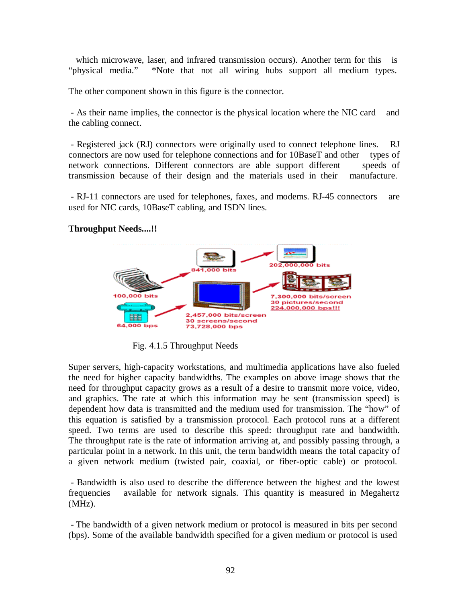which microwave, laser, and infrared transmission occurs). Another term for this is "physical media." \*Note that not all wiring hubs support all medium types.

The other component shown in this figure is the connector.

- As their name implies, the connector is the physical location where the NIC card and the cabling connect.

- Registered jack (RJ) connectors were originally used to connect telephone lines. RJ connectors are now used for telephone connections and for 10BaseT and other types of network connections. Different connectors are able support different speeds of transmission because of their design and the materials used in their manufacture.

- RJ-11 connectors are used for telephones, faxes, and modems. RJ-45 connectors are used for NIC cards, 10BaseT cabling, and ISDN lines.

#### **Throughput Needs....!!**



Fig. 4.1.5 Throughput Needs

Super servers, high-capacity workstations, and multimedia applications have also fueled the need for higher capacity bandwidths. The examples on above image shows that the need for throughput capacity grows as a result of a desire to transmit more voice, video, and graphics. The rate at which this information may be sent (transmission speed) is dependent how data is transmitted and the medium used for transmission. The "how" of this equation is satisfied by a transmission protocol. Each protocol runs at a different speed. Two terms are used to describe this speed: throughput rate and bandwidth. The throughput rate is the rate of information arriving at, and possibly passing through, a particular point in a network. In this unit, the term bandwidth means the total capacity of a given network medium (twisted pair, coaxial, or fiber-optic cable) or protocol.

- Bandwidth is also used to describe the difference between the highest and the lowest frequencies available for network signals. This quantity is measured in Megahertz  $(MHz)$ .

- The bandwidth of a given network medium or protocol is measured in bits per second (bps). Some of the available bandwidth specified for a given medium or protocol is used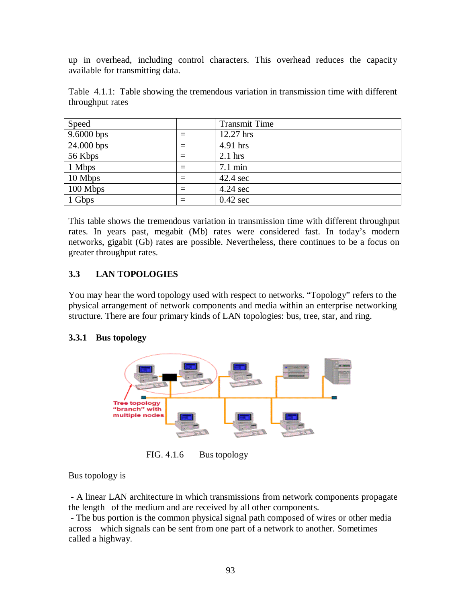up in overhead, including control characters. This overhead reduces the capacity available for transmitting data.

Table 4.1.1: Table showing the tremendous variation in transmission time with different throughput rates

| Speed      |     | <b>Transmit Time</b> |
|------------|-----|----------------------|
| 9.6000 bps |     | 12.27 hrs            |
| 24.000 bps |     | 4.91 hrs             |
| 56 Kbps    | $=$ | $2.1$ hrs            |
| 1 Mbps     |     | $7.1 \text{ min}$    |
| 10 Mbps    |     | 42.4 sec             |
| 100 Mbps   |     | 4.24 sec             |
| 1 Gbps     |     | $0.42 \text{ sec}$   |

This table shows the tremendous variation in transmission time with different throughput rates. In years past, megabit (Mb) rates were considered fast. In today's modern networks, gigabit (Gb) rates are possible. Nevertheless, there continues to be a focus on greater throughput rates.

## **3.3 LAN TOPOLOGIES**

You may hear the word topology used with respect to networks. "Topology" refers to the physical arrangement of network components and media within an enterprise networking structure. There are four primary kinds of LAN topologies: bus, tree, star, and ring.

#### **3.3.1 Bus topology**



FIG. 4.1.6 Bus topology

Bus topology is

- A linear LAN architecture in which transmissions from network components propagate the length of the medium and are received by all other components.

- The bus portion is the common physical signal path composed of wires or other media across which signals can be sent from one part of a network to another. Sometimes called a highway.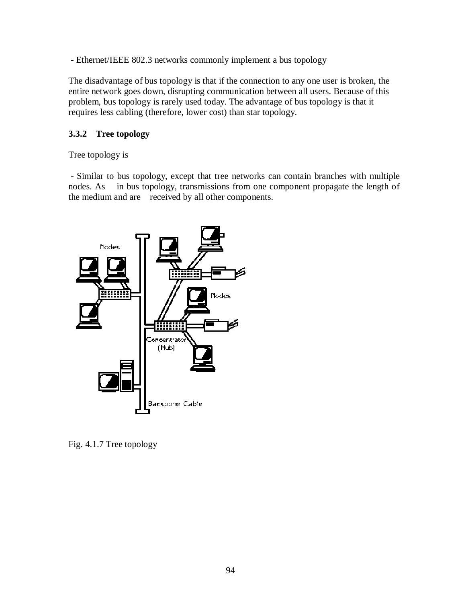- Ethernet/IEEE 802.3 networks commonly implement a bus topology

The disadvantage of bus topology is that if the connection to any one user is broken, the entire network goes down, disrupting communication between all users. Because of this problem, bus topology is rarely used today. The advantage of bus topology is that it requires less cabling (therefore, lower cost) than star topology.

# **3.3.2 Tree topology**

Tree topology is

- Similar to bus topology, except that tree networks can contain branches with multiple nodes. As in bus topology, transmissions from one component propagate the length of the medium and are received by all other components.



Fig. 4.1.7 Tree topology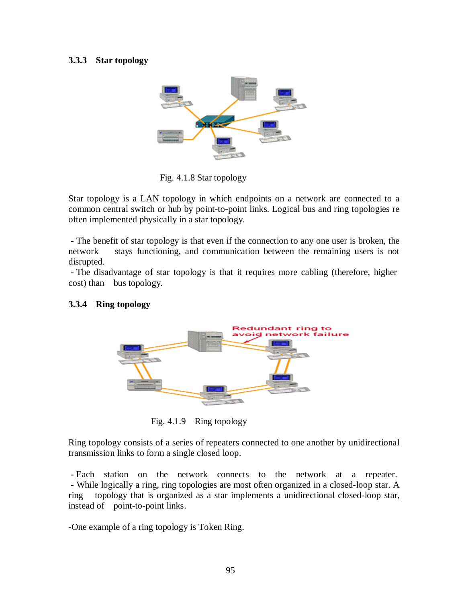#### **3.3.3 Star topology**



Fig. 4.1.8 Star topology

Star topology is a LAN topology in which endpoints on a network are connected to a common central switch or hub by point-to-point links. Logical bus and ring topologies re often implemented physically in a star topology.

- The benefit of star topology is that even if the connection to any one user is broken, the network stays functioning, and communication between the remaining users is not disrupted.

- The disadvantage of star topology is that it requires more cabling (therefore, higher cost) than bus topology.

# **Redundant ring to** oid

## **3.3.4 Ring topology**

Fig. 4.1.9 Ring topology

Ring topology consists of a series of repeaters connected to one another by unidirectional transmission links to form a single closed loop.

- Each station on the network connects to the network at a repeater. - While logically a ring, ring topologies are most often organized in a closed-loop star. A ring topology that is organized as a star implements a unidirectional closed-loop star, instead of point-to-point links.

-One example of a ring topology is Token Ring.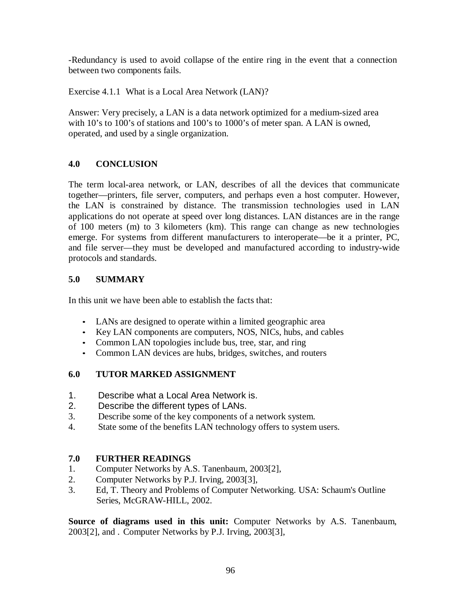-Redundancy is used to avoid collapse of the entire ring in the event that a connection between two components fails.

Exercise 4.1.1 What is a Local Area Network (LAN)?

Answer: Very precisely, a LAN is a data network optimized for a medium-sized area with 10's to 100's of stations and 100's to 1000's of meter span. A LAN is owned, operated, and used by a single organization.

## **4.0 CONCLUSION**

The term local-area network, or LAN, describes of all the devices that communicate together—printers, file server, computers, and perhaps even a host computer. However, the LAN is constrained by distance. The transmission technologies used in LAN applications do not operate at speed over long distances. LAN distances are in the range of 100 meters (m) to 3 kilometers (km). This range can change as new technologies emerge. For systems from different manufacturers to interoperate—be it a printer, PC, and file server—they must be developed and manufactured according to industry-wide protocols and standards.

## **5.0 SUMMARY**

In this unit we have been able to establish the facts that:

- LANs are designed to operate within a limited geographic area
- Key LAN components are computers, NOS, NICs, hubs, and cables
- Common LAN topologies include bus, tree, star, and ring
- Common LAN devices are hubs, bridges, switches, and routers

#### **6.0 TUTOR MARKED ASSIGNMENT**

- 1. Describe what a Local Area Network is.
- 2. Describe the different types of LANs.
- 3. Describe some of the key components of a network system.
- 4. State some of the benefits LAN technology offers to system users.

# **7.0 FURTHER READINGS**

- 1. Computer Networks by A.S. Tanenbaum, 2003[2],
- 2. Computer Networks by P.J. Irving, 2003[3],
- 3. Ed, T. Theory and Problems of Computer Networking. USA: Schaum's Outline Series, McGRAW-HILL, 2002.

**Source of diagrams used in this unit:** Computer Networks by A.S. Tanenbaum, 2003[2], and . Computer Networks by P.J. Irving, 2003[3],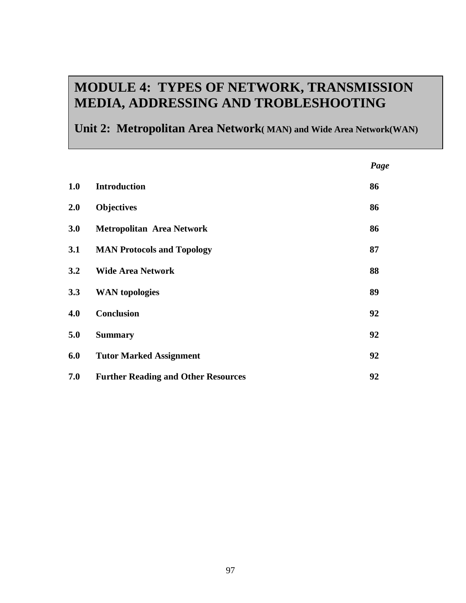# **MODULE 4: TYPES OF NETWORK, TRANSMISSION MEDIA, ADDRESSING AND TROBLESHOOTING**

# **Unit 2: Metropolitan Area Network( MAN) and Wide Area Network(WAN)**

|     |                                            | Page |
|-----|--------------------------------------------|------|
| 1.0 | <b>Introduction</b>                        | 86   |
| 2.0 | <b>Objectives</b>                          | 86   |
| 3.0 | <b>Metropolitan Area Network</b>           | 86   |
| 3.1 | <b>MAN Protocols and Topology</b>          | 87   |
| 3.2 | <b>Wide Area Network</b>                   | 88   |
| 3.3 | <b>WAN</b> topologies                      | 89   |
| 4.0 | <b>Conclusion</b>                          | 92   |
| 5.0 | <b>Summary</b>                             | 92   |
| 6.0 | <b>Tutor Marked Assignment</b>             | 92   |
| 7.0 | <b>Further Reading and Other Resources</b> | 92   |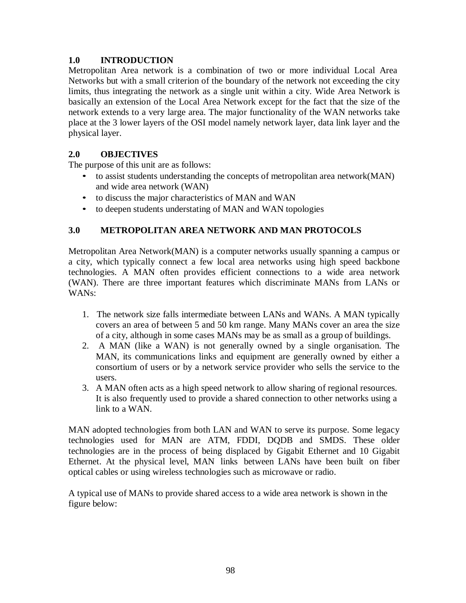## **1.0 INTRODUCTION**

Metropolitan Area network is a combination of two or more individual Local Area Networks but with a small criterion of the boundary of the network not exceeding the city limits, thus integrating the network as a single unit within a city. Wide Area Network is basically an extension of the Local Area Network except for the fact that the size of the network extends to a very large area. The major functionality of the WAN networks take place at the 3 lower layers of the OSI model namely network layer, data link layer and the physical layer.

### **2.0 OBJECTIVES**

The purpose of this unit are as follows:

- to assist students understanding the concepts of metropolitan area network(MAN) and wide area network (WAN)
- to discuss the major characteristics of MAN and WAN
- to deepen students understating of MAN and WAN topologies

#### **3.0 METROPOLITAN AREA NETWORK AND MAN PROTOCOLS**

Metropolitan Area Network(MAN) is a computer networks usually spanning a campus or a city, which typically connect a few local area networks using high speed backbone technologies. A MAN often provides efficient connections to a wide area network (WAN). There are three important features which discriminate MANs from LANs or WANs:

- 1. The network size falls intermediate between LANs and WANs. A MAN typically covers an area of between 5 and 50 km range. Many MANs cover an area the size of a city, although in some cases MANs may be as small as a group of buildings.
- 2. A MAN (like a WAN) is not generally owned by a single organisation. The MAN, its communications links and equipment are generally owned by either a consortium of users or by a network service provider who sells the service to the users.
- 3. A MAN often acts as a high speed network to allow sharing of regional resources. It is also frequently used to provide a shared connection to other networks using a link to a WAN.

MAN adopted technologies from both LAN and WAN to serve its purpose. Some legacy technologies used for MAN are ATM, FDDI, DQDB and SMDS. These older technologies are in the process of being displaced by Gigabit Ethernet and 10 Gigabit Ethernet. At the physical level, MAN links between LANs have been built on fiber optical cables or using wireless technologies such as microwave or radio.

A typical use of MANs to provide shared access to a wide area network is shown in the figure below: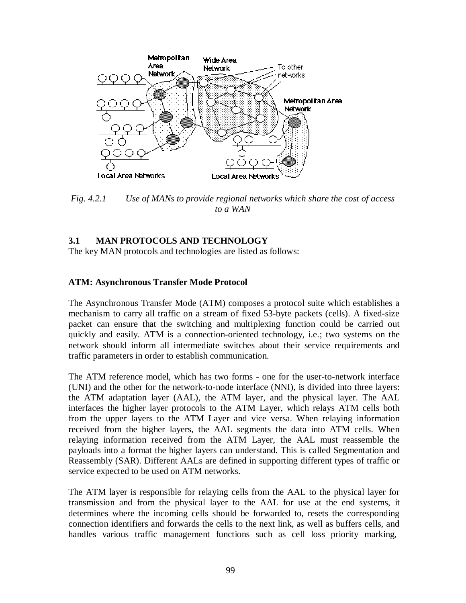

*Fig. 4.2.1 Use of MANs to provide regional networks which share the cost of access to a WAN*

#### **3.1 MAN PROTOCOLS AND TECHNOLOGY**

The key MAN protocols and technologies are listed as follows:

#### **ATM: Asynchronous Transfer Mode Protocol**

The Asynchronous Transfer Mode (ATM) composes a protocol suite which establishes a mechanism to carry all traffic on a stream of fixed 53-byte packets (cells). A fixed-size packet can ensure that the switching and multiplexing function could be carried out quickly and easily. ATM is a connection-oriented technology, i.e.; two systems on the network should inform all intermediate switches about their service requirements and traffic parameters in order to establish communication.

The ATM reference model, which has two forms - one for the user-to-network interface (UNI) and the other for the network-to-node interface (NNI), is divided into three layers: the ATM adaptation layer (AAL), the ATM layer, and the physical layer. The AAL interfaces the higher layer protocols to the ATM Layer, which relays ATM cells both from the upper layers to the ATM Layer and vice versa. When relaying information received from the higher layers, the AAL segments the data into ATM cells. When relaying information received from the ATM Layer, the AAL must reassemble the payloads into a format the higher layers can understand. This is called Segmentation and Reassembly (SAR). Different AALs are defined in supporting different types of traffic or service expected to be used on ATM networks.

The ATM layer is responsible for relaying cells from the AAL to the physical layer for transmission and from the physical layer to the AAL for use at the end systems, it determines where the incoming cells should be forwarded to, resets the corresponding connection identifiers and forwards the cells to the next link, as well as buffers cells, and handles various traffic management functions such as cell loss priority marking,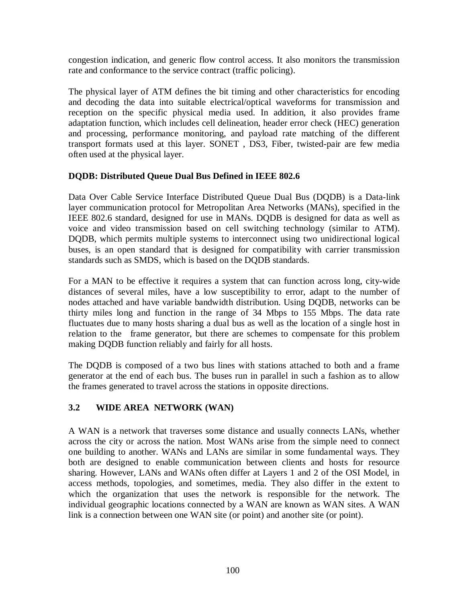congestion indication, and generic flow control access. It also monitors the transmission rate and conformance to the service contract (traffic policing).

The physical layer of ATM defines the bit timing and other characteristics for encoding and decoding the data into suitable electrical/optical waveforms for transmission and reception on the specific physical media used. In addition, it also provides frame adaptation function, which includes cell delineation, header error check (HEC) generation and processing, performance monitoring, and payload rate matching of the different transport formats used at this layer. SONET , DS3, Fiber, twisted-pair are few media often used at the physical layer.

#### **DQDB: Distributed Queue Dual Bus Defined in IEEE 802.6**

Data Over Cable Service Interface Distributed Queue Dual Bus (DQDB) is a Data-link layer communication protocol for Metropolitan Area Networks (MANs), specified in the IEEE 802.6 standard, designed for use in MANs. DQDB is designed for data as well as voice and video transmission based on cell switching technology (similar to ATM). DQDB, which permits multiple systems to interconnect using two unidirectional logical buses, is an open standard that is designed for compatibility with carrier transmission standards such as SMDS, which is based on the DQDB standards.

For a MAN to be effective it requires a system that can function across long, city-wide distances of several miles, have a low susceptibility to error, adapt to the number of nodes attached and have variable bandwidth distribution. Using DQDB, networks can be thirty miles long and function in the range of 34 Mbps to 155 Mbps. The data rate fluctuates due to many hosts sharing a dual bus as well as the location of a single host in relation to the frame generator, but there are schemes to compensate for this problem making DQDB function reliably and fairly for all hosts.

The DQDB is composed of a two bus lines with stations attached to both and a frame generator at the end of each bus. The buses run in parallel in such a fashion as to allow the frames generated to travel across the stations in opposite directions.

# **3.2 WIDE AREA NETWORK (WAN)**

A WAN is a network that traverses some distance and usually connects LANs, whether across the city or across the nation. Most WANs arise from the simple need to connect one building to another. WANs and LANs are similar in some fundamental ways. They both are designed to enable communication between clients and hosts for resource sharing. However, LANs and WANs often differ at Layers 1 and 2 of the OSI Model, in access methods, topologies, and sometimes, media. They also differ in the extent to which the organization that uses the network is responsible for the network. The individual geographic locations connected by a WAN are known as WAN sites. A WAN link is a connection between one WAN site (or point) and another site (or point).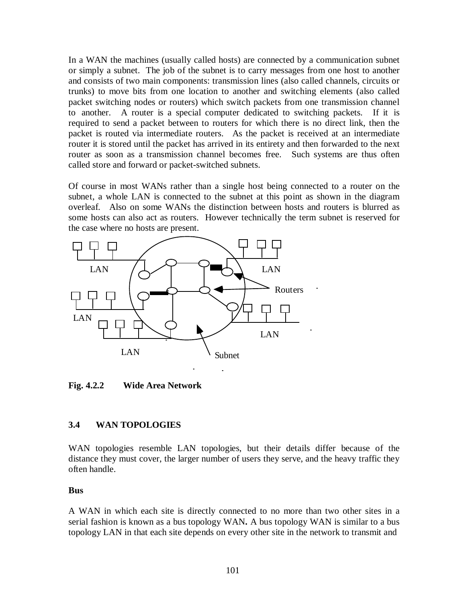In a WAN the machines (usually called hosts) are connected by a communication subnet or simply a subnet. The job of the subnet is to carry messages from one host to another and consists of two main components: transmission lines (also called channels, circuits or trunks) to move bits from one location to another and switching elements (also called packet switching nodes or routers) which switch packets from one transmission channel to another. A router is a special computer dedicated to switching packets. If it is required to send a packet between to routers for which there is no direct link, then the packet is routed via intermediate routers. As the packet is received at an intermediate router it is stored until the packet has arrived in its entirety and then forwarded to the next router as soon as a transmission channel becomes free. Such systems are thus often called store and forward or packet-switched subnets.

Of course in most WANs rather than a single host being connected to a router on the subnet, a whole LAN is connected to the subnet at this point as shown in the diagram overleaf. Also on some WANs the distinction between hosts and routers is blurred as some hosts can also act as routers. However technically the term subnet is reserved for the case where no hosts are present.



**Fig. 4.2.2 Wide Area Network**

#### **3.4 WAN TOPOLOGIES**

WAN topologies resemble LAN topologies, but their details differ because of the distance they must cover, the larger number of users they serve, and the heavy traffic they often handle.

#### **Bus**

A WAN in which each site is directly connected to no more than two other sites in a serial fashion is known as a bus topology WAN**.** A bus topology WAN is similar to a bus topology LAN in that each site depends on every other site in the network to transmit and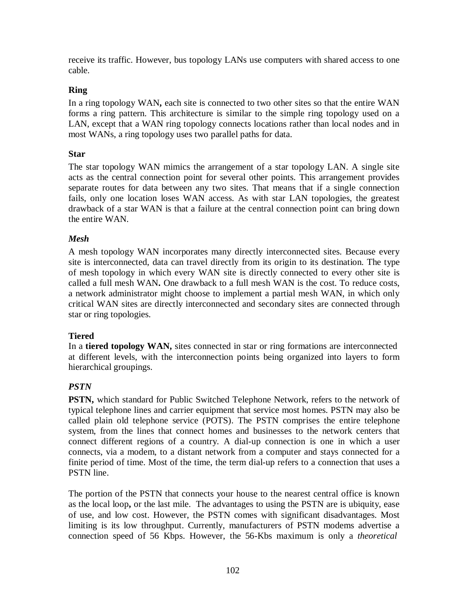receive its traffic. However, bus topology LANs use computers with shared access to one cable.

#### **Ring**

In a ring topology WAN**,** each site is connected to two other sites so that the entire WAN forms a ring pattern. This architecture is similar to the simple ring topology used on a LAN, except that a WAN ring topology connects locations rather than local nodes and in most WANs, a ring topology uses two parallel paths for data.

#### **Star**

The star topology WAN mimics the arrangement of a star topology LAN. A single site acts as the central connection point for several other points. This arrangement provides separate routes for data between any two sites. That means that if a single connection fails, only one location loses WAN access. As with star LAN topologies, the greatest drawback of a star WAN is that a failure at the central connection point can bring down the entire WAN.

## *Mesh*

A mesh topology WAN incorporates many directly interconnected sites. Because every site is interconnected, data can travel directly from its origin to its destination. The type of mesh topology in which every WAN site is directly connected to every other site is called a full mesh WAN**.** One drawback to a full mesh WAN is the cost. To reduce costs, a network administrator might choose to implement a partial mesh WAN, in which only critical WAN sites are directly interconnected and secondary sites are connected through star or ring topologies.

#### **Tiered**

In a **tiered topology WAN,** sites connected in star or ring formations are interconnected at different levels, with the interconnection points being organized into layers to form hierarchical groupings.

# *PSTN*

**PSTN,** which standard for Public Switched Telephone Network, refers to the network of typical telephone lines and carrier equipment that service most homes. PSTN may also be called plain old telephone service (POTS). The PSTN comprises the entire telephone system, from the lines that connect homes and businesses to the network centers that connect different regions of a country. A dial-up connection is one in which a user connects, via a modem, to a distant network from a computer and stays connected for a finite period of time. Most of the time, the term dial-up refers to a connection that uses a PSTN line.

The portion of the PSTN that connects your house to the nearest central office is known as the local loop**,** or the last mile. The advantages to using the PSTN are is ubiquity, ease of use, and low cost. However, the PSTN comes with significant disadvantages. Most limiting is its low throughput. Currently, manufacturers of PSTN modems advertise a connection speed of 56 Kbps. However, the 56-Kbs maximum is only a *theoretical*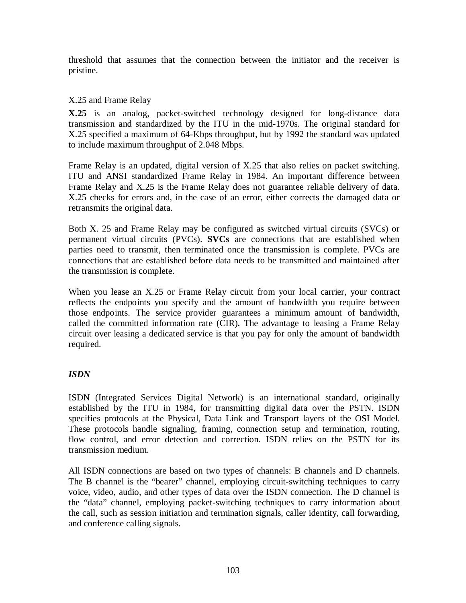threshold that assumes that the connection between the initiator and the receiver is pr istine.

#### X.25 and Frame Relay

**X.25** is an analog, packet-switched technology designed for long-distance data transmission and standardized by the ITU in the mid-1970s. The original standard for X.25 specified a maximum of 64-Kbps throughput, but by 1992 the standard was updated to include maximum throughput of 2.048 Mbps.

Frame Relay is an updated, digital version of X.25 that also relies on packet switching. ITU and ANSI standardized Frame Relay in 1984. An important difference between Frame Relay and X.25 is the Frame Relay does not guarantee reliable delivery of data. X.25 checks for errors and, in the case of an error, either corrects the damaged data or retransmits the original data.

Both X. 25 and Frame Relay may be configured as switched virtual circuits (SVCs) or permanent virtual circuits (PVCs). **SVCs** are connections that are established when parties need to transmit, then terminated once the transmission is complete. PVCs are connections that are established before data needs to be transmitted and maintained after the transmission is complete.

When you lease an X.25 or Frame Relay circuit from your local carrier, your contract reflects the endpoints you specify and the amount of bandwidth you require between those endpoints. The service provider guarantees a minimum amount of bandwidth, called the committed information rate (CIR)**.** The advantage to leasing a Frame Relay circuit over leasing a dedicated service is that you pay for only the amount of bandwidth required.

#### *ISDN*

ISDN (Integrated Services Digital Network) is an international standard, originally established by the ITU in 1984, for transmitting digital data over the PSTN. ISDN specifies protocols at the Physical, Data Link and Transport layers of the OSI Model. These protocols handle signaling, framing, connection setup and termination, routing, flow control, and error detection and correction. ISDN relies on the PSTN for its transmission medium.

All ISDN connections are based on two types of channels: B channels and D channels. The B channel is the "bearer" channel, employing circuit-switching techniques to carry voice, video, audio, and other types of data over the ISDN connection. The D channel is the "data" channel, employing packet-switching techniques to carry information about the call, such as session initiation and termination signals, caller identity, call forwarding, and conference calling signals.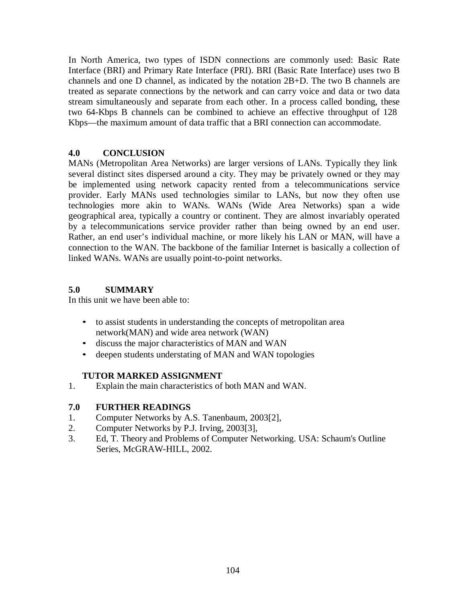In North America, two types of ISDN connections are commonly used: Basic Rate Interface (BRI) and Primary Rate Interface (PRI). BRI (Basic Rate Interface) uses two B channels and one D channel, as indicated by the notation 2B+D. The two B channels are treated as separate connections by the network and can carry voice and data or two data stream simultaneously and separate from each other. In a process called bonding, these two 64-Kbps B channels can be combined to achieve an effective throughput of 128 Kbps—the maximum amount of data traffic that a BRI connection can accommodate.

## **4.0 CONCLUSION**

MANs (Metropolitan Area Networks) are larger versions of LANs. Typically they link several distinct sites dispersed around a city. They may be privately owned or they may be implemented using network capacity rented from a telecommunications service provider. Early MANs used technologies similar to LANs, but now they often use technologies more akin to WANs. WANs (Wide Area Networks) span a wide geographical area, typically a country or continent. They are almost invariably operated by a telecommunications service provider rather than being owned by an end user. Rather, an end user's individual machine, or more likely his LAN or MAN, will have a connection to the WAN. The backbone of the familiar Internet is basically a collection of linked WANs. WANs are usually point-to-point networks.

# **5.0 SUMMARY**

In this unit we have been able to:

- to assist students in understanding the concepts of metropolitan area network(MAN) and wide area network (WAN)
- discuss the major characteristics of MAN and WAN
- deepen students understating of MAN and WAN topologies

# **TUTOR MARKED ASSIGNMENT**

1. Explain the main characteristics of both MAN and WAN.

# **7.0 FURTHER READINGS**

- 1. Computer Networks by A.S. Tanenbaum, 2003[2],
- 2. Computer Networks by P.J. Irving, 2003[3],
- 3. Ed, T. Theory and Problems of Computer Networking. USA: Schaum's Outline Series, McGRAW-HILL, 2002.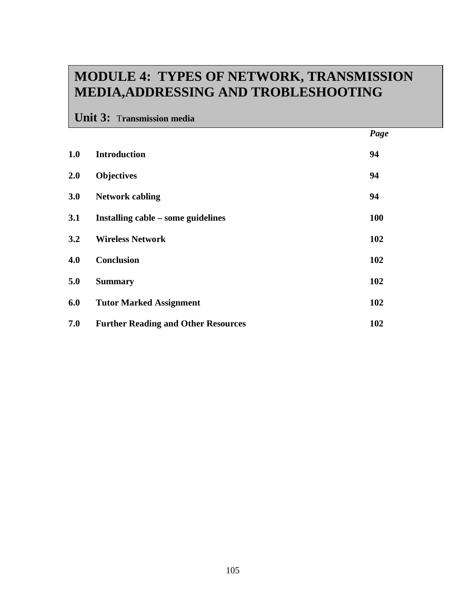# **MODULE 4: TYPES OF NETWORK, TRANSMISSION MEDIA,ADDRESSING AND TROBLESHOOTING**

# **Unit 3:** T**ransmission media**

|     |                                            | Page |
|-----|--------------------------------------------|------|
| 1.0 | <b>Introduction</b>                        | 94   |
| 2.0 | <b>Objectives</b>                          | 94   |
| 3.0 | <b>Network cabling</b>                     | 94   |
| 3.1 | Installing cable – some guidelines         | 100  |
| 3.2 | <b>Wireless Network</b>                    | 102  |
| 4.0 | <b>Conclusion</b>                          | 102  |
| 5.0 | <b>Summary</b>                             | 102  |
| 6.0 | <b>Tutor Marked Assignment</b>             | 102  |
| 7.0 | <b>Further Reading and Other Resources</b> | 102  |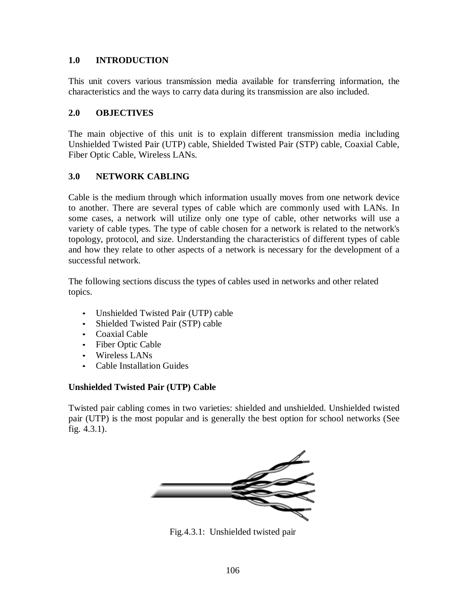### **1.0 INTRODUCTION**

This unit covers various transmission media available for transferring information, the characteristics and the ways to carry data during its transmission are also included.

#### **2.0 OBJECTIVES**

The main objective of this unit is to explain different transmission media including Unshielded Twisted Pair (UTP) cable, Shielded Twisted Pair (STP) cable, Coaxial Cable, Fiber Optic Cable, Wireless LANs.

## **3.0 NETWORK CABLING**

Cable is the medium through which information usually moves from one network device to another. There are several types of cable which are commonly used with LANs. In some cases, a network will utilize only one type of cable, other networks will use a variety of cable types. The type of cable chosen for a network is related to the network's topology, protocol, and size. Understanding the characteristics of different types of cable and how they relate to other aspects of a network is necessary for the development of a successful network.

The following sections discuss the types of cables used in networks and other related topics.

- Unshielded Twisted Pair (UTP) cable
- Shielded Twisted Pair (STP) cable
- Coaxial Cable
- Fiber Optic Cable
- Wireless LANs
- Cable Installation Guides

#### **Unshielded Twisted Pair (UTP) Cable**

Twisted pair cabling comes in two varieties: shielded and unshielded. Unshielded twisted pair (UTP) is the most popular and is generally the best option for school networks (See fig. 4.3.1).



Fig.4.3.1: Unshielded twisted pair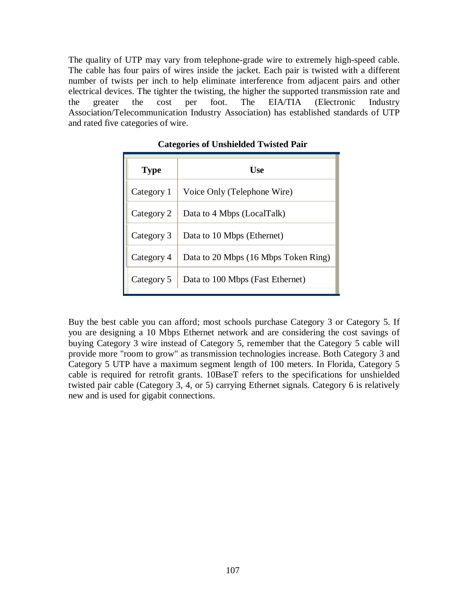The quality of UTP may vary from telephone-grade wire to extremely high-speed cable. The cable has four pairs of wires inside the jacket. Each pair is twisted with a different number of twists per inch to help eliminate interference from adjacent pairs and other electrical devices. The tighter the twisting, the higher the supported transmission rate and the greater the cost per foot. The EIA/TIA (Electronic Industry Association/Telecommunication Industry Association) has established standards of UTP and rated five categories of wire.

| <b>Type</b> | <b>Use</b>                           |
|-------------|--------------------------------------|
| Category 1  | Voice Only (Telephone Wire)          |
| Category 2  | Data to 4 Mbps (LocalTalk)           |
| Category 3  | Data to 10 Mbps (Ethernet)           |
| Category 4  | Data to 20 Mbps (16 Mbps Token Ring) |
| Category 5  | Data to 100 Mbps (Fast Ethernet)     |

**Categories of Unshielded Twisted Pair**

Buy the best cable you can afford; most schools purchase Category 3 or Category 5. If you are designing a 10 Mbps Ethernet network and are considering the cost savings of buying Category 3 wire instead of Category 5, remember that the Category 5 cable will provide more "room to grow" as transmission technologies increase. Both Category 3 and Category 5 UTP have a maximum segment length of 100 meters. In Florida, Category 5 cable is required for retrofit grants. 10BaseT refers to the specifications for unshielded twisted pair cable (Category 3, 4, or 5) carrying Ethernet signals. Category 6 is relatively new and is used for gigabit connections.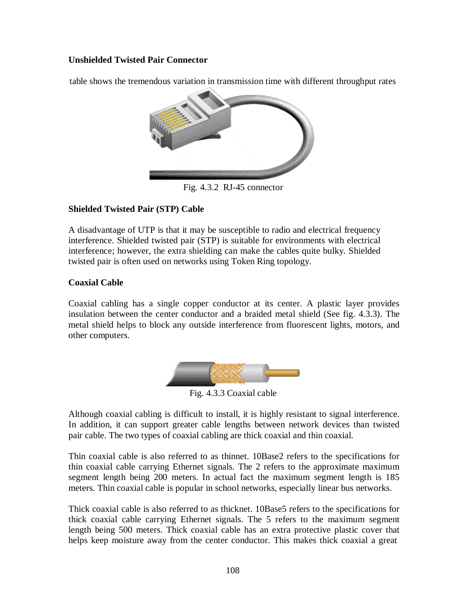#### **Unshielded Twisted Pair Connector**

table shows the tremendous variation in transmission time with different throughput rates



Fig. 4.3.2 RJ-45 connector

## **Shielded Twisted Pair (STP) Cable**

A disadvantage of UTP is that it may be susceptible to radio and electrical frequency interference. Shielded twisted pair (STP) is suitable for environments with electrical interference; however, the extra shielding can make the cables quite bulky. Shielded twisted pair is often used on networks using Token Ring topology.

## **Coaxial Cable**

Coaxial cabling has a single copper conductor at its center. A plastic layer provides insulation between the center conductor and a braided metal shield (See fig. 4.3.3). The metal shield helps to block any outside interference from fluorescent lights, motors, and other computers.



Fig. 4.3.3 Coaxial cable

Although coaxial cabling is difficult to install, it is highly resistant to signal interference. In addition, it can support greater cable lengths between network devices than twisted pair cable. The two types of coaxial cabling are thick coaxial and thin coaxial.

Thin coaxial cable is also referred to as thinnet. 10Base2 refers to the specifications for thin coaxial cable carrying Ethernet signals. The 2 refers to the approximate maximum segment length being 200 meters. In actual fact the maximum segment length is 185 meters. Thin coaxial cable is popular in school networks, especially linear bus networks.

Thick coaxial cable is also referred to as thicknet. 10Base5 refers to the specifications for thick coaxial cable carrying Ethernet signals. The 5 refers to the maximum segment length being 500 meters. Thick coaxial cable has an extra protective plastic cover that helps keep moisture away from the center conductor. This makes thick coaxial a great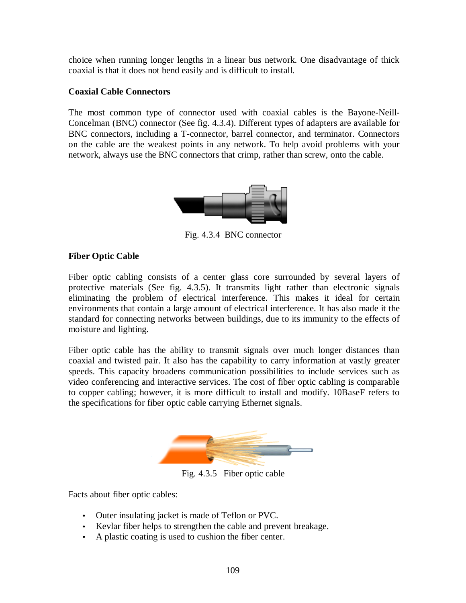choice when running longer lengths in a linear bus network. One disadvantage of thick coaxial is that it does not bend easily and is difficult to install.

#### **Coaxial Cable Connectors**

The most common type of connector used with coaxial cables is the Bayone-Neill-Concelman (BNC) connector (See fig. 4.3.4). Different types of adapters are available for BNC connectors, including a T-connector, barrel connector, and terminator. Connectors on the cable are the weakest points in any network. To help avoid problems with your network, always use the BNC connectors that crimp, rather than screw, onto the cable.



Fig. 4.3.4 BNC connector

#### **Fiber Optic Cable**

Fiber optic cabling consists of a center glass core surrounded by several layers of protective materials (See fig. 4.3.5). It transmits light rather than electronic signals eliminating the problem of electrical interference. This makes it ideal for certain environments that contain a large amount of electrical interference. It has also made it the standard for connecting networks between buildings, due to its immunity to the effects of moisture and lighting.

Fiber optic cable has the ability to transmit signals over much longer distances than coaxial and twisted pair. It also has the capability to carry information at vastly greater speeds. This capacity broadens communication possibilities to include services such as video conferencing and interactive services. The cost of fiber optic cabling is comparable to copper cabling; however, it is more difficult to install and modify. 10BaseF refers to the specifications for fiber optic cable carrying Ethernet signals.



Fig. 4.3.5 Fiber optic cable

Facts about fiber optic cables:

- Outer insulating jacket is made of Teflon or PVC.
- Kevlar fiber helps to strengthen the cable and prevent breakage.
- A plastic coating is used to cushion the fiber center.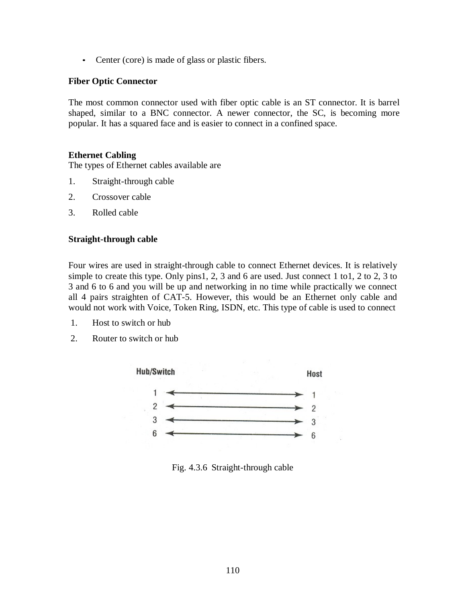• Center (core) is made of glass or plastic fibers.

### **Fiber Optic Connector**

The most common connector used with fiber optic cable is an ST connector. It is barrel shaped, similar to a BNC connector. A newer connector, the SC, is becoming more popular. It has a squared face and is easier to connect in a confined space.

## **Ethernet Cabling**

The types of Ethernet cables available are

- 1. Straight-through cable
- 2. Crossover cable
- 3. Rolled cable

## **Straight-through cable**

Four wires are used in straight-through cable to connect Ethernet devices. It is relatively simple to create this type. Only pins1, 2, 3 and 6 are used. Just connect 1 to1, 2 to 2, 3 to 3 and 6 to 6 and you will be up and networking in no time while practically we connect all 4 pairs straighten of CAT-5. However, this would be an Ethernet only cable and would not work with Voice, Token Ring, ISDN, etc. This type of cable is used to connect

- 1. Host to switch or hub
- 2. Router to switch or hub



Fig. 4.3.6 Straight-through cable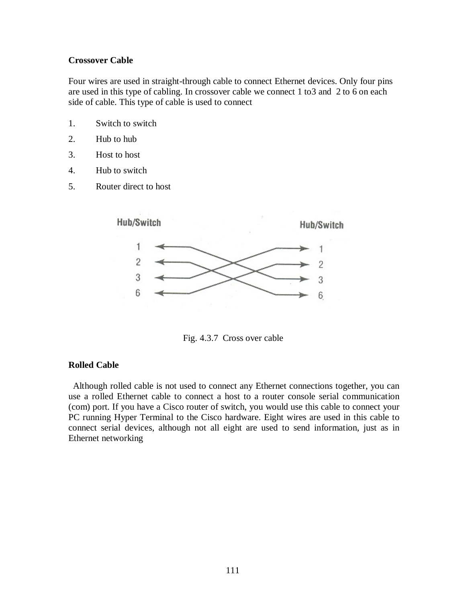#### **Crossover Cable**

Four wires are used in straight-through cable to connect Ethernet devices. Only four pins are used in this type of cabling. In crossover cable we connect 1 to3 and 2 to 6 on each side of cable. This type of cable is used to connect

- 1. Switch to switch
- 2. Hub to hub
- 3. Host to host
- 4. Hub to switch
- 5. Router direct to host



Fig. 4.3.7 Cross over cable

#### **Rolled Cable**

Although rolled cable is not used to connect any Ethernet connections together, you can use a rolled Ethernet cable to connect a host to a router console serial communication (com) port. If you have a Cisco router of switch, you would use this cable to connect your PC running Hyper Terminal to the Cisco hardware. Eight wires are used in this cable to connect serial devices, although not all eight are used to send information, just as in Ethernet networking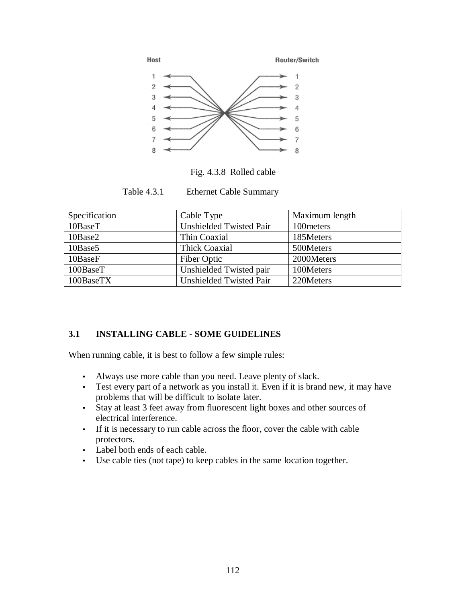

Fig. 4.3.8 Rolled cable

Table 4.3.1 Ethernet Cable Summary

| Specification | Cable Type                     | Maximum length |
|---------------|--------------------------------|----------------|
| 10BaseT       | <b>Unshielded Twisted Pair</b> | 100meters      |
| 10Base2       | Thin Coaxial                   | 185Meters      |
| 10Base5       | <b>Thick Coaxial</b>           | 500Meters      |
| 10BaseF       | Fiber Optic                    | 2000Meters     |
| 100BaseT      | Unshielded Twisted pair        | 100Meters      |
| 100BaseTX     | <b>Unshielded Twisted Pair</b> | 220Meters      |

# **3.1 INSTALLING CABLE - SOME GUIDELINES**

When running cable, it is best to follow a few simple rules:

- Always use more cable than you need. Leave plenty of slack.
- Test every part of a network as you install it. Even if it is brand new, it may have problems that will be difficult to isolate later.
- Stay at least 3 feet away from fluorescent light boxes and other sources of electrical interference.
- If it is necessary to run cable across the floor, cover the cable with cable protectors.
- Label both ends of each cable.
- Use cable ties (not tape) to keep cables in the same location together.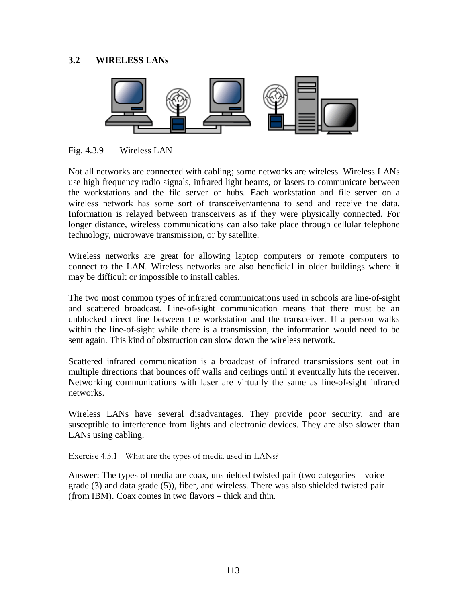# **3.2 WIRELESS LANs**



Fig. 4.3.9 Wireless LAN

Not all networks are connected with cabling; some networks are wireless. Wireless LANs use high frequency radio signals, infrared light beams, or lasers to communicate between the workstations and the file server or hubs. Each workstation and file server on a wireless network has some sort of transceiver/antenna to send and receive the data. Information is relayed between transceivers as if they were physically connected. For longer distance, wireless communications can also take place through cellular telephone technology, microwave transmission, or by satellite.

Wireless networks are great for allowing laptop computers or remote computers to connect to the LAN. Wireless networks are also beneficial in older buildings where it may be difficult or impossible to install cables.

The two most common types of infrared communications used in schools are line-of-sight and scattered broadcast. Line-of-sight communication means that there must be an unblocked direct line between the workstation and the transceiver. If a person walks within the line-of-sight while there is a transmission, the information would need to be sent again. This kind of obstruction can slow down the wireless network.

Scattered infrared communication is a broadcast of infrared transmissions sent out in multiple directions that bounces off walls and ceilings until it eventually hits the receiver. Networking communications with laser are virtually the same as line-of-sight infrared networks.

Wireless LANs have several disadvantages. They provide poor security, and are susceptible to interference from lights and electronic devices. They are also slower than LANs using cabling.

Exercise 4.3.1 What are the types of media used in LANs?

Answer: The types of media are coax, unshielded twisted pair (two categories – voice grade (3) and data grade (5)), fiber, and wireless. There was also shielded twisted pair (from IBM). Coax comes in two flavors – thick and thin.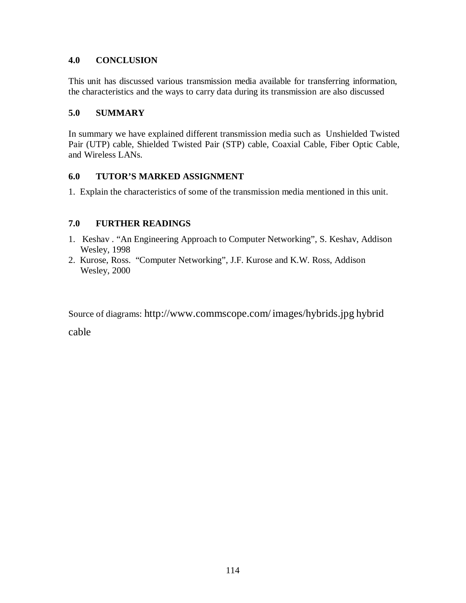# **4.0 CONCLUSION**

This unit has discussed various transmission media available for transferring information, the characteristics and the ways to carry data during its transmission are also discussed

# **5.0 SUMMARY**

In summary we have explained different transmission media such as Unshielded Twisted Pair (UTP) cable, Shielded Twisted Pair (STP) cable, Coaxial Cable, Fiber Optic Cable, and Wireless LANs.

# **6.0 TUTOR'S MARKED ASSIGNMENT**

1. Explain the characteristics of some of the transmission media mentioned in this unit.

# **7.0 FURTHER READINGS**

- 1. Keshav . "An Engineering Approach to Computer Networking", S. Keshav, Addison Wesley, 1998
- 2. Kurose, Ross. "Computer Networking", J.F. Kurose and K.W. Ross, Addison Wesley, 2000

Source of diagrams: http://www.commscope.com/ images/hybrids.jpg hybrid

cable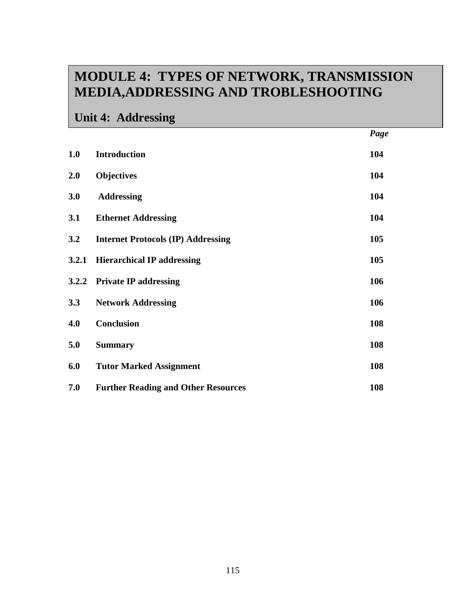# **MODULE 4: TYPES OF NETWORK, TRANSMISSION MEDIA,ADDRESSING AND TROBLESHOOTING**

# **Unit 4: Addressing**

|       |                                            | Page |
|-------|--------------------------------------------|------|
| 1.0   | <b>Introduction</b>                        | 104  |
| 2.0   | <b>Objectives</b>                          | 104  |
| 3.0   | <b>Addressing</b>                          | 104  |
| 3.1   | <b>Ethernet Addressing</b>                 | 104  |
| 3.2   | <b>Internet Protocols (IP) Addressing</b>  | 105  |
| 3.2.1 | <b>Hierarchical IP addressing</b>          | 105  |
| 3.2.2 | <b>Private IP addressing</b>               | 106  |
| 3.3   | <b>Network Addressing</b>                  | 106  |
| 4.0   | <b>Conclusion</b>                          | 108  |
| 5.0   | <b>Summary</b>                             | 108  |
| 6.0   | <b>Tutor Marked Assignment</b>             | 108  |
| 7.0   | <b>Further Reading and Other Resources</b> | 108  |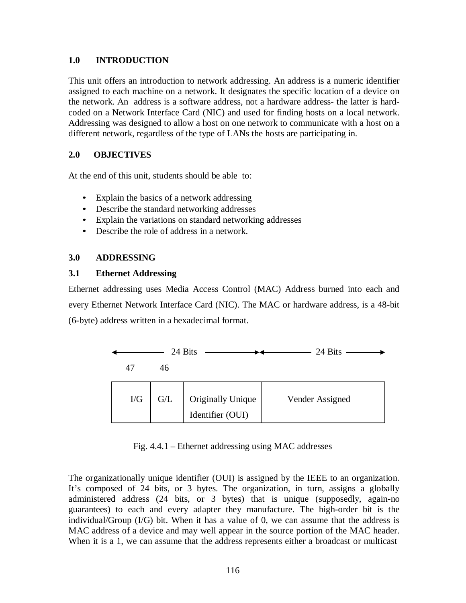# **1.0 INTRODUCTION**

This unit offers an introduction to network addressing. An address is a numeric identifier assigned to each machine on a network. It designates the specific location of a device on the network. An address is a software address, not a hardware address- the latter is hardcoded on a Network Interface Card (NIC) and used for finding hosts on a local network. Addressing was designed to allow a host on one network to communicate with a host on a different network, regardless of the type of LANs the hosts are participating in.

## **2.0 OBJECTIVES**

At the end of this unit, students should be able to:

- Explain the basics of a network addressing
- Describe the standard networking addresses
- Explain the variations on standard networking addresses
- Describe the role of address in a network.

## **3.0 ADDRESSING**

### **3.1 Ethernet Addressing**

Ethernet addressing uses Media Access Control (MAC) Address burned into each and every Ethernet Network Interface Card (NIC). The MAC or hardware address, is a 48-bit (6-byte) address written in a hexadecimal format.



Fig. 4.4.1 – Ethernet addressing using MAC addresses

The organizationally unique identifier (OUI) is assigned by the IEEE to an organization. It's composed of 24 bits, or 3 bytes. The organization, in turn, assigns a globally administered address (24 bits, or 3 bytes) that is unique (supposedly, again-no guarantees) to each and every adapter they manufacture. The high-order bit is the individual/Group (I/G) bit. When it has a value of 0, we can assume that the address is MAC address of a device and may well appear in the source portion of the MAC header. When it is a 1, we can assume that the address represents either a broadcast or multicast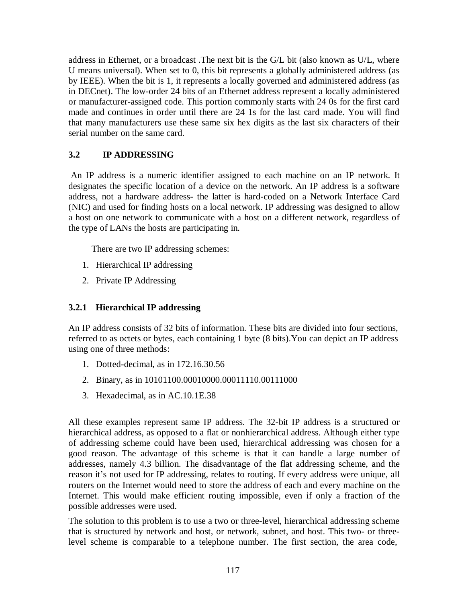address in Ethernet, or a broadcast .The next bit is the G/L bit (also known as U/L, where U means universal). When set to 0, this bit represents a globally administered address (as by IEEE). When the bit is 1, it represents a locally governed and administered address (as in DECnet). The low-order 24 bits of an Ethernet address represent a locally administered or manufacturer-assigned code. This portion commonly starts with 24 0s for the first card made and continues in order until there are 24 1s for the last card made. You will find that many manufacturers use these same six hex digits as the last six characters of their serial number on the same card.

# **3.2 IP ADDRESSING**

An IP address is a numeric identifier assigned to each machine on an IP network. It designates the specific location of a device on the network. An IP address is a software address, not a hardware address- the latter is hard-coded on a Network Interface Card (NIC) and used for finding hosts on a local network. IP addressing was designed to allow a host on one network to communicate with a host on a different network, regardless of the type of LANs the hosts are participating in.

There are two IP addressing schemes:

- 1. Hierarchical IP addressing
- 2. Private IP Addressing

# **3.2.1 Hierarchical IP addressing**

An IP address consists of 32 bits of information. These bits are divided into four sections, referred to as octets or bytes, each containing 1 byte (8 bits).You can depict an IP address using one of three methods:

- 1. Dotted-decimal, as in 172.16.30.56
- 2. Binary, as in 10101100.00010000.00011110.00111000
- 3. Hexadecimal, as in AC.10.1E.38

All these examples represent same IP address. The 32-bit IP address is a structured or hierarchical address, as opposed to a flat or nonhierarchical address. Although either type of addressing scheme could have been used, hierarchical addressing was chosen for a good reason. The advantage of this scheme is that it can handle a large number of addresses, namely 4.3 billion. The disadvantage of the flat addressing scheme, and the reason it's not used for IP addressing, relates to routing. If every address were unique, all routers on the Internet would need to store the address of each and every machine on the Internet. This would make efficient routing impossible, even if only a fraction of the possible addresses were used.

The solution to this problem is to use a two or three-level, hierarchical addressing scheme that is structured by network and host, or network, subnet, and host. This two- or threelevel scheme is comparable to a telephone number. The first section, the area code,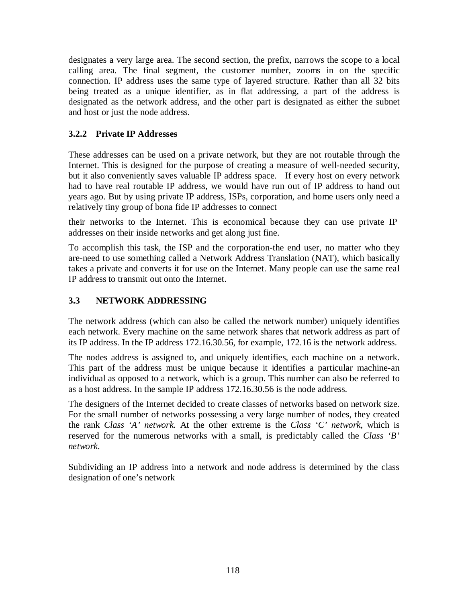designates a very large area. The second section, the prefix, narrows the scope to a local calling area. The final segment, the customer number, zooms in on the specific connection. IP address uses the same type of layered structure. Rather than all 32 bits being treated as a unique identifier, as in flat addressing, a part of the address is designated as the network address, and the other part is designated as either the subnet and host or just the node address.

# **3.2.2 Private IP Addresses**

These addresses can be used on a private network, but they are not routable through the Internet. This is designed for the purpose of creating a measure of well-needed security, but it also conveniently saves valuable IP address space. If every host on every network had to have real routable IP address, we would have run out of IP address to hand out years ago. But by using private IP address, ISPs, corporation, and home users only need a relatively tiny group of bona fide IP addresses to connect

their networks to the Internet. This is economical because they can use private IP addresses on their inside networks and get along just fine.

To accomplish this task, the ISP and the corporation-the end user, no matter who they are-need to use something called a Network Address Translation (NAT), which basically takes a private and converts it for use on the Internet. Many people can use the same real IP address to transmit out onto the Internet.

# **3.3 NETWORK ADDRESSING**

The network address (which can also be called the network number) uniquely identifies each network. Every machine on the same network shares that network address as part of its IP address. In the IP address 172.16.30.56, for example, 172.16 is the network address.

The nodes address is assigned to, and uniquely identifies, each machine on a network. This part of the address must be unique because it identifies a particular machine-an individual as opposed to a network, which is a group. This number can also be referred to as a host address. In the sample IP address 172.16.30.56 is the node address.

The designers of the Internet decided to create classes of networks based on network size. For the small number of networks possessing a very large number of nodes, they created the rank *Class 'A' network.* At the other extreme is the *Class 'C' network*, which is reserved for the numerous networks with a small, is predictably called the *Class 'B' network*.

Subdividing an IP address into a network and node address is determined by the class designation of one's network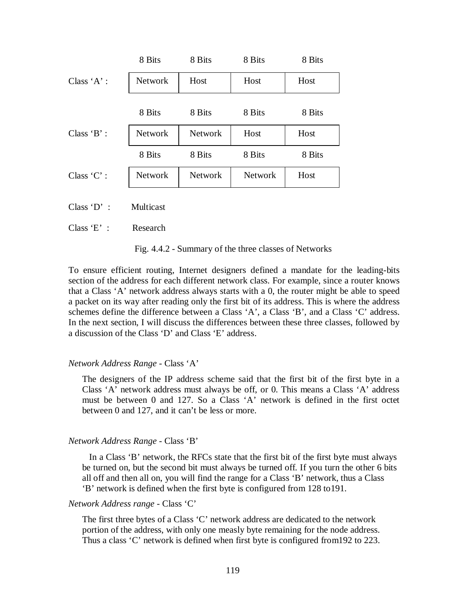|                | 8 Bits         | 8 Bits         | 8 Bits         | 8 Bits |  |
|----------------|----------------|----------------|----------------|--------|--|
| Class ' $A$ ': | <b>Network</b> | Host           | Host           | Host   |  |
|                | 8 Bits         | 8 Bits         | 8 Bits         | 8 Bits |  |
| Class $B$ :    | <b>Network</b> | <b>Network</b> | Host           | Host   |  |
|                | 8 Bits         | 8 Bits         | 8 Bits         | 8 Bits |  |
| Class $C$ :    | <b>Network</b> | <b>Network</b> | <b>Network</b> | Host   |  |

- Class 'D' : Multicast
- Class 'E' : Research

#### Fig. 4.4.2 - Summary of the three classes of Networks

To ensure efficient routing, Internet designers defined a mandate for the leading-bits section of the address for each different network class. For example, since a router knows that a Class 'A' network address always starts with a 0, the router might be able to speed a packet on its way after reading only the first bit of its address. This is where the address schemes define the difference between a Class 'A', a Class 'B', and a Class 'C' address. In the next section, I will discuss the differences between these three classes, followed by a discussion of the Class 'D' and Class 'E' address.

#### *Network Address Range -* Class 'A'

The designers of the IP address scheme said that the first bit of the first byte in a Class 'A' network address must always be off, or 0. This means a Class 'A' address must be between 0 and 127. So a Class 'A' network is defined in the first octet between 0 and 127, and it can't be less or more.

### *Network Address Range -* Class 'B'

In a Class 'B' network, the RFCs state that the first bit of the first byte must always be turned on, but the second bit must always be turned off. If you turn the other 6 bits all off and then all on, you will find the range for a Class 'B' network, thus a Class 'B' network is defined when the first byte is configured from 128 to191.

### *Network Address range* - Class 'C'

The first three bytes of a Class 'C' network address are dedicated to the network portion of the address, with only one measly byte remaining for the node address. Thus a class 'C' network is defined when first byte is configured from192 to 223.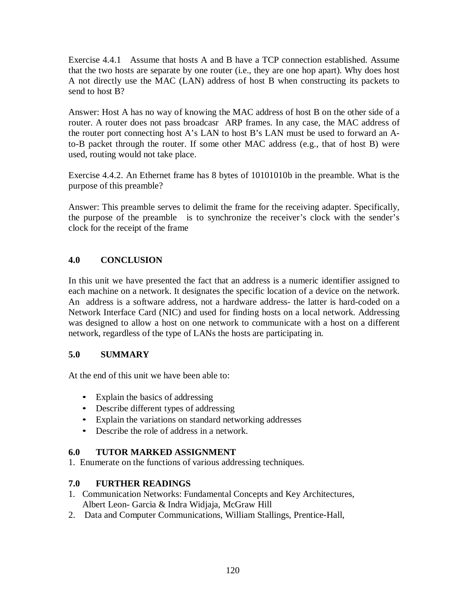Exercise 4.4.1 Assume that hosts A and B have a TCP connection established. Assume that the two hosts are separate by one router (i.e., they are one hop apart). Why does host A not directly use the MAC (LAN) address of host B when constructing its packets to send to host B?

Answer: Host A has no way of knowing the MAC address of host B on the other side of a router. A router does not pass broadcasr ARP frames. In any case, the MAC address of the router port connecting host A's LAN to host B's LAN must be used to forward an Ato-B packet through the router. If some other MAC address (e.g., that of host B) were used, routing would not take place.

Exercise 4.4.2. An Ethernet frame has 8 bytes of 10101010b in the preamble. What is the purpose of this preamble?

Answer: This preamble serves to delimit the frame for the receiving adapter. Specifically, the purpose of the preamble is to synchronize the receiver's clock with the sender's clock for the receipt of the frame

# **4.0 CONCLUSION**

In this unit we have presented the fact that an address is a numeric identifier assigned to each machine on a network. It designates the specific location of a device on the network. An address is a software address, not a hardware address- the latter is hard-coded on a Network Interface Card (NIC) and used for finding hosts on a local network. Addressing was designed to allow a host on one network to communicate with a host on a different network, regardless of the type of LANs the hosts are participating in.

# **5.0 SUMMARY**

At the end of this unit we have been able to:

- Explain the basics of addressing
- Describe different types of addressing
- Explain the variations on standard networking addresses
- Describe the role of address in a network.

# **6.0 TUTOR MARKED ASSIGNMENT**

1. Enumerate on the functions of various addressing techniques.

# **7.0 FURTHER READINGS**

- 1*.* Communication Networks: Fundamental Concepts and Key Architectures, Albert Leon- Garcia & Indra Widjaja, McGraw Hill
- 2. Data and Computer Communications*,* William Stallings, Prentice-Hall,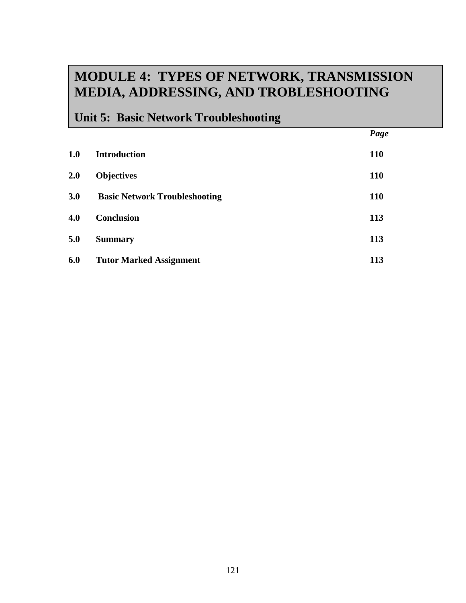# **MODULE 4: TYPES OF NETWORK, TRANSMISSION MEDIA, ADDRESSING, AND TROBLESHOOTING**

# *Page* **1.0 Introduction 110 2.0 Objectives 110 3.0 Basic Network Troubleshooting 110 4.0 Conclusion 113 5.0 Summary 113 6.0 Tutor Marked Assignment 113**

# **Unit 5: Basic Network Troubleshooting**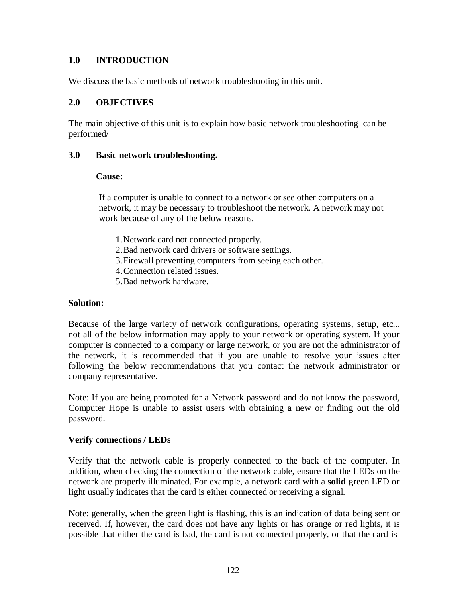# **1.0 INTRODUCTION**

We discuss the basic methods of network troubleshooting in this unit.

# **2.0 OBJECTIVES**

The main objective of this unit is to explain how basic network troubleshooting can be performed/

# **3.0 Basic network troubleshooting.**

## **Cause:**

If a computer is unable to connect to a network or see other computers on a network, it may be necessary to troubleshoot the network. A network may not work because of any of the below reasons.

- 1. Network card not connected properly.
- 2. Bad network card drivers or software settings.
- 3. Firewall preventing computers from seeing each other.
- 4. Connection related issues.
- 5. Bad network hardware.

### **Solution:**

Because of the large variety of network configurations, operating systems, setup, etc... not all of the below information may apply to your network or operating system. If your computer is connected to a company or large network, or you are not the administrator of the network, it is recommended that if you are unable to resolve your issues after following the below recommendations that you contact the network administrator or company representative.

Note: If you are being prompted for a Network password and do not know the password, Computer Hope is unable to assist users with obtaining a new or finding out the old password.

# **Verify connections / LEDs**

Verify that the network cable is properly connected to the back of the computer. In addition, when checking the connection of the network cable, ensure that the LEDs on the network are properly illuminated. For example, a network card with a **solid** green LED or light usually indicates that the card is either connected or receiving a signal.

Note: generally, when the green light is flashing, this is an indication of data being sent or received. If, however, the card does not have any lights or has orange or red lights, it is possible that either the card is bad, the card is not connected properly, or that the card is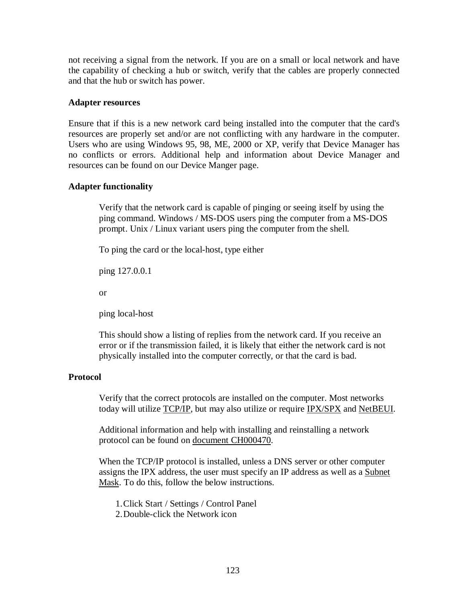not receiving a signal from the network. If you are on a small or local network and have the capability of checking a hub or switch, verify that the cables are properly connected and that the hub or switch has power.

## **Adapter resources**

Ensure that if this is a new network card being installed into the computer that the card's resources are properly set and/or are not conflicting with any hardware in the computer. Users who are using Windows 95, 98, ME, 2000 or XP, verify that Device Manager has no conflicts or errors. Additional help and information about Device Manager and resources can be found on our Device Manger page.

## **Adapter functionality**

Verify that the network card is capable of pinging or seeing itself by using the ping command. Windows / MS-DOS users ping the computer from a MS-DOS prompt. Unix / Linux variant users ping the computer from the shell.

To ping the card or the local-host, type either

ping 127.0.0.1

or

ping local-host

This should show a listing of replies from the network card. If you receive an error or if the transmission failed, it is likely that either the network card is not physically installed into the computer correctly, or that the card is bad.

# **Protocol**

Verify that the correct protocols are installed on the computer. Most networks today will utilize TCP/IP, but may also utilize or require IPX/SPX and NetBEUI.

Additional information and help with installing and reinstalling a network protocol can be found on document CH000470.

When the TCP/IP protocol is installed, unless a DNS server or other computer assigns the IPX address, the user must specify an IP address as well as a Subnet Mask. To do this, follow the below instructions.

1. Click Start / Settings / Control Panel

2. Double-click the Network icon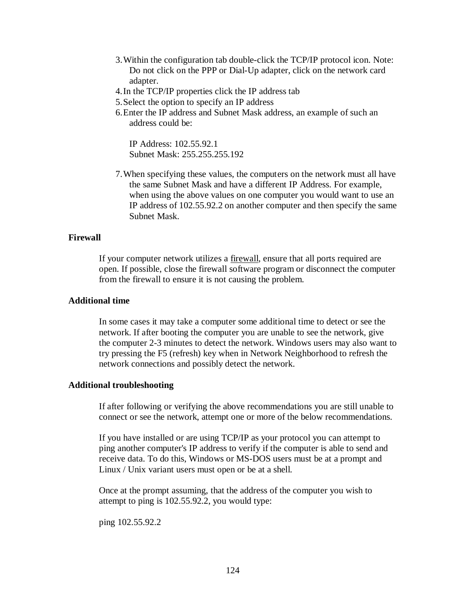- 3. Within the configuration tab double-click the TCP/IP protocol icon. Note: Do not click on the PPP or Dial-Up adapter, click on the network card adapter.
- 4. In the TCP/IP properties click the IP address tab
- 5. Select the option to specify an IP address
- 6. Enter the IP address and Subnet Mask address, an example of such an address could be:

IP Address: 102.55.92.1 Subnet Mask: 255.255.255.192

7. When specifying these values, the computers on the network must all have the same Subnet Mask and have a different IP Address. For example, when using the above values on one computer you would want to use an IP address of 102.55.92.2 on another computer and then specify the same Subnet Mask.

#### **Firewall**

If your computer network utilizes a firewall, ensure that all ports required are open. If possible, close the firewall software program or disconnect the computer from the firewall to ensure it is not causing the problem.

#### **Additional time**

In some cases it may take a computer some additional time to detect or see the network. If after booting the computer you are unable to see the network, give the computer 2-3 minutes to detect the network. Windows users may also want to try pressing the F5 (refresh) key when in Network Neighborhood to refresh the network connections and possibly detect the network.

#### **Additional troubleshooting**

If after following or verifying the above recommendations you are still unable to connect or see the network, attempt one or more of the below recommendations.

If you have installed or are using TCP/IP as your protocol you can attempt to ping another computer's IP address to verify if the computer is able to send and receive data. To do this, Windows or MS-DOS users must be at a prompt and Linux / Unix variant users must open or be at a shell.

Once at the prompt assuming, that the address of the computer you wish to attempt to ping is 102.55.92.2, you would type:

ping 102.55.92.2